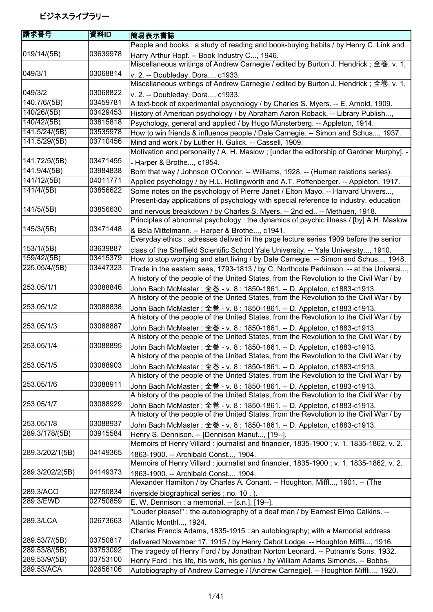| 請求番号                      | 資料ID     | 簡易表示書誌                                                                                                                                |
|---------------------------|----------|---------------------------------------------------------------------------------------------------------------------------------------|
|                           |          | People and books: a study of reading and book-buying habits / by Henry C. Link and                                                    |
| 019/14/(5B)               | 03639978 | Harry Arthur Hopf. -- Book Industry C, 1946.                                                                                          |
|                           |          | Miscellaneous writings of Andrew Carnegie / edited by Burton J. Hendrick; 全巻, v. 1,                                                   |
| 049/3/1                   | 03068814 | v. 2. -- Doubleday, Dora, c1933.                                                                                                      |
|                           |          | Miscellaneous writings of Andrew Carnegie / edited by Burton J. Hendrick; 全巻, v. 1,                                                   |
| 049/3/2                   | 03068822 | v. 2. -- Doubleday, Dora, c1933.                                                                                                      |
| $\overline{140.7/6/(5B)}$ | 03459781 | A text-book of experimental psychology / by Charles S. Myers. -- E. Arnold, 1909.                                                     |
| 140/26/(5B)               | 03429453 | History of American psychology / by Abraham Aaron Roback. -- Library Publish,                                                         |
| 140/42/(5B)               | 03815818 | Psychology, general and applied / by Hugo Münsterberg. -- Appleton, 1914.                                                             |
| 141.5/24/(5B)             | 03535978 | How to win friends & influence people / Dale Carnegie. -- Simon and Schus, 1937,                                                      |
| 141.5/29/(5B)             | 03710456 | Mind and work / by Luther H. Gulick. -- Cassell, 1909.                                                                                |
|                           |          | Motivation and personality / A. H. Maslow ; [under the editorship of Gardner Murphy]. -                                               |
| 141.72/5/(5B)             | 03471455 | - Harper & Brothe, c1954.                                                                                                             |
| 141.9/4/(5B)              | 03984838 | Born that way / Johnson O'Connor. -- Williams, 1928. -- (Human relations series).                                                     |
| 141/12/(5B)               | 04011771 | Applied psychology / by H.L. Hollingworth and A.T. Poffenberger. -- Appleton, 1917.                                                   |
| 141/4/(5B)                | 03856622 | Some notes on the psychology of Pierre Janet / Elton Mayo. -- Harvard Univers,                                                        |
|                           |          | Present-day applications of psychology with special reference to industry, education                                                  |
| 141/5/(5B)                | 03856630 | and nervous breakdown / by Charles S. Myers. -- 2nd ed -- Methuen, 1918.                                                              |
|                           |          | Principles of abnormal psychology : the dynamics of psychic illness / [by] A.H. Maslow                                                |
| 145/3/(5B)                | 03471448 |                                                                                                                                       |
|                           |          | & Béla Mittelmann. -- Harper & Brothe, c1941.<br>Everyday ethics : adresses delived in the page lecture series 1909 before the senior |
| 153/1/(5B)                | 03639887 |                                                                                                                                       |
| 159/42/(5B)               | 03415379 | class of the Sheffield Scientific School Yale University. -- Yale University, 1910.                                                   |
| 225.05/4/(5B)             | 03447323 | How to stop worrying and start living / by Dale Carnegie. -- Simon and Schus, 1948.                                                   |
|                           |          | Trade in the eastern seas, 1793-1813 / by C. Northcote Parkinson. -- at the Universi                                                  |
| 253.05/1/1                | 03088846 | A history of the people of the United States, from the Revolution to the Civil War / by                                               |
|                           |          | John Bach McMaster; 全巻 - v. 8 : 1850-1861. -- D. Appleton, c1883-c1913.                                                               |
| 253.05/1/2                | 03088838 | A history of the people of the United States, from the Revolution to the Civil War / by                                               |
|                           |          | John Bach McMaster ; 全巻 - v. 8 : 1850-1861. -- D. Appleton, c1883-c1913.                                                              |
|                           |          | A history of the people of the United States, from the Revolution to the Civil War / by                                               |
| 253.05/1/3                | 03088887 | John Bach McMaster; 全巻 - v. 8 : 1850-1861. -- D. Appleton, c1883-c1913.                                                               |
|                           |          | A history of the people of the United States, from the Revolution to the Civil War / by                                               |
| 253.05/1/4                | 03088895 | John Bach McMaster; 全巻 - v. 8 : 1850-1861. -- D. Appleton, c1883-c1913.                                                               |
|                           |          | A history of the people of the United States, from the Revolution to the Civil War / by                                               |
| 253.05/1/5                | 03088903 | John Bach McMaster; 全巻 - v. 8 : 1850-1861. -- D. Appleton, c1883-c1913.                                                               |
|                           |          | A history of the people of the United States, from the Revolution to the Civil War / by                                               |
| 253.05/1/6                | 03088911 | John Bach McMaster; 全巻 - v. 8 : 1850-1861. -- D. Appleton, c1883-c1913.                                                               |
|                           |          | A history of the people of the United States, from the Revolution to the Civil War / by                                               |
| 253.05/1/7                | 03088929 | John Bach McMaster; 全巻 - v. 8 : 1850-1861. -- D. Appleton, c1883-c1913.                                                               |
|                           |          | A history of the people of the United States, from the Revolution to the Civil War / by                                               |
| 253.05/1/8                | 03088937 | John Bach McMaster; 全巻 - v. 8 : 1850-1861. -- D. Appleton, c1883-c1913.                                                               |
| 289.3/178/(5B)            | 03915584 | Henry S. Dennison. -- [Dennison Manuf, [19--].                                                                                        |
|                           |          | Memoirs of Henry Villard: journalist and financier, 1835-1900; v. 1. 1835-1862, v. 2.                                                 |
| 289.3/202/1(5B)           | 04149365 | 1863-1900. -- Archibald Const, 1904.                                                                                                  |
|                           |          | Memoirs of Henry Villard: journalist and financier, 1835-1900; v. 1. 1835-1862, v. 2.                                                 |
| 289.3/202/2(5B)           | 04149373 | 1863-1900. -- Archibald Const, 1904.                                                                                                  |
|                           |          | Alexander Hamilton / by Charles A. Conant. -- Houghton, Miffl, 1901. -- (The                                                          |
| 289.3/ACO                 | 02750834 | riverside biographical series; no. 10.).                                                                                              |
| 289.3/EWD                 | 02750859 | E. W. Dennison : a memorial. -- [s.n.], [19--].                                                                                       |
|                           |          | "Louder please!" : the autobiography of a deaf man / by Earnest Elmo Calkins. --                                                      |
| 289.3/LCA                 | 02673663 | Atlantic Monthl, 1924.                                                                                                                |
|                           |          | Charles Francis Adams, 1835-1915 : an autobiography; with a Memorial address                                                          |
| 289.53/7/(5B)             | 03750817 | delivered November 17, 1915 / by Henry Cabot Lodge. -- Houghton Miffli, 1916.                                                         |
| 289.53/8/(5B)             | 03753092 | The tragedy of Henry Ford / by Jonathan Norton Leonard. -- Putnam's Sons, 1932.                                                       |
| 289.53/9/(5B)             | 03753100 | Henry Ford : his life, his work, his genius / by William Adams Simonds. -- Bobbs-                                                     |
| 289.53/ACA                | 02656106 | Autobiography of Andrew Carnegie / [Andrew Carnegie]. -- Houghton Miffli, 1920.                                                       |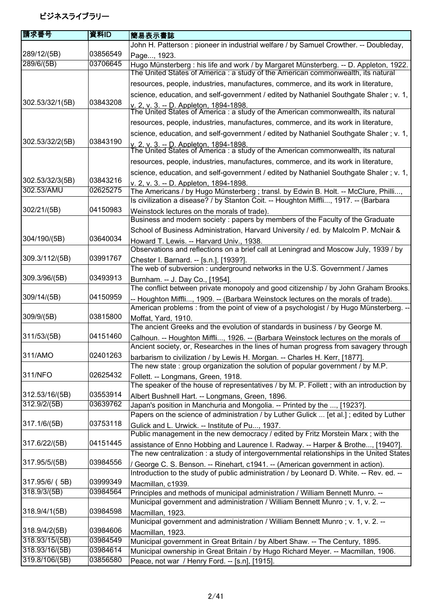| 請求番号            | 資料ID     | 簡易表示書誌                                                                                                                                                                     |
|-----------------|----------|----------------------------------------------------------------------------------------------------------------------------------------------------------------------------|
|                 |          | John H. Patterson: pioneer in industrial welfare / by Samuel Crowther. -- Doubleday,                                                                                       |
| 289/12/(5B)     | 03856549 | Page, 1923.                                                                                                                                                                |
| 289/6/(5B)      | 03706645 | Hugo Münsterberg : his life and work / by Margaret Münsterberg. -- D. Appleton, 1922.                                                                                      |
|                 |          | The United States of America : a study of the American commonwealth, its natural                                                                                           |
|                 |          | resources, people, industries, manufactures, commerce, and its work in literature,                                                                                         |
|                 |          | science, education, and self-government / edited by Nathaniel Southgate Shaler ; v. 1,                                                                                     |
| 302.53/32/1(5B) | 03843208 | v. 2, v. 3. -- D. Appleton, 1894-1898.<br>The United States of America : a study of the American commonwealth, its natural                                                 |
|                 |          | resources, people, industries, manufactures, commerce, and its work in literature,                                                                                         |
|                 |          | science, education, and self-government / edited by Nathaniel Southgate Shaler ; v. 1,                                                                                     |
| 302.53/32/2(5B) | 03843190 |                                                                                                                                                                            |
|                 |          | v. 2, v. 3, -- D. Appleton, 1894-1898.<br>The United States of America : a study of the American commonwealth, its natural                                                 |
|                 |          | resources, people, industries, manufactures, commerce, and its work in literature,                                                                                         |
|                 |          | science, education, and self-government / edited by Nathaniel Southgate Shaler ; v. 1,                                                                                     |
| 302.53/32/3(5B) | 03843216 | v. 2. v. 3. -- D. Appleton. 1894-1898.                                                                                                                                     |
| 302.53/AMU      | 02625275 | The Americans / by Hugo Münsterberg ; transl. by Edwin B. Holt. -- McClure, Philli,                                                                                        |
|                 |          | Is civilization a disease? / by Stanton Coit. -- Houghton Miffli, 1917. -- (Barbara                                                                                        |
| 302/21/(5B)     | 04150983 | Weinstock lectures on the morals of trade).                                                                                                                                |
|                 |          | Business and modern society : papers by members of the Faculty of the Graduate                                                                                             |
| 304/190/(5B)    | 03640034 | School of Business Administration, Harvard University / ed. by Malcolm P. McNair &                                                                                         |
|                 |          | Howard T. Lewis. -- Harvard Univ., 1938.<br>Observations and reflections on a brief call at Leningrad and Moscow July, 1939 / by                                           |
| 309.3/112/(5B)  | 03991767 |                                                                                                                                                                            |
|                 |          | Chester I. Barnard. -- [s.n.], [1939?].<br>The web of subversion: underground networks in the U.S. Government / James                                                      |
| 309.3/96/(5B)   | 03493913 |                                                                                                                                                                            |
|                 |          | Burnham. -- J. Day Co., [1954].<br>The conflict between private monopoly and good citizenship / by John Graham Brooks.                                                     |
| 309/14/(5B)     | 04150959 | -- Houghton Miffli, 1909. -- (Barbara Weinstock lectures on the morals of trade).                                                                                          |
|                 |          | American problems : from the point of view of a psychologist / by Hugo Münsterberg. --                                                                                     |
| 309/9/(5B)      | 03815800 | Moffat, Yard, 1910.                                                                                                                                                        |
|                 |          | The ancient Greeks and the evolution of standards in business / by George M.                                                                                               |
| 311/53/(5B)     | 04151460 | Calhoun. -- Houghton Miffli, 1926. -- (Barbara Weinstock lectures on the morals of                                                                                         |
|                 |          | Ancient society, or, Researches in the lines of human progress from savagery through                                                                                       |
| 311/AMO         | 02401263 | barbarism to civilization / by Lewis H. Morgan. -- Charles H. Kerr, [1877].                                                                                                |
|                 |          | The new state: group organization the solution of popular government / by M.P.                                                                                             |
| 311/NFO         | 02625432 | Follett. -- Longmans, Green, 1918.                                                                                                                                         |
|                 |          | The speaker of the house of representatives / by M. P. Follett; with an introduction by                                                                                    |
| 312.53/16/(5B)  | 03553914 | Albert Bushnell Hart. -- Longmans, Green, 1896.                                                                                                                            |
| 312.9/2/(5B)    | 03639762 | Japan's position in Manchuria and Mongolia. -- Printed by the , [1923?].                                                                                                   |
|                 |          | Papers on the science of administration / by Luther Gulick  [et al.]; edited by Luther                                                                                     |
| 317.1/6/(5B)    | 03753118 | Gulick and L. Urwick. -- Institute of Pu, 1937.                                                                                                                            |
|                 |          | Public management in the new democracy / edited by Fritz Morstein Marx; with the                                                                                           |
| 317.6/22/(5B)   | 04151445 | assistance of Enno Hobbing and Laurence I. Radway. -- Harper & Brothe, [1940?].                                                                                            |
| 317.95/5/(5B)   | 03984556 | The new centralization : a study of intergovernmental relationships in the United States                                                                                   |
|                 |          | / George C. S. Benson. -- Rinehart, c1941. -- (American government in action).<br>Introduction to the study of public administration / by Leonard D. White. -- Rev. ed. -- |
| 317.95/6/ (5B)  | 03999349 |                                                                                                                                                                            |
| 318.9/3/(5B)    | 03984564 | Macmillan, c1939.<br>Principles and methods of municipal administration / William Bennett Munro. --                                                                        |
|                 |          | Municipal government and administration / William Bennett Munro; v. 1, v. 2. --                                                                                            |
| 318.9/4/1(5B)   | 03984598 | Macmillan, 1923.                                                                                                                                                           |
|                 |          | Municipal government and administration / William Bennett Munro; v. 1, v. 2. --                                                                                            |
| 318.9/4/2(5B)   | 03984606 | Macmillan, 1923.                                                                                                                                                           |
| 318.93/15/(5B)  | 03984549 | Municipal government in Great Britain / by Albert Shaw. -- The Century, 1895.                                                                                              |
| 318.93/16/(5B)  | 03984614 | Municipal ownership in Great Britain / by Hugo Richard Meyer. -- Macmillan, 1906.                                                                                          |
| 319.8/106/(5B)  | 03856580 | Peace, not war / Henry Ford. -- [s.n], [1915].                                                                                                                             |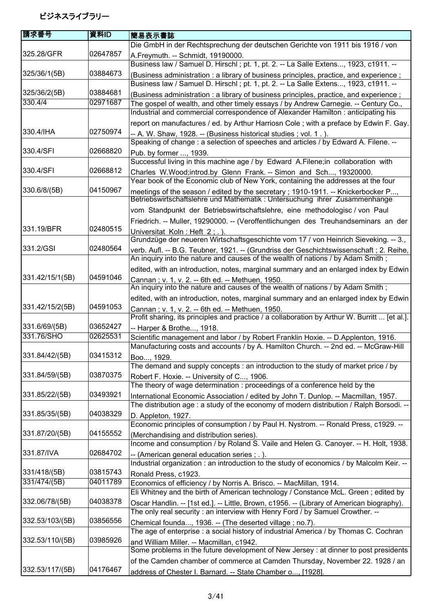| 請求番号            | 資料ID     | 簡易表示書誌                                                                                                                                                                    |
|-----------------|----------|---------------------------------------------------------------------------------------------------------------------------------------------------------------------------|
|                 |          | Die GmbH in der Rechtsprechung der deutschen Gerichte von 1911 bis 1916 / von                                                                                             |
| 325.28/GFR      | 02647857 | A.Freymuth. -- Schmidt, 19190000.                                                                                                                                         |
|                 |          | Business law / Samuel D. Hirschl; pt. 1, pt. 2. -- La Salle Extens, 1923, c1911. --                                                                                       |
| 325/36/1(5B)    | 03884673 | (Business administration : a library of business principles, practice, and experience;                                                                                    |
|                 |          | Business law / Samuel D. Hirschl ; pt. 1, pt. 2. -- La Salle Extens, 1923, c1911. --                                                                                      |
| 325/36/2(5B)    | 03884681 | (Business administration : a library of business principles, practice, and experience;                                                                                    |
| 330.4/4         | 02971687 | The gospel of wealth, and other timely essays / by Andrew Carnegie. -- Century Co.,                                                                                       |
|                 |          | Industrial and commercial correspondence of Alexander Hamilton : anticipating his                                                                                         |
|                 |          | report on manufactures / ed. by Arthur Harriosn Cole; with a preface by Edwin F. Gay.                                                                                     |
| 330.4/IHA       | 02750974 | -- A. W. Shaw, 1928. -- (Business historical studies; vol. 1.).                                                                                                           |
|                 |          | Speaking of change : a selection of speeches and articles / by Edward A. Filene. --                                                                                       |
| 330.4/SFI       | 02668820 | Pub. by former , 1939.                                                                                                                                                    |
|                 |          | Successful living in this machine age / by Edward A.Filene; in collaboration with                                                                                         |
| 330.4/SFI       | 02668812 | Charles W. Wood; introd.by Glenn Frank. -- Simon and Sch, 19320000.                                                                                                       |
|                 |          | Year book of the Economic club of New York, containing the addresses at the four                                                                                          |
| 330.6/8/(5B)    | 04150967 | meetings of the season / edited by the secretary; 1910-1911. -- Knickerbocker P<br>Betriebswirtschaftslehre und Mathematik : Untersuchung ihrer Zusammenhange             |
|                 |          |                                                                                                                                                                           |
|                 |          | vom Standpunkt der Betriebswirtschaftslehre, eine methodologisc / von Paul                                                                                                |
| 331.19/BFR      | 02480515 | Friedrich. -- Muller, 19290000. -- (Veroffentlichungen des Treuhandseminars an der                                                                                        |
|                 |          | Universitat Koln: Heft 2:.)                                                                                                                                               |
| 331.2/GSI       | 02480564 | Grundzüge der neueren Wirtschaftsgeschichte vom 17 / von Heinrich Sieveking. -- 3.,                                                                                       |
|                 |          | verb. Aufl. -- B.G. Teubner, 1921. -- (Grundriss der Geschichtswissenschaft; 2. Reihe,<br>An inquiry into the nature and causes of the wealth of nations / by Adam Smith; |
|                 |          |                                                                                                                                                                           |
| 331.42/15/1(5B) | 04591046 | edited, with an introduction, notes, marginal summary and an enlarged index by Edwin                                                                                      |
|                 |          | Cannan; v. 1, v. 2. -- 6th ed. -- Methuen, 1950.<br>An inquiry into the nature and causes of the wealth of nations / by Adam Smith;                                       |
|                 |          | edited, with an introduction, notes, marginal summary and an enlarged index by Edwin                                                                                      |
| 331.42/15/2(5B) | 04591053 | Cannan; v. 1, v. 2. -- 6th ed. -- Methuen, 1950.                                                                                                                          |
|                 |          | Profit sharing, its principles and practice / a collaboration by Arthur W. Burritt  [et al.].                                                                             |
| 331.6/69/(5B)   | 03652427 | -- Harper & Brothe, 1918.                                                                                                                                                 |
| 331.76/SHO      | 02625531 | Scientific management and labor / by Robert Franklin Hoxie. -- D.Applenton, 1916.                                                                                         |
|                 |          | Manufacturing costs and accounts / by A. Hamilton Church. -- 2nd ed. -- McGraw-Hill                                                                                       |
| 331.84/42/(5B)  | 03415312 | Boo, 1929.                                                                                                                                                                |
|                 |          | The demand and supply concepts : an introduction to the study of market price / by                                                                                        |
| 331.84/59/(5B)  | 03870375 | Robert F. Hoxie. -- University of C, 1906.                                                                                                                                |
|                 |          | The theory of wage determination : proceedings of a conference held by the                                                                                                |
| 331.85/22/(5B)  | 03493921 | International Economic Association / edited by John T. Dunlop. -- Macmillan, 1957.                                                                                        |
|                 |          | The distribution age: a study of the economy of modern distribution / Ralph Borsodi. --                                                                                   |
| 331.85/35/(5B)  | 04038329 | D. Appleton, 1927.                                                                                                                                                        |
|                 |          | Economic principles of consumption / by Paul H. Nystrom. -- Ronald Press, c1929. --                                                                                       |
| 331.87/20/(5B)  | 04155552 | (Merchandising and distribution series).                                                                                                                                  |
|                 |          | Income and consumption / by Roland S. Vaile and Helen G. Canoyer. -- H. Holt, 1938.                                                                                       |
| 331.87/IVA      | 02684702 | -- (American general education series; .).                                                                                                                                |
|                 |          | Industrial organization : an introduction to the study of economics / by Malcolm Keir. --                                                                                 |
| 331/418/(5B)    | 03815743 | Ronald Press, c1923.                                                                                                                                                      |
| 331/474/(5B)    | 04011789 | Economics of efficiency / by Norris A. Brisco. -- MacMillan, 1914.                                                                                                        |
|                 |          | Eli Whitney and the birth of American technology / Constance McL. Green; edited by                                                                                        |
| 332.06/78/(5B)  | 04038378 | Oscar Handlin. -- [1st ed.]. -- Little, Brown, c1956. -- (Library of American biography).                                                                                 |
| 332.53/103/(5B) | 03856556 | The only real security : an interview with Henry Ford / by Samuel Crowther. --                                                                                            |
|                 |          | Chemical founda, 1936. -- (The deserted village ; no.7).<br>The age of enterprise : a social history of industrial America / by Thomas C. Cochran                         |
| 332.53/110/(5B) | 03985926 |                                                                                                                                                                           |
|                 |          | and William Miller. -- Macmillan, c1942.<br>Some problems in the future development of New Jersey : at dinner to post presidents                                          |
|                 |          | of the Camden chamber of commerce at Camden Thursday, November 22. 1928 / an                                                                                              |
| 332.53/117/(5B) | 04176467 |                                                                                                                                                                           |
|                 |          | address of Chester I. Barnard. -- State Chamber o, [1928].                                                                                                                |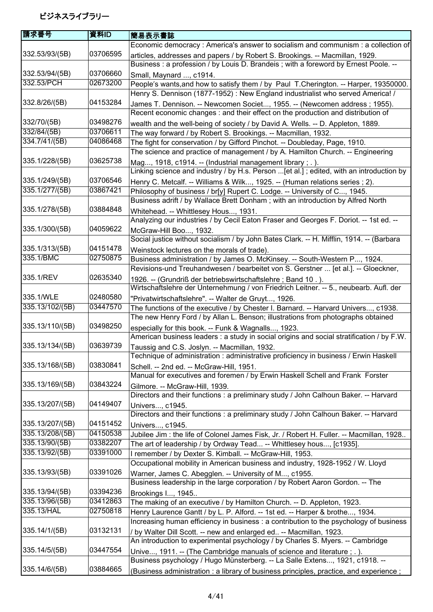| 請求番号            | 資料ID     | 簡易表示書誌                                                                                                                                                         |
|-----------------|----------|----------------------------------------------------------------------------------------------------------------------------------------------------------------|
|                 |          | Economic democracy : America's answer to socialism and communism : a collection of                                                                             |
| 332.53/93/(5B)  | 03706595 | articles, addresses and papers / by Robert S. Brookings. -- Macmillan, 1929.                                                                                   |
|                 |          | Business : a profession / by Louis D. Brandeis ; with a foreword by Ernest Poole. --                                                                           |
| 332.53/94/(5B)  | 03706660 | Small, Maynard , c1914.                                                                                                                                        |
| 332.53/PCH      | 02673200 | People's wants, and how to satisfy them / by Paul T.Cherington. -- Harper, 19350000.                                                                           |
|                 |          | Henry S. Dennison (1877-1952): New England industrialist who served America! /                                                                                 |
| 332.8/26/(5B)   | 04153284 | James T. Dennison. -- Newcomen Societ, 1955. -- (Newcomen address ; 1955).<br>Recent economic changes : and their effect on the production and distribution of |
| 332/70/(5B)     | 03498276 | wealth and the well-being of society / by David A. Wells. -- D. Appleton, 1889.                                                                                |
| 332/84/(5B)     | 03706611 | The way forward / by Robert S. Brookings. -- Macmillan, 1932.                                                                                                  |
| 334.7/41/(5B)   | 04086468 | The fight for conservation / by Gifford Pinchot. -- Doubleday, Page, 1910.                                                                                     |
|                 |          | The science and practice of management / by A. Hamilton Church. -- Engineering                                                                                 |
| 335.1/228/(5B)  | 03625738 | Mag, 1918, c1914. -- (Industrial management library; .).                                                                                                       |
|                 |          | Linking science and industry / by H.s. Person [et al.]; edited, with an introduction by                                                                        |
| 335.1/249/(5B)  | 03706546 | Henry C. Metcalf. -- Williams & Wilk, 1925. -- (Human relations series ; 2).                                                                                   |
| 335.1/277/(5B)  | 03867421 | Philosophy of business / br[y] Rupert C. Lodge. -- University of C, 1945.                                                                                      |
|                 |          | Business adrift / by Wallace Brett Donham; with an introduction by Alfred North                                                                                |
| 335.1/278/(5B)  | 03884848 | Whitehead. -- Whittlesey Hous, 1931.                                                                                                                           |
|                 |          | Analyzing our industries / by Cecil Eaton Fraser and Georges F. Doriot. -- 1st ed. --                                                                          |
| 335.1/300/(5B)  | 04059622 | McGraw-Hill Boo, 1932.                                                                                                                                         |
|                 |          | Social justice without socialism / by John Bates Clark. -- H. Mifflin, 1914. -- (Barbara                                                                       |
| 335.1/313/(5B)  | 04151478 | Weinstock lectures on the morals of trade).                                                                                                                    |
| 335.1/BMC       | 02750875 | Business administration / by James O. McKinsey. -- South-Western P, 1924.                                                                                      |
|                 |          | Revisions-und Treuhandwesen / bearbeitet von S. Gerstner  [et al.]. -- Gloeckner,                                                                              |
| 335.1/REV       | 02635340 | 1926. -- (Grundriß der betriebswirtschaftslehre; Band 10.).                                                                                                    |
|                 |          | Wirtschaftslehre der Unternehmung / von Friedrich Leitner. -- 5., neubearb. Aufl. der                                                                          |
| 335.1/WLE       | 02480580 | "Privatwirtschaftslehre". -- Walter de Gruyt, 1926.                                                                                                            |
| 335.13/102/(5B) | 03447570 | The functions of the executive / by Chester I. Barnard. -- Harvard Univers, c1938.                                                                             |
|                 |          | The new Henry Ford / by Allan L. Benson; illustrations from photographs obtained                                                                               |
| 335.13/110/(5B) | 03498250 | especially for this book. -- Funk & Wagnalls, 1923.<br>American business leaders : a study in social origins and social stratification / by F.W.               |
| 335.13/134/(5B) | 03639739 | Taussig and C.S. Joslyn. -- Macmillan, 1932.                                                                                                                   |
|                 |          | Technique of administration : administrative proficiency in business / Erwin Haskell                                                                           |
| 335.13/168/(5B) | 03830841 | Schell. -- 2nd ed. -- McGraw-Hill, 1951.                                                                                                                       |
|                 |          | Manual for executives and foremen / by Erwin Haskell Schell and Frank Forster                                                                                  |
| 335.13/169/(5B) | 03843224 | Gilmore. -- McGraw-Hill, 1939.                                                                                                                                 |
|                 |          | Directors and their functions : a preliminary study / John Calhoun Baker. -- Harvard                                                                           |
| 335.13/207/(5B) | 04149407 | Univers, c1945.                                                                                                                                                |
|                 |          | Directors and their functions: a preliminary study / John Calhoun Baker. -- Harvard                                                                            |
| 335.13/207/(5B) | 04151452 | Univers, c1945.                                                                                                                                                |
| 335.13/208/(5B) | 04150538 | Jubilee Jim: the life of Colonel James Fisk, Jr. / Robert H. Fuller. -- Macmillan, 1928                                                                        |
| 335.13/90/(5B)  | 03382207 | The art of leadership / by Ordway Tead -- Whittlesey hous, [c1935].                                                                                            |
| 335.13/92/(5B)  | 03391000 | I remember / by Dexter S. Kimball. -- McGraw-Hill, 1953.                                                                                                       |
|                 |          | Occupational mobility in American business and industry, 1928-1952 / W. Lloyd                                                                                  |
| 335.13/93/(5B)  | 03391026 | Warner, James C. Abegglen. -- University of M, c1955.                                                                                                          |
|                 |          | Business leadership in the large corporation / by Robert Aaron Gordon. -- The                                                                                  |
| 335.13/94/(5B)  | 03394236 | Brookings I, 1945                                                                                                                                              |
| 335.13/96/(5B)  | 03412863 | The making of an executive / by Hamilton Church. -- D. Appleton, 1923.                                                                                         |
| 335.13/HAL      | 02750818 | Henry Laurence Gantt / by L. P. Alford. -- 1st ed. -- Harper & brothe, 1934.                                                                                   |
|                 |          | Increasing human efficiency in business : a contribution to the psychology of business                                                                         |
| 335.14/1/(5B)   | 03132131 | / by Walter Dill Scott. -- new and enlarged ed -- Macmillan, 1923.                                                                                             |
|                 |          | An introduction to experimental psychology / by Charles S. Myers. -- Cambridge                                                                                 |
| 335.14/5/(5B)   | 03447554 | Unive, 1911. -- (The Cambridge manuals of science and literature ; . ).                                                                                        |
|                 |          | Business psychology / Hugo Münsterberg. -- La Salle Extens, 1921, c1918. --                                                                                    |
| 335.14/6/(5B)   | 03884665 | (Business administration : a library of business principles, practice, and experience;                                                                         |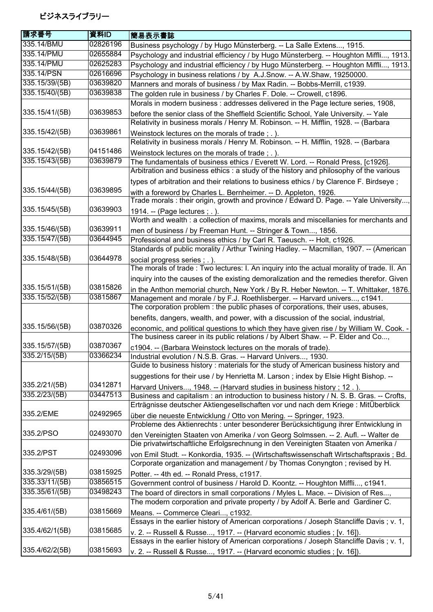| 請求番号           | 資料ID     | 簡易表示書誌                                                                                     |
|----------------|----------|--------------------------------------------------------------------------------------------|
| 335.14/BMU     | 02826196 | Business psychology / by Hugo Münsterberg. -- La Salle Extens, 1915.                       |
| 335.14/PMU     | 02655884 | Psychology and industrial efficiency / by Hugo Münsterberg. -- Houghton Miffli, 1913.      |
| 335.14/PMU     | 02625283 | Psychology and industrial efficiency / by Hugo Münsterberg. -- Houghton Miffli, 1913.      |
| 335.14/PSN     | 02616696 | Psychology in business relations / by A.J.Snow. -- A.W.Shaw, 19250000.                     |
| 335.15/39/(5B) | 03639820 | Manners and morals of business / by Max Radin. -- Bobbs-Merrill, c1939.                    |
| 335.15/40/(5B) | 03639838 | The golden rule in business / by Charles F. Dole. -- Crowell, c1896.                       |
|                |          | Morals in modern business: addresses delivered in the Page lecture series, 1908,           |
| 335.15/41/(5B) | 03639853 | before the senior class of the Sheffield Scientific School, Yale University. -- Yale       |
|                |          | Relativity in business morals / Henry M. Robinson. -- H. Mifflin, 1928. -- (Barbara        |
| 335.15/42/(5B) | 03639861 | Weinstock lectures on the morals of trade; .).                                             |
|                |          | Relativity in business morals / Henry M. Robinson. -- H. Mifflin, 1928. -- (Barbara        |
| 335.15/42/(5B) | 04151486 | Weinstock lectures on the morals of trade; .).                                             |
| 335.15/43/(5B) | 03639879 | The fundamentals of business ethics / Everett W. Lord. -- Ronald Press, [c1926].           |
|                |          | Arbitration and business ethics : a study of the history and philosophy of the various     |
|                |          | types of arbitration and their relations to business ethics / by Clarence F. Birdseye;     |
| 335.15/44/(5B) | 03639895 | with a foreword by Charles L. Bernheimer. -- D. Appleton, 1926.                            |
|                |          | Trade morals: their origin, growth and province / Edward D. Page. -- Yale University,      |
| 335.15/45/(5B) | 03639903 | 1914. -- (Page lectures ; . ).                                                             |
|                |          | Worth and wealth : a collection of maxims, morals and miscellanies for merchants and       |
| 335.15/46/(5B) | 03639911 | men of business / by Freeman Hunt. -- Stringer & Town, 1856.                               |
| 335.15/47/(5B) | 03644945 | Professional and business ethics / by Carl R. Taeusch. -- Holt, c1926.                     |
|                |          | Standards of public morality / Arthur Twining Hadley. -- Macmillan, 1907. -- (American     |
| 335.15/48/(5B) | 03644978 | social progress series ; . ).                                                              |
|                |          | The morals of trade: Two lectures: I. An inquiry into the actual morality of trade. II. An |
|                |          | inquiry into the causes of the existing demoralization and the remedies therefor. Given    |
| 335.15/51/(5B) | 03815826 | in the Anthon memorial church, New York / By R. Heber Newton. -- T. Whittaker, 1876.       |
| 335.15/52/(5B) | 03815867 | Management and morale / by F.J. Roethlisberger. -- Harvard univers, c1941.                 |
|                |          | The corporation problem : the public phases of corporations, their uses, abuses,           |
|                |          | benefits, dangers, wealth, and power, with a discussion of the social, industrial,         |
| 335.15/56/(5B) | 03870326 | economic, and political questions to which they have given rise / by William W. Cook. -    |
|                |          | The business career in its public relations / by Albert Shaw. -- P. Elder and Co,          |
| 335.15/57/(5B) | 03870367 | c1904. -- (Barbara Weinstock lectures on the morals of trade).                             |
| 335.2/15/(5B)  | 03366234 | Industrial evolution / N.S.B. Gras. -- Harvard Univers, 1930.                              |
|                |          | Guide to business history: materials for the study of American business history and        |
|                |          | suggestions for their use / by Henrietta M. Larson; index by Elsie Hight Bishop. --        |
| 335.2/21/(5B)  | 03412871 | Harvard Univers, 1948. -- (Harvard studies in business history; 12.).                      |
| 335.2/23/(5B)  | 03447513 | Business and capitalism : an introduction to business history / N. S. B. Gras. -- Crofts,  |
|                |          | Erträgnisse deutscher Aktiengesellschaften vor und nach dem Kriege : MitÜberblick          |
| 335.2/EME      | 02492965 | über die neueste Entwicklung / Otto von Mering. -- Springer, 1923.                         |
|                |          | Probleme des Aktienrechts : unter besonderer Berücksichtigung ihrer Entwicklung in         |
| 335.2/PSO      | 02493070 | den Vereinigten Staaten von Amerika / von Georg Solmssen. -- 2. Aufl. -- Walter de         |
|                |          | Die privatwirtschaftliche Erfolgsrechnung in den Vereinigten Staaten von Amerika /         |
| 335.2/PST      | 02493096 | von Emil Studt. -- Konkordia, 1935. -- (Wirtschaftswissenschaft Wirtschaftspraxis; Bd.     |
|                |          | Corporate organization and management / by Thomas Conyngton; revised by H.                 |
| 335.3/29/(5B)  | 03815925 | Potter. -- 4th ed. -- Ronald Press, c1917.                                                 |
| 335.33/11/(5B) | 03856515 | Government control of business / Harold D. Koontz. -- Houghton Miffli, c1941.              |
| 335.35/61/(5B) | 03498243 | The board of directors in small corporations / Myles L. Mace. -- Division of Res,          |
|                |          | The modern corporation and private property / by Adolf A. Berle and Gardiner C.            |
| 335.4/61/(5B)  | 03815669 | Means. -- Commerce Cleari, c1932.                                                          |
|                |          | Essays in the earlier history of American corporations / Joseph Stancliffe Davis; v. 1,    |
| 335.4/62/1(5B) | 03815685 | v. 2. -- Russell & Russe, 1917. -- (Harvard economic studies ; [v. 16]).                   |
|                |          | Essays in the earlier history of American corporations / Joseph Stancliffe Davis; v. 1,    |
| 335.4/62/2(5B) | 03815693 | v. 2. -- Russell & Russe, 1917. -- (Harvard economic studies ; [v. 16]).                   |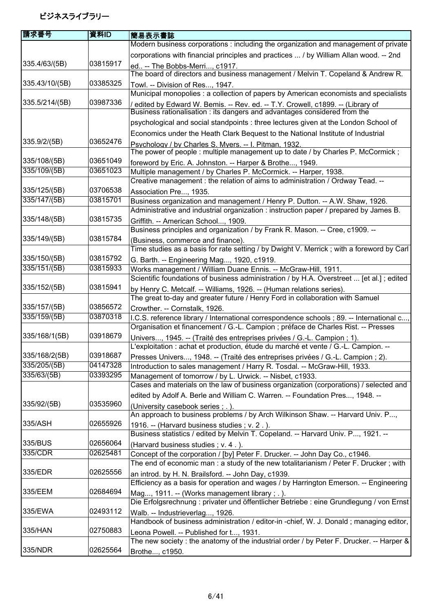| 請求番号           | 資料ID                 | 簡易表示書誌                                                                                                                                                                         |
|----------------|----------------------|--------------------------------------------------------------------------------------------------------------------------------------------------------------------------------|
|                |                      | Modern business corporations : including the organization and management of private                                                                                            |
|                |                      | corporations with financial principles and practices  / by William Allan wood. -- 2nd                                                                                          |
| 335.4/63/(5B)  | 03815917             | ed -- The Bobbs-Merri, c1917.                                                                                                                                                  |
|                |                      | The board of directors and business management / Melvin T. Copeland & Andrew R.                                                                                                |
| 335.43/10/(5B) | 03385325             | Towl. -- Division of Res, 1947.                                                                                                                                                |
|                |                      | Municipal monopolies : a collection of papers by American economists and specialists                                                                                           |
| 335.5/214/(5B) | 03987336             | edited by Edward W. Bemis. -- Rev. ed. -- T.Y. Crowell, c1899. -- (Library of<br>Business rationalisation : its dangers and advantages considered from the                     |
|                |                      | psychological and social standpoints : three lectures given at the London School of                                                                                            |
|                |                      | Economics under the Heath Clark Bequest to the National Institute of Industrial                                                                                                |
| 335.9/2/(5B)   | 03652476             | Psychology / by Charles S. Myers. -- I. Pitman, 1932.<br>The power of people: multiple management up to date / by Charles P. McCormick;                                        |
| 335/108/(5B)   | 03651049             | foreword by Eric. A. Johnston. -- Harper & Brothe, 1949.                                                                                                                       |
| 335/109/(5B)   | 03651023             | Multiple management / by Charles P. McCormick. -- Harper, 1938.                                                                                                                |
|                |                      | Creative management : the relation of aims to administration / Ordway Tead. --                                                                                                 |
| 335/125/(5B)   | 03706538             | Association Pre, 1935.                                                                                                                                                         |
| 335/147/(5B)   | 03815701             | Business organization and management / Henry P. Dutton. -- A.W. Shaw, 1926.                                                                                                    |
|                |                      | Administrative and industrial organization : instruction paper / prepared by James B.                                                                                          |
| 335/148/(5B)   | 03815735             | Griffith. -- American School, 1909.<br>Business principles and organization / by Frank R. Mason. -- Cree, c1909. --                                                            |
| 335/149/(5B)   | 03815784             | (Business, commerce and finance).                                                                                                                                              |
|                |                      | Time studies as a basis for rate setting / by Dwight V. Merrick; with a foreword by Carl                                                                                       |
| 335/150/(5B)   | 03815792             | G. Barth. -- Engineering Mag, 1920, c1919.                                                                                                                                     |
| 335/151/(5B)   | 03815933             | Works management / William Duane Ennis. -- McGraw-Hill, 1911.                                                                                                                  |
|                |                      | Scientific foundations of business administration / by H.A. Overstreet  [et al.]; edited                                                                                       |
| 335/152/(5B)   | 03815941             | by Henry C. Metcalf. -- Williams, 1926. -- (Human relations series).                                                                                                           |
|                |                      | The great to-day and greater future / Henry Ford in collaboration with Samuel                                                                                                  |
| 335/157/(5B)   | 03856572<br>03870318 | Crowther. -- Cornstalk, 1926.                                                                                                                                                  |
| 335/159/(5B)   |                      | I.C.S. reference library / International correspondence schools ; 89. -- International c,<br>Organisation et financement / G.-L. Campion ; préface de Charles Rist. -- Presses |
| 335/168/1(5B)  | 03918679             | Univers, 1945. -- (Traité des entreprises privées / G.-L. Campion ; 1).<br>L'exploitation : achat et production, étude du marché et vente / G.-L. Campion. --                  |
| 335/168/2(5B)  | 03918687             |                                                                                                                                                                                |
| 335/205/(5B)   | 04147328             | Presses Univers, 1948. -- (Traité des entreprises privées / G.-L. Campion ; 2).<br>Introduction to sales management / Harry R. Tosdal. -- McGraw-Hill, 1933.                   |
| 335/63/(5B)    | 03393295             | Management of tomorrow / by L. Urwick. -- Nisbet, c1933.                                                                                                                       |
|                |                      | Cases and materials on the law of business organization (corporations) / selected and                                                                                          |
|                |                      | edited by Adolf A. Berle and William C. Warren. -- Foundation Pres, 1948. --                                                                                                   |
| 335/92/(5B)    | 03535960             | (University casebook series ; .).<br>An approach to business problems / by Arch Wilkinson Shaw. -- Harvard Univ. P,                                                            |
| 335/ASH        | 02655926             | 1916. -- (Harvard business studies; v. 2.).<br>Business statistics / edited by Melvin T. Copeland. -- Harvard Univ. P, 1921. --                                                |
| 335/BUS        | 02656064             | (Harvard business studies; v. 4.).                                                                                                                                             |
| 335/CDR        | 02625481             | Concept of the corporation / [by] Peter F. Drucker. -- John Day Co., c1946.                                                                                                    |
|                |                      | The end of economic man: a study of the new totalitarianism / Peter F. Drucker; with                                                                                           |
| 335/EDR        | 02625556             | an introd. by H. N. Brailsford. -- John Day, c1939.<br>Efficiency as a basis for operation and wages / by Harrington Emerson. -- Engineering                                   |
| 335/EEM        | 02684694             | Mag, 1911. -- (Works management library; .).                                                                                                                                   |
|                | 02493112             | Die Erfolgsrechnung : privater und öffentlicher Betriebe : eine Grundlegung / von Ernst                                                                                        |
| 335/EWA        |                      | Walb. -- Industrieverlag, 1926.                                                                                                                                                |
| 335/HAN        | 02750883             | Handbook of business administration / editor-in -chief, W. J. Donald; managing editor,                                                                                         |
|                |                      | Leona Powell. -- Published for t, 1931.<br>The new society : the anatomy of the industrial order / by Peter F. Drucker. -- Harper &                                            |
| 335/NDR        | 02625564             | Brothe, c1950.                                                                                                                                                                 |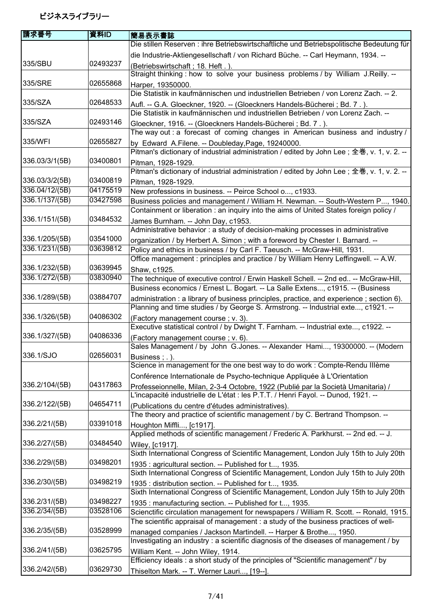| 請求番号           | 資料ID     | 簡易表示書誌                                                                                                                               |
|----------------|----------|--------------------------------------------------------------------------------------------------------------------------------------|
|                |          | Die stillen Reserven : ihre Betriebswirtschaftliche und Betriebspolitische Bedeutung für                                             |
|                |          | die Industrie-Aktiengesellschaft / von Richard Büche. -- Carl Heymann, 1934. --                                                      |
| 335/SBU        | 02493237 | (Betriebswirtschaft; 18. Heft.).                                                                                                     |
|                |          | Straight thinking : how to solve your business problems / by William J.Reilly. --                                                    |
| 335/SRE        | 02655868 | Harper, 19350000.                                                                                                                    |
|                |          | Die Statistik in kaufmännischen und industriellen Betrieben / von Lorenz Zach. -- 2.                                                 |
| 335/SZA        | 02648533 | Aufl. -- G.A. Gloeckner, 1920. -- (Gloeckners Handels-Bücherei; Bd. 7.).                                                             |
|                |          | Die Statistik in kaufmännischen und industriellen Betrieben / von Lorenz Zach. --                                                    |
| 335/SZA        | 02493146 | Gloeckner, 1916. -- (Gloeckners Handels-Bücherei; Bd. 7.).                                                                           |
|                |          | The way out : a forecast of coming changes in American business and industry /                                                       |
| 335/WFI        | 02655827 | by Edward A.Filene. -- Doubleday, Page, 19240000.                                                                                    |
|                |          | Pitman's dictionary of industrial administration / edited by John Lee; 全巻, v. 1, v. 2. --                                            |
| 336.03/3/1(5B) | 03400801 | Pitman, 1928-1929.                                                                                                                   |
|                |          | Pitman's dictionary of industrial administration / edited by John Lee; 全巻, v. 1, v. 2. --                                            |
| 336.03/3/2(5B) | 03400819 | Pitman, 1928-1929.                                                                                                                   |
| 336.04/12/(5B) | 04175519 | New professions in business. -- Peirce School o, c1933.                                                                              |
| 336.1/137/(5B) | 03427598 | Business policies and management / William H. Newman. -- South-Western P, 1940.                                                      |
|                |          | Containment or liberation: an inquiry into the aims of United States foreign policy /                                                |
| 336.1/151/(5B) | 03484532 | James Burnham. -- John Day, c1953.                                                                                                   |
|                |          | Administrative behavior : a study of decision-making processes in administrative                                                     |
| 336.1/205/(5B) | 03541000 | organization / by Herbert A. Simon; with a foreword by Chester I. Barnard. --                                                        |
| 336.1/231/(5B) | 03639812 | Policy and ethics in business / by Carl F. Taeusch. -- McGraw-Hill, 1931.                                                            |
|                |          | Office management : principles and practice / by William Henry Leffingwell. -- A.W.                                                  |
| 336.1/232/(5B) | 03639945 | Shaw, c1925.                                                                                                                         |
| 336.1/272/(5B) | 03830940 | The technique of executive control / Erwin Haskell Schell. -- 2nd ed -- McGraw-Hill,                                                 |
|                |          | Business economics / Ernest L. Bogart. -- La Salle Extens, c1915. -- (Business                                                       |
| 336.1/289/(5B) | 03884707 | administration : a library of business principles, practice, and experience ; section 6).                                            |
|                |          | Planning and time studies / by George S. Armstrong. -- Industrial exte, c1921. --                                                    |
| 336.1/326/(5B) | 04086302 | (Factory management course; v. 3).                                                                                                   |
|                |          | Executive statistical control / by Dwight T. Farnham. -- Industrial exte, c1922. --                                                  |
| 336.1/327/(5B) | 04086336 | (Factory management course; v. 6).                                                                                                   |
|                |          | Sales Management / by John G.Jones. -- Alexander Hami, 19300000. -- (Modern                                                          |
| 336.1/SJO      | 02656031 | Business; .).                                                                                                                        |
|                |          | Science in management for the one best way to do work : Compte-Rendu Illème                                                          |
| 336.2/104/(5B) | 04317863 | Conférence Internationale de Psycho-technique Appliquée à L'Orientation                                                              |
|                |          | Professeionnelle, Milan, 2-3-4 Octobre, 1922 (Publié par la Società Umanitaria) /                                                    |
| 336.2/122/(5B) | 04654711 | L'incapacité industrielle de L'état : les P.T.T. / Henri Fayol. -- Dunod, 1921. --                                                   |
|                |          | (Publications du centre d'études administratives).<br>The theory and practice of scientific management / by C. Bertrand Thompson. -- |
| 336.2/21/(5B)  | 03391018 |                                                                                                                                      |
|                |          | Houghton Miffli, [c1917].<br>Applied methods of scientific management / Frederic A. Parkhurst. -- 2nd ed. -- J.                      |
| 336.2/27/(5B)  | 03484540 | Wiley, [c1917]                                                                                                                       |
|                |          | Sixth International Congress of Scientific Management, London July 15th to July 20th                                                 |
| 336.2/29/(5B)  | 03498201 | 1935: agricultural section. -- Published for t, 1935.                                                                                |
|                |          | Sixth International Congress of Scientific Management, London July 15th to July 20th                                                 |
| 336.2/30/(5B)  | 03498219 | 1935: distribution section. -- Published for t, 1935.                                                                                |
|                |          | Sixth International Congress of Scientific Management, London July 15th to July 20th                                                 |
| 336.2/31/(5B)  | 03498227 | 1935: manufacturing section. -- Published for t, 1935.                                                                               |
| 336.2/34/(5B)  | 03528106 | Scienctific circulation management for newspapers / William R. Scott. -- Ronald, 1915.                                               |
|                |          | The scientific appraisal of management : a study of the business practices of well-                                                  |
| 336.2/35/(5B)  | 03528999 | managed companies / Jackson Martindell. -- Harper & Brothe, 1950.                                                                    |
|                |          | Investigating an industry : a scientific diagnosis of the diseases of management / by                                                |
| 336.2/41/(5B)  | 03625795 | William Kent. -- John Wiley, 1914.                                                                                                   |
|                |          | Efficiency ideals: a short study of the principles of "Scientific management" / by                                                   |
| 336.2/42/(5B)  | 03629730 | Thiselton Mark. -- T. Werner Lauri, [19--].                                                                                          |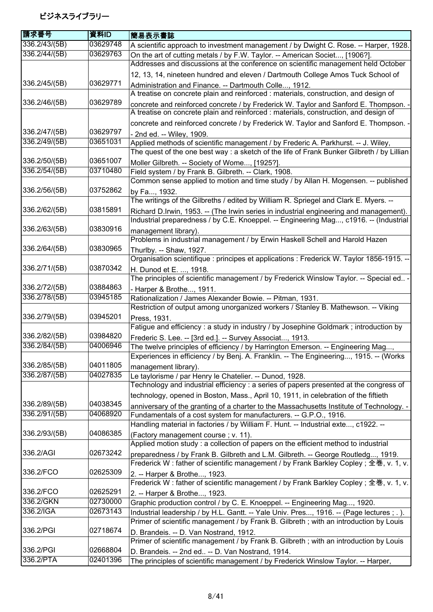| 請求番号          | 資料ID     | 簡易表示書誌                                                                                                                                                                          |
|---------------|----------|---------------------------------------------------------------------------------------------------------------------------------------------------------------------------------|
| 336.2/43/(5B) | 03629748 | A scientific approach to investment management / by Dwight C. Rose. -- Harper, 1928.                                                                                            |
| 336.2/44/(5B) | 03629763 | On the art of cutting metals / by F.W. Taylor. -- American Societ, [1906?].<br>Addresses and discussions at the conference on scientific management held October                |
|               |          | 12, 13, 14, nineteen hundred and eleven / Dartmouth College Amos Tuck School of                                                                                                 |
| 336.2/45/(5B) | 03629771 | Administration and Finance. -- Dartmouth Colle, 1912.<br>A treatise on concrete plain and reinforced : materials, construction, and design of                                   |
| 336.2/46/(5B) | 03629789 | concrete and reinforced concrete / by Frederick W. Taylor and Sanford E. Thompson. -                                                                                            |
|               |          | A treatise on concrete plain and reinforced : materials, construction, and design of<br>concrete and reinforced concrete / by Frederick W. Taylor and Sanford E. Thompson. -    |
| 336.2/47/(5B) | 03629797 | - 2nd ed. -- Wiley, 1909.                                                                                                                                                       |
| 336.2/49/(5B) | 03651031 | Applied methods of scientific management / by Frederic A. Parkhurst. -- J. Wiley,                                                                                               |
|               |          | The quest of the one best way : a sketch of the life of Frank Bunker Gilbreth / by Lillian                                                                                      |
| 336.2/50/(5B) | 03651007 | Moller Gilbreth. -- Society of Wome, [1925?].                                                                                                                                   |
| 336.2/54/(5B) | 03710480 | Field system / by Frank B. Gilbreth. -- Clark, 1908.                                                                                                                            |
|               |          | Common sense applied to motion and time study / by Allan H. Mogensen. -- published                                                                                              |
| 336.2/56/(5B) | 03752862 | by Fa, 1932.                                                                                                                                                                    |
|               |          | The writings of the Gilbreths / edited by William R. Spriegel and Clark E. Myers. --                                                                                            |
| 336.2/62/(5B) | 03815891 | Richard D.Irwin, 1953. -- (The Irwin series in industrial engineering and management).<br>Industrial preparedness / by C.E. Knoeppel. -- Engineering Mag, c1916. -- (Industrial |
| 336.2/63/(5B) | 03830916 | management library).                                                                                                                                                            |
|               |          | Problems in industrial management / by Erwin Haskell Schell and Harold Hazen                                                                                                    |
| 336.2/64/(5B) | 03830965 | Thurlby. -- Shaw, 1927.                                                                                                                                                         |
|               |          | Organisation scientifique : principes et applications : Frederick W. Taylor 1856-1915. --                                                                                       |
| 336.2/71/(5B) | 03870342 | H. Dunod et E. , 1918.                                                                                                                                                          |
|               |          | The principles of scientific management / by Frederick Winslow Taylor. -- Special ed -                                                                                          |
| 336.2/72/(5B) | 03884863 | - Harper & Brothe, 1911.                                                                                                                                                        |
| 336.2/78/(5B) | 03945185 | Rationalization / James Alexander Bowie. -- Pitman, 1931.                                                                                                                       |
|               |          | Restriction of output among unorganized workers / Stanley B. Mathewson. -- Viking                                                                                               |
| 336.2/79/(5B) | 03945201 | Press, 1931.                                                                                                                                                                    |
|               |          | Fatigue and efficiency: a study in industry / by Josephine Goldmark; introduction by                                                                                            |
| 336.2/82/(5B) | 03984820 | Frederic S. Lee. -- [3rd ed.]. -- Survey Associat, 1913.                                                                                                                        |
| 336.2/84/(5B) | 04006946 | The twelve principles of efficiency / by Harrington Emerson. -- Engineering Mag,                                                                                                |
|               |          | Experiences in efficiency / by Benj. A. Franklin. -- The Engineering, 1915. -- (Works                                                                                           |
| 336.2/85/(5B) | 04011805 | management library).                                                                                                                                                            |
| 336.2/87/(5B) | 04027835 | Le taylorisme / par Henry le Chatelier. -- Dunod, 1928.                                                                                                                         |
|               |          | Technology and industrial efficiency : a series of papers presented at the congress of                                                                                          |
|               |          | technology, opened in Boston, Mass., April 10, 1911, in celebration of the fiftieth                                                                                             |
| 336.2/89/(5B) | 04038345 | anniversary of the granting of a charter to the Massachusetts Institute of Technology. -                                                                                        |
| 336.2/91/(5B) | 04068920 | Fundamentals of a cost system for manufacturers. -- G.P.O., 1916.                                                                                                               |
|               |          | Handling material in factories / by William F. Hunt. -- Industrial exte, c1922. --                                                                                              |
| 336.2/93/(5B) | 04086385 | (Factory management course; v. 11).<br>Applied motion study : a collection of papers on the efficient method to industrial                                                      |
| 336.2/AGI     | 02673242 | preparedness / by Frank B. Gilbreth and L.M. Gilbreth. -- George Routledg, 1919.                                                                                                |
|               |          | Frederick W: father of scientific management / by Frank Barkley Copley ; 全巻, v. 1, v.                                                                                           |
| 336.2/FCO     | 02625309 | 2. -- Harper & Brothe, 1923.                                                                                                                                                    |
|               |          | Frederick W: father of scientific management / by Frank Barkley Copley; 全巻, v. 1, v.                                                                                            |
| 336.2/FCO     | 02625291 | 2. -- Harper & Brothe, 1923.                                                                                                                                                    |
| 336.2/GKN     | 02730000 | Graphic production control / by C. E. Knoeppel. -- Engineering Mag, 1920.                                                                                                       |
| 336.2/IGA     | 02673143 | Industrial leadership / by H.L. Gantt. -- Yale Univ. Pres, 1916. -- (Page lectures ; .).                                                                                        |
|               |          | Primer of scientific management / by Frank B. Gilbreth; with an introduction by Louis                                                                                           |
| 336.2/PGI     | 02718674 | D. Brandeis. -- D. Van Nostrand, 1912.                                                                                                                                          |
|               |          | Primer of scientific management / by Frank B. Gilbreth; with an introduction by Louis                                                                                           |
| 336.2/PGI     | 02668804 | D. Brandeis. -- 2nd ed -- D. Van Nostrand, 1914.                                                                                                                                |
| 336.2/PTA     | 02401396 | The principles of scientific management / by Frederick Winslow Taylor. -- Harper,                                                                                               |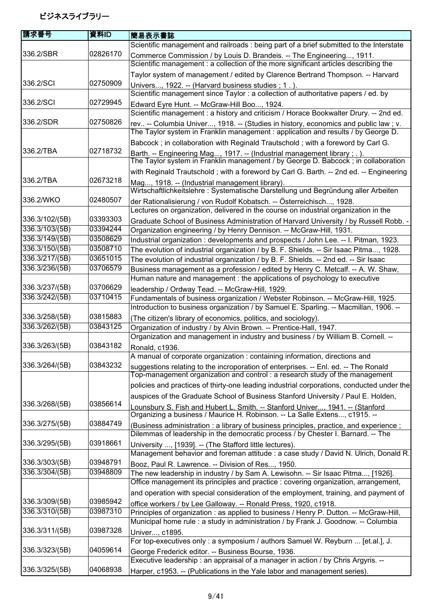| 請求番号           | 資料ID     | 簡易表示書誌                                                                                                                                                          |
|----------------|----------|-----------------------------------------------------------------------------------------------------------------------------------------------------------------|
|                |          | Scientific management and railroads : being part of a brief submitted to the Interstate                                                                         |
| 336.2/SBR      | 02826170 | Commerce Commission / by Louis D. Brandeis. -- The Engineering, 1911.                                                                                           |
|                |          | Scientific management : a collection of the more significant articles describing the                                                                            |
|                |          | Taylor system of management / edited by Clarence Bertrand Thompson. -- Harvard                                                                                  |
| 336.2/SCI      | 02750909 | Univers, 1922. -- (Harvard business studies; 1.).                                                                                                               |
|                |          | Scientific management since Taylor : a collection of authoritative papers / ed. by                                                                              |
| 336.2/SCI      | 02729945 | Edward Eyre Hunt. -- McGraw-Hill Boo, 1924.                                                                                                                     |
|                |          | Scientific management : a history and criticism / Horace Bookwalter Drury. -- 2nd ed.                                                                           |
| 336.2/SDR      | 02750826 | rev -- Columbia Univer, 1918. -- (Studies in history, economics and public law; v.                                                                              |
|                |          | The Taylor system in Franklin management : application and results / by George D.                                                                               |
|                |          | Babcock; in collaboration with Reginald Trautschold; with a foreword by Carl G.                                                                                 |
| 336.2/TBA      | 02718732 |                                                                                                                                                                 |
|                |          | Barth. -- Engineering Mag, 1917. -- (Industrial management library ; . ).<br>The Taylor system in Franklin management / by George D. Babcock ; in collaboration |
|                |          | with Reginald Trautschold; with a foreword by Carl G. Barth. -- 2nd ed. -- Engineering                                                                          |
| 336.2/TBA      | 02673218 | Mag, 1918. -- (Industrial management library).                                                                                                                  |
|                |          | Wirtschaftlichkeitslehre: Systematische Darstellung und Begründung aller Arbeiten                                                                               |
| 336.2/WKO      | 02480507 | der Rationalisierung / von Rudolf Kobatsch. -- Österreichisch, 1928.                                                                                            |
|                |          | Lectures on organization, delivered in the course on industrial organization in the                                                                             |
| 336.3/102/(5B) | 03393303 | Graduate School of Business Administration of Harvard University / by Russell Robb. -                                                                           |
| 336.3/103/(5B) | 03394244 | Organization engineering / by Henry Dennison. -- McGraw-Hill, 1931.                                                                                             |
| 336.3/149/(5B) | 03508629 | Industrial organization: developments and prospects / John Lee. -- I. Pitman, 1923.                                                                             |
| 336.3/150/(5B) | 03508710 | The evolution of industrial organization / by B. F. Shields. -- Sir Isaac Pitma, 1928.                                                                          |
| 336.3/217/(5B) | 03651015 | The evolution of industrial organization / by B. F. Shields. -- 2nd ed. -- Sir Isaac                                                                            |
| 336.3/236/(5B) | 03706579 | Business management as a profession / edited by Henry C. Metcalf. -- A. W. Shaw,                                                                                |
|                |          | Human nature and management : the applications of psychology to executive                                                                                       |
| 336.3/237/(5B) | 03706629 | leadership / Ordway Tead. -- McGraw-Hill, 1929.                                                                                                                 |
| 336.3/242/(5B) | 03710415 | Fundamentals of business organization / Webster Robinson. -- McGraw-Hill, 1925.                                                                                 |
|                |          | Introduction to business organization / by Samuel E. Sparling. -- Macmillan, 1906. --                                                                           |
| 336.3/258/(5B) | 03815883 | (The citizen's library of economics, politics, and sociology).                                                                                                  |
| 336.3/262/(5B) | 03843125 | Organization of industry / by Alvin Brown. -- Prentice-Hall, 1947.                                                                                              |
|                |          | Organization and management in industry and business / by William B. Cornell. --                                                                                |
| 336.3/263/(5B) | 03843182 | Ronald, c1936.                                                                                                                                                  |
|                |          | A manual of corporate organization : containing information, directions and                                                                                     |
| 336.3/264/(5B) | 03843232 | suggestions relating to the incroporation of enterprises. -- Enl. ed. -- The Ronald                                                                             |
|                |          | Top-management organization and control : a research study of the management                                                                                    |
|                |          | policies and practices of thirty-one leading industrial corporations, conducted under the                                                                       |
|                |          | auspices of the Graduate School of Business Stanford University / Paul E. Holden,                                                                               |
| 336.3/268/(5B) | 03856614 | Lounsbury S. Fish and Hubert L. Smith. -- Stanford Univer 1941. -- (Stanford                                                                                    |
|                |          | Organizing a business / Maurice H. Robinson. -- La Salle Extens, c1915. --                                                                                      |
| 336.3/275/(5B) | 03884749 | (Business administration: a library of business principles, practice, and experience;                                                                           |
|                |          | Dilemmas of leadership in the democratic process / by Chester I. Barnard. -- The                                                                                |
| 336.3/295/(5B) | 03918661 | University , [1939]. -- (The Stafford little lectures).                                                                                                         |
|                |          | Management behavior and foreman attitude : a case study / David N. Ulrich, Donald R.                                                                            |
| 336.3/303/(5B) | 03948791 | Booz, Paul R. Lawrence. -- Division of Res, 1950.                                                                                                               |
| 336.3/304/(5B) | 03948809 | The new leadership in industry / by Sam A. Lewisohn. -- Sir Isaac Pitma, [1926].                                                                                |
|                |          | Office management its principles and practice : covering organization, arrangement,                                                                             |
|                |          | and operation with special consideration of the employment, training, and payment of                                                                            |
| 336.3/309/(5B) | 03985942 | office workers / by Lee Galloway. -- Ronald Press, 1920, c1918.                                                                                                 |
| 336.3/310/(5B) | 03987310 | Principles of organization : as applied to business / Henry P. Dutton. -- McGraw-Hill,                                                                          |
|                |          | Municipal home rule : a study in administration / by Frank J. Goodnow. -- Columbia                                                                              |
| 336.3/311/(5B) | 03987328 | Univer, c1895.                                                                                                                                                  |
|                |          | For top-executives only : a symposium / authors Samuel W. Reyburn  [et.al.], J.                                                                                 |
| 336.3/323/(5B) | 04059614 | George Frederick editor. -- Business Bourse, 1936.                                                                                                              |
|                |          | Executive leadership : an appraisal of a manager in action / by Chris Argyris. --                                                                               |
| 336.3/325/(5B) | 04068938 | Harper, c1953. -- (Publications in the Yale labor and management series).                                                                                       |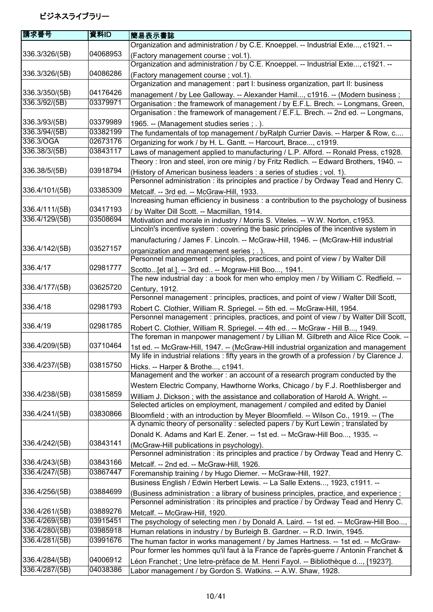| Organization and administration / by C.E. Knoeppel. -- Industrial Exte, c1921. --<br>336.3/326/(5B)<br>04068953<br>(Factory management course; vol.1).<br>Organization and administration / by C.E. Knoeppel. -- Industrial Exte, c1921. --<br>336.3/326/(5B)<br>04086286<br>(Factory management course; vol.1).<br>Organization and management : part I: business organization, part II: business<br>336.3/350/(5B)<br>04176426<br>management / by Lee Galloway. -- Alexander Hamil, c1916. -- (Modern business;<br>336.3/92/(5B)<br>03379971<br>Organisation: the framework of management / by E.F.L. Brech. -- Longmans, Green,<br>Organisation: the framework of management / E.F.L. Brech. -- 2nd ed. -- Longmans,<br>336.3/93/(5B)<br>03379989<br>1965. -- (Management studies series ; .).<br>336.3/94/(5B)<br>03382199<br>The fundamentals of top management / byRalph Currier Davis. -- Harper & Row, c<br>336.3/OGA<br>02673176<br>Organizing for work / by H. L. Gantt. -- Harcourt, Brace, c1919.<br>336.38/3/(5B)<br>03843117<br>Laws of management applied to manufacturing / L.P. Alford. -- Ronald Press, c1928.<br>Theory: Iron and steel, iron ore minig / by Fritz Redlich. -- Edward Brothers, 1940. --<br>03918794<br>336.38/5/(5B)<br>(History of American business leaders : a series of studies ; vol. 1).<br>Personnel administration : its principles and practice / by Ordway Tead and Henry C.<br>336.4/101/(5B)<br>03385309<br>Metcalf. -- 3rd ed. -- McGraw-Hill, 1933.<br>Increasing human efficiency in business : a contribution to the psychology of business<br>336.4/111/(5B)<br>03417193<br>/ by Walter Dill Scott. -- Macmillan, 1914.<br>336.4/129/(5B)<br>03508694<br>Motivation and morale in industry / Morris S. Viteles. -- W.W. Norton, c1953.<br>Lincoln's incentive system : covering the basic principles of the incentive system in<br>manufacturing / James F. Lincoln. -- McGraw-Hill, 1946. -- (McGraw-Hill industrial<br>336.4/142/(5B)<br>03527157<br>organization and management series; .).<br>Personnel management : principles, practices, and point of view / by Walter Dill<br>336.4/17<br>02981777<br>Scotto[et al.]. -- 3rd ed -- Mcgraw-Hill Boo, 1941.<br>The new industrial day : a book for men who employ men / by William C. Redfield. --<br>336.4/177/(5B)<br>03625720<br>Century, 1912.<br>Personnel management : principles, practices, and point of view / Walter Dill Scott,<br>336.4/18<br>02981793<br>Robert C. Clothier, William R. Spriegel. -- 5th ed. -- McGraw-Hill, 1954.<br>Personnel management : principles, practices, and point of view / by Walter Dill Scott,<br>336.4/19<br>02981785<br>Robert C. Clothier, William R. Spriegel. -- 4th ed -- McGraw - Hill B, 1949.<br>The foreman in manpower management / by Lillian M. Gilbreth and Alice Rice Cook. --<br>336.4/209/(5B)<br>03710464<br>1st ed. -- McGraw-Hill, 1947. -- (McGraw-Hill industrial organization and management<br>My life in industrial relations : fifty years in the growth of a profession / by Clarence J.<br>336.4/237/(5B)<br>03815750<br>Hicks. -- Harper & Brothe, c1941.<br>Management and the worker: an account of a research program conducted by the<br>Western Electric Company, Hawthorne Works, Chicago / by F.J. Roethlisberger and<br>03815859<br>336.4/238/(5B)<br>William J. Dickson; with the assistance and collaboration of Harold A. Wright. --<br>Selected articles on employment, management / compiled and edited by Daniel<br>03830866<br>336.4/241/(5B)<br>Bloomfield; with an introduction by Meyer Bloomfield. -- Wilson Co., 1919. -- (The<br>A dynamic theory of personality : selected papers / by Kurt Lewin; translated by<br>Donald K. Adams and Karl E. Zener. -- 1st ed. -- McGraw-Hill Boo, 1935. --<br>336.4/242/(5B)<br>03843141<br>(McGraw-Hill publications in psychology).<br>Personnel administration : its principles and practice / by Ordway Tead and Henry C.<br>03843166<br>336.4/243/(5B)<br>Metcalf. -- 2nd ed. -- McGraw-Hill, 1926.<br>336.4/247/(5B)<br>03867447<br>Foremanship training / by Hugo Diemer. -- McGraw-Hill, 1927.<br>Business English / Edwin Herbert Lewis. -- La Salle Extens, 1923, c1911. --<br>336.4/256/(5B)<br>03884699<br>(Business administration : a library of business principles, practice, and experience;<br>Personnel administration : its principles and practice / by Ordway Tead and Henry C. | 請求番号           | 資料ID     | 簡易表示書誌                         |
|-----------------------------------------------------------------------------------------------------------------------------------------------------------------------------------------------------------------------------------------------------------------------------------------------------------------------------------------------------------------------------------------------------------------------------------------------------------------------------------------------------------------------------------------------------------------------------------------------------------------------------------------------------------------------------------------------------------------------------------------------------------------------------------------------------------------------------------------------------------------------------------------------------------------------------------------------------------------------------------------------------------------------------------------------------------------------------------------------------------------------------------------------------------------------------------------------------------------------------------------------------------------------------------------------------------------------------------------------------------------------------------------------------------------------------------------------------------------------------------------------------------------------------------------------------------------------------------------------------------------------------------------------------------------------------------------------------------------------------------------------------------------------------------------------------------------------------------------------------------------------------------------------------------------------------------------------------------------------------------------------------------------------------------------------------------------------------------------------------------------------------------------------------------------------------------------------------------------------------------------------------------------------------------------------------------------------------------------------------------------------------------------------------------------------------------------------------------------------------------------------------------------------------------------------------------------------------------------------------------------------------------------------------------------------------------------------------------------------------------------------------------------------------------------------------------------------------------------------------------------------------------------------------------------------------------------------------------------------------------------------------------------------------------------------------------------------------------------------------------------------------------------------------------------------------------------------------------------------------------------------------------------------------------------------------------------------------------------------------------------------------------------------------------------------------------------------------------------------------------------------------------------------------------------------------------------------------------------------------------------------------------------------------------------------------------------------------------------------------------------------------------------------------------------------------------------------------------------------------------------------------------------------------------------------------------------------------------------------------------------------------------------------------------------------------------------------------------------------------------------------------------------------------------------------------------------------------------------------------------------------------------------------------------------------------------------------------------------------------------------------------------------------------------------------------------------------------|----------------|----------|--------------------------------|
|                                                                                                                                                                                                                                                                                                                                                                                                                                                                                                                                                                                                                                                                                                                                                                                                                                                                                                                                                                                                                                                                                                                                                                                                                                                                                                                                                                                                                                                                                                                                                                                                                                                                                                                                                                                                                                                                                                                                                                                                                                                                                                                                                                                                                                                                                                                                                                                                                                                                                                                                                                                                                                                                                                                                                                                                                                                                                                                                                                                                                                                                                                                                                                                                                                                                                                                                                                                                                                                                                                                                                                                                                                                                                                                                                                                                                                                                                                                                                                                                                                                                                                                                                                                                                                                                                                                                                                                                                                                     |                |          |                                |
|                                                                                                                                                                                                                                                                                                                                                                                                                                                                                                                                                                                                                                                                                                                                                                                                                                                                                                                                                                                                                                                                                                                                                                                                                                                                                                                                                                                                                                                                                                                                                                                                                                                                                                                                                                                                                                                                                                                                                                                                                                                                                                                                                                                                                                                                                                                                                                                                                                                                                                                                                                                                                                                                                                                                                                                                                                                                                                                                                                                                                                                                                                                                                                                                                                                                                                                                                                                                                                                                                                                                                                                                                                                                                                                                                                                                                                                                                                                                                                                                                                                                                                                                                                                                                                                                                                                                                                                                                                                     |                |          |                                |
|                                                                                                                                                                                                                                                                                                                                                                                                                                                                                                                                                                                                                                                                                                                                                                                                                                                                                                                                                                                                                                                                                                                                                                                                                                                                                                                                                                                                                                                                                                                                                                                                                                                                                                                                                                                                                                                                                                                                                                                                                                                                                                                                                                                                                                                                                                                                                                                                                                                                                                                                                                                                                                                                                                                                                                                                                                                                                                                                                                                                                                                                                                                                                                                                                                                                                                                                                                                                                                                                                                                                                                                                                                                                                                                                                                                                                                                                                                                                                                                                                                                                                                                                                                                                                                                                                                                                                                                                                                                     |                |          |                                |
|                                                                                                                                                                                                                                                                                                                                                                                                                                                                                                                                                                                                                                                                                                                                                                                                                                                                                                                                                                                                                                                                                                                                                                                                                                                                                                                                                                                                                                                                                                                                                                                                                                                                                                                                                                                                                                                                                                                                                                                                                                                                                                                                                                                                                                                                                                                                                                                                                                                                                                                                                                                                                                                                                                                                                                                                                                                                                                                                                                                                                                                                                                                                                                                                                                                                                                                                                                                                                                                                                                                                                                                                                                                                                                                                                                                                                                                                                                                                                                                                                                                                                                                                                                                                                                                                                                                                                                                                                                                     |                |          |                                |
|                                                                                                                                                                                                                                                                                                                                                                                                                                                                                                                                                                                                                                                                                                                                                                                                                                                                                                                                                                                                                                                                                                                                                                                                                                                                                                                                                                                                                                                                                                                                                                                                                                                                                                                                                                                                                                                                                                                                                                                                                                                                                                                                                                                                                                                                                                                                                                                                                                                                                                                                                                                                                                                                                                                                                                                                                                                                                                                                                                                                                                                                                                                                                                                                                                                                                                                                                                                                                                                                                                                                                                                                                                                                                                                                                                                                                                                                                                                                                                                                                                                                                                                                                                                                                                                                                                                                                                                                                                                     |                |          |                                |
|                                                                                                                                                                                                                                                                                                                                                                                                                                                                                                                                                                                                                                                                                                                                                                                                                                                                                                                                                                                                                                                                                                                                                                                                                                                                                                                                                                                                                                                                                                                                                                                                                                                                                                                                                                                                                                                                                                                                                                                                                                                                                                                                                                                                                                                                                                                                                                                                                                                                                                                                                                                                                                                                                                                                                                                                                                                                                                                                                                                                                                                                                                                                                                                                                                                                                                                                                                                                                                                                                                                                                                                                                                                                                                                                                                                                                                                                                                                                                                                                                                                                                                                                                                                                                                                                                                                                                                                                                                                     |                |          |                                |
|                                                                                                                                                                                                                                                                                                                                                                                                                                                                                                                                                                                                                                                                                                                                                                                                                                                                                                                                                                                                                                                                                                                                                                                                                                                                                                                                                                                                                                                                                                                                                                                                                                                                                                                                                                                                                                                                                                                                                                                                                                                                                                                                                                                                                                                                                                                                                                                                                                                                                                                                                                                                                                                                                                                                                                                                                                                                                                                                                                                                                                                                                                                                                                                                                                                                                                                                                                                                                                                                                                                                                                                                                                                                                                                                                                                                                                                                                                                                                                                                                                                                                                                                                                                                                                                                                                                                                                                                                                                     |                |          |                                |
|                                                                                                                                                                                                                                                                                                                                                                                                                                                                                                                                                                                                                                                                                                                                                                                                                                                                                                                                                                                                                                                                                                                                                                                                                                                                                                                                                                                                                                                                                                                                                                                                                                                                                                                                                                                                                                                                                                                                                                                                                                                                                                                                                                                                                                                                                                                                                                                                                                                                                                                                                                                                                                                                                                                                                                                                                                                                                                                                                                                                                                                                                                                                                                                                                                                                                                                                                                                                                                                                                                                                                                                                                                                                                                                                                                                                                                                                                                                                                                                                                                                                                                                                                                                                                                                                                                                                                                                                                                                     |                |          |                                |
|                                                                                                                                                                                                                                                                                                                                                                                                                                                                                                                                                                                                                                                                                                                                                                                                                                                                                                                                                                                                                                                                                                                                                                                                                                                                                                                                                                                                                                                                                                                                                                                                                                                                                                                                                                                                                                                                                                                                                                                                                                                                                                                                                                                                                                                                                                                                                                                                                                                                                                                                                                                                                                                                                                                                                                                                                                                                                                                                                                                                                                                                                                                                                                                                                                                                                                                                                                                                                                                                                                                                                                                                                                                                                                                                                                                                                                                                                                                                                                                                                                                                                                                                                                                                                                                                                                                                                                                                                                                     |                |          |                                |
|                                                                                                                                                                                                                                                                                                                                                                                                                                                                                                                                                                                                                                                                                                                                                                                                                                                                                                                                                                                                                                                                                                                                                                                                                                                                                                                                                                                                                                                                                                                                                                                                                                                                                                                                                                                                                                                                                                                                                                                                                                                                                                                                                                                                                                                                                                                                                                                                                                                                                                                                                                                                                                                                                                                                                                                                                                                                                                                                                                                                                                                                                                                                                                                                                                                                                                                                                                                                                                                                                                                                                                                                                                                                                                                                                                                                                                                                                                                                                                                                                                                                                                                                                                                                                                                                                                                                                                                                                                                     |                |          |                                |
|                                                                                                                                                                                                                                                                                                                                                                                                                                                                                                                                                                                                                                                                                                                                                                                                                                                                                                                                                                                                                                                                                                                                                                                                                                                                                                                                                                                                                                                                                                                                                                                                                                                                                                                                                                                                                                                                                                                                                                                                                                                                                                                                                                                                                                                                                                                                                                                                                                                                                                                                                                                                                                                                                                                                                                                                                                                                                                                                                                                                                                                                                                                                                                                                                                                                                                                                                                                                                                                                                                                                                                                                                                                                                                                                                                                                                                                                                                                                                                                                                                                                                                                                                                                                                                                                                                                                                                                                                                                     |                |          |                                |
|                                                                                                                                                                                                                                                                                                                                                                                                                                                                                                                                                                                                                                                                                                                                                                                                                                                                                                                                                                                                                                                                                                                                                                                                                                                                                                                                                                                                                                                                                                                                                                                                                                                                                                                                                                                                                                                                                                                                                                                                                                                                                                                                                                                                                                                                                                                                                                                                                                                                                                                                                                                                                                                                                                                                                                                                                                                                                                                                                                                                                                                                                                                                                                                                                                                                                                                                                                                                                                                                                                                                                                                                                                                                                                                                                                                                                                                                                                                                                                                                                                                                                                                                                                                                                                                                                                                                                                                                                                                     |                |          |                                |
|                                                                                                                                                                                                                                                                                                                                                                                                                                                                                                                                                                                                                                                                                                                                                                                                                                                                                                                                                                                                                                                                                                                                                                                                                                                                                                                                                                                                                                                                                                                                                                                                                                                                                                                                                                                                                                                                                                                                                                                                                                                                                                                                                                                                                                                                                                                                                                                                                                                                                                                                                                                                                                                                                                                                                                                                                                                                                                                                                                                                                                                                                                                                                                                                                                                                                                                                                                                                                                                                                                                                                                                                                                                                                                                                                                                                                                                                                                                                                                                                                                                                                                                                                                                                                                                                                                                                                                                                                                                     |                |          |                                |
|                                                                                                                                                                                                                                                                                                                                                                                                                                                                                                                                                                                                                                                                                                                                                                                                                                                                                                                                                                                                                                                                                                                                                                                                                                                                                                                                                                                                                                                                                                                                                                                                                                                                                                                                                                                                                                                                                                                                                                                                                                                                                                                                                                                                                                                                                                                                                                                                                                                                                                                                                                                                                                                                                                                                                                                                                                                                                                                                                                                                                                                                                                                                                                                                                                                                                                                                                                                                                                                                                                                                                                                                                                                                                                                                                                                                                                                                                                                                                                                                                                                                                                                                                                                                                                                                                                                                                                                                                                                     |                |          |                                |
|                                                                                                                                                                                                                                                                                                                                                                                                                                                                                                                                                                                                                                                                                                                                                                                                                                                                                                                                                                                                                                                                                                                                                                                                                                                                                                                                                                                                                                                                                                                                                                                                                                                                                                                                                                                                                                                                                                                                                                                                                                                                                                                                                                                                                                                                                                                                                                                                                                                                                                                                                                                                                                                                                                                                                                                                                                                                                                                                                                                                                                                                                                                                                                                                                                                                                                                                                                                                                                                                                                                                                                                                                                                                                                                                                                                                                                                                                                                                                                                                                                                                                                                                                                                                                                                                                                                                                                                                                                                     |                |          |                                |
|                                                                                                                                                                                                                                                                                                                                                                                                                                                                                                                                                                                                                                                                                                                                                                                                                                                                                                                                                                                                                                                                                                                                                                                                                                                                                                                                                                                                                                                                                                                                                                                                                                                                                                                                                                                                                                                                                                                                                                                                                                                                                                                                                                                                                                                                                                                                                                                                                                                                                                                                                                                                                                                                                                                                                                                                                                                                                                                                                                                                                                                                                                                                                                                                                                                                                                                                                                                                                                                                                                                                                                                                                                                                                                                                                                                                                                                                                                                                                                                                                                                                                                                                                                                                                                                                                                                                                                                                                                                     |                |          |                                |
|                                                                                                                                                                                                                                                                                                                                                                                                                                                                                                                                                                                                                                                                                                                                                                                                                                                                                                                                                                                                                                                                                                                                                                                                                                                                                                                                                                                                                                                                                                                                                                                                                                                                                                                                                                                                                                                                                                                                                                                                                                                                                                                                                                                                                                                                                                                                                                                                                                                                                                                                                                                                                                                                                                                                                                                                                                                                                                                                                                                                                                                                                                                                                                                                                                                                                                                                                                                                                                                                                                                                                                                                                                                                                                                                                                                                                                                                                                                                                                                                                                                                                                                                                                                                                                                                                                                                                                                                                                                     |                |          |                                |
|                                                                                                                                                                                                                                                                                                                                                                                                                                                                                                                                                                                                                                                                                                                                                                                                                                                                                                                                                                                                                                                                                                                                                                                                                                                                                                                                                                                                                                                                                                                                                                                                                                                                                                                                                                                                                                                                                                                                                                                                                                                                                                                                                                                                                                                                                                                                                                                                                                                                                                                                                                                                                                                                                                                                                                                                                                                                                                                                                                                                                                                                                                                                                                                                                                                                                                                                                                                                                                                                                                                                                                                                                                                                                                                                                                                                                                                                                                                                                                                                                                                                                                                                                                                                                                                                                                                                                                                                                                                     |                |          |                                |
|                                                                                                                                                                                                                                                                                                                                                                                                                                                                                                                                                                                                                                                                                                                                                                                                                                                                                                                                                                                                                                                                                                                                                                                                                                                                                                                                                                                                                                                                                                                                                                                                                                                                                                                                                                                                                                                                                                                                                                                                                                                                                                                                                                                                                                                                                                                                                                                                                                                                                                                                                                                                                                                                                                                                                                                                                                                                                                                                                                                                                                                                                                                                                                                                                                                                                                                                                                                                                                                                                                                                                                                                                                                                                                                                                                                                                                                                                                                                                                                                                                                                                                                                                                                                                                                                                                                                                                                                                                                     |                |          |                                |
|                                                                                                                                                                                                                                                                                                                                                                                                                                                                                                                                                                                                                                                                                                                                                                                                                                                                                                                                                                                                                                                                                                                                                                                                                                                                                                                                                                                                                                                                                                                                                                                                                                                                                                                                                                                                                                                                                                                                                                                                                                                                                                                                                                                                                                                                                                                                                                                                                                                                                                                                                                                                                                                                                                                                                                                                                                                                                                                                                                                                                                                                                                                                                                                                                                                                                                                                                                                                                                                                                                                                                                                                                                                                                                                                                                                                                                                                                                                                                                                                                                                                                                                                                                                                                                                                                                                                                                                                                                                     |                |          |                                |
|                                                                                                                                                                                                                                                                                                                                                                                                                                                                                                                                                                                                                                                                                                                                                                                                                                                                                                                                                                                                                                                                                                                                                                                                                                                                                                                                                                                                                                                                                                                                                                                                                                                                                                                                                                                                                                                                                                                                                                                                                                                                                                                                                                                                                                                                                                                                                                                                                                                                                                                                                                                                                                                                                                                                                                                                                                                                                                                                                                                                                                                                                                                                                                                                                                                                                                                                                                                                                                                                                                                                                                                                                                                                                                                                                                                                                                                                                                                                                                                                                                                                                                                                                                                                                                                                                                                                                                                                                                                     |                |          |                                |
|                                                                                                                                                                                                                                                                                                                                                                                                                                                                                                                                                                                                                                                                                                                                                                                                                                                                                                                                                                                                                                                                                                                                                                                                                                                                                                                                                                                                                                                                                                                                                                                                                                                                                                                                                                                                                                                                                                                                                                                                                                                                                                                                                                                                                                                                                                                                                                                                                                                                                                                                                                                                                                                                                                                                                                                                                                                                                                                                                                                                                                                                                                                                                                                                                                                                                                                                                                                                                                                                                                                                                                                                                                                                                                                                                                                                                                                                                                                                                                                                                                                                                                                                                                                                                                                                                                                                                                                                                                                     |                |          |                                |
|                                                                                                                                                                                                                                                                                                                                                                                                                                                                                                                                                                                                                                                                                                                                                                                                                                                                                                                                                                                                                                                                                                                                                                                                                                                                                                                                                                                                                                                                                                                                                                                                                                                                                                                                                                                                                                                                                                                                                                                                                                                                                                                                                                                                                                                                                                                                                                                                                                                                                                                                                                                                                                                                                                                                                                                                                                                                                                                                                                                                                                                                                                                                                                                                                                                                                                                                                                                                                                                                                                                                                                                                                                                                                                                                                                                                                                                                                                                                                                                                                                                                                                                                                                                                                                                                                                                                                                                                                                                     |                |          |                                |
|                                                                                                                                                                                                                                                                                                                                                                                                                                                                                                                                                                                                                                                                                                                                                                                                                                                                                                                                                                                                                                                                                                                                                                                                                                                                                                                                                                                                                                                                                                                                                                                                                                                                                                                                                                                                                                                                                                                                                                                                                                                                                                                                                                                                                                                                                                                                                                                                                                                                                                                                                                                                                                                                                                                                                                                                                                                                                                                                                                                                                                                                                                                                                                                                                                                                                                                                                                                                                                                                                                                                                                                                                                                                                                                                                                                                                                                                                                                                                                                                                                                                                                                                                                                                                                                                                                                                                                                                                                                     |                |          |                                |
|                                                                                                                                                                                                                                                                                                                                                                                                                                                                                                                                                                                                                                                                                                                                                                                                                                                                                                                                                                                                                                                                                                                                                                                                                                                                                                                                                                                                                                                                                                                                                                                                                                                                                                                                                                                                                                                                                                                                                                                                                                                                                                                                                                                                                                                                                                                                                                                                                                                                                                                                                                                                                                                                                                                                                                                                                                                                                                                                                                                                                                                                                                                                                                                                                                                                                                                                                                                                                                                                                                                                                                                                                                                                                                                                                                                                                                                                                                                                                                                                                                                                                                                                                                                                                                                                                                                                                                                                                                                     |                |          |                                |
|                                                                                                                                                                                                                                                                                                                                                                                                                                                                                                                                                                                                                                                                                                                                                                                                                                                                                                                                                                                                                                                                                                                                                                                                                                                                                                                                                                                                                                                                                                                                                                                                                                                                                                                                                                                                                                                                                                                                                                                                                                                                                                                                                                                                                                                                                                                                                                                                                                                                                                                                                                                                                                                                                                                                                                                                                                                                                                                                                                                                                                                                                                                                                                                                                                                                                                                                                                                                                                                                                                                                                                                                                                                                                                                                                                                                                                                                                                                                                                                                                                                                                                                                                                                                                                                                                                                                                                                                                                                     |                |          |                                |
|                                                                                                                                                                                                                                                                                                                                                                                                                                                                                                                                                                                                                                                                                                                                                                                                                                                                                                                                                                                                                                                                                                                                                                                                                                                                                                                                                                                                                                                                                                                                                                                                                                                                                                                                                                                                                                                                                                                                                                                                                                                                                                                                                                                                                                                                                                                                                                                                                                                                                                                                                                                                                                                                                                                                                                                                                                                                                                                                                                                                                                                                                                                                                                                                                                                                                                                                                                                                                                                                                                                                                                                                                                                                                                                                                                                                                                                                                                                                                                                                                                                                                                                                                                                                                                                                                                                                                                                                                                                     |                |          |                                |
|                                                                                                                                                                                                                                                                                                                                                                                                                                                                                                                                                                                                                                                                                                                                                                                                                                                                                                                                                                                                                                                                                                                                                                                                                                                                                                                                                                                                                                                                                                                                                                                                                                                                                                                                                                                                                                                                                                                                                                                                                                                                                                                                                                                                                                                                                                                                                                                                                                                                                                                                                                                                                                                                                                                                                                                                                                                                                                                                                                                                                                                                                                                                                                                                                                                                                                                                                                                                                                                                                                                                                                                                                                                                                                                                                                                                                                                                                                                                                                                                                                                                                                                                                                                                                                                                                                                                                                                                                                                     |                |          |                                |
|                                                                                                                                                                                                                                                                                                                                                                                                                                                                                                                                                                                                                                                                                                                                                                                                                                                                                                                                                                                                                                                                                                                                                                                                                                                                                                                                                                                                                                                                                                                                                                                                                                                                                                                                                                                                                                                                                                                                                                                                                                                                                                                                                                                                                                                                                                                                                                                                                                                                                                                                                                                                                                                                                                                                                                                                                                                                                                                                                                                                                                                                                                                                                                                                                                                                                                                                                                                                                                                                                                                                                                                                                                                                                                                                                                                                                                                                                                                                                                                                                                                                                                                                                                                                                                                                                                                                                                                                                                                     |                |          |                                |
|                                                                                                                                                                                                                                                                                                                                                                                                                                                                                                                                                                                                                                                                                                                                                                                                                                                                                                                                                                                                                                                                                                                                                                                                                                                                                                                                                                                                                                                                                                                                                                                                                                                                                                                                                                                                                                                                                                                                                                                                                                                                                                                                                                                                                                                                                                                                                                                                                                                                                                                                                                                                                                                                                                                                                                                                                                                                                                                                                                                                                                                                                                                                                                                                                                                                                                                                                                                                                                                                                                                                                                                                                                                                                                                                                                                                                                                                                                                                                                                                                                                                                                                                                                                                                                                                                                                                                                                                                                                     |                |          |                                |
|                                                                                                                                                                                                                                                                                                                                                                                                                                                                                                                                                                                                                                                                                                                                                                                                                                                                                                                                                                                                                                                                                                                                                                                                                                                                                                                                                                                                                                                                                                                                                                                                                                                                                                                                                                                                                                                                                                                                                                                                                                                                                                                                                                                                                                                                                                                                                                                                                                                                                                                                                                                                                                                                                                                                                                                                                                                                                                                                                                                                                                                                                                                                                                                                                                                                                                                                                                                                                                                                                                                                                                                                                                                                                                                                                                                                                                                                                                                                                                                                                                                                                                                                                                                                                                                                                                                                                                                                                                                     |                |          |                                |
|                                                                                                                                                                                                                                                                                                                                                                                                                                                                                                                                                                                                                                                                                                                                                                                                                                                                                                                                                                                                                                                                                                                                                                                                                                                                                                                                                                                                                                                                                                                                                                                                                                                                                                                                                                                                                                                                                                                                                                                                                                                                                                                                                                                                                                                                                                                                                                                                                                                                                                                                                                                                                                                                                                                                                                                                                                                                                                                                                                                                                                                                                                                                                                                                                                                                                                                                                                                                                                                                                                                                                                                                                                                                                                                                                                                                                                                                                                                                                                                                                                                                                                                                                                                                                                                                                                                                                                                                                                                     |                |          |                                |
|                                                                                                                                                                                                                                                                                                                                                                                                                                                                                                                                                                                                                                                                                                                                                                                                                                                                                                                                                                                                                                                                                                                                                                                                                                                                                                                                                                                                                                                                                                                                                                                                                                                                                                                                                                                                                                                                                                                                                                                                                                                                                                                                                                                                                                                                                                                                                                                                                                                                                                                                                                                                                                                                                                                                                                                                                                                                                                                                                                                                                                                                                                                                                                                                                                                                                                                                                                                                                                                                                                                                                                                                                                                                                                                                                                                                                                                                                                                                                                                                                                                                                                                                                                                                                                                                                                                                                                                                                                                     |                |          |                                |
|                                                                                                                                                                                                                                                                                                                                                                                                                                                                                                                                                                                                                                                                                                                                                                                                                                                                                                                                                                                                                                                                                                                                                                                                                                                                                                                                                                                                                                                                                                                                                                                                                                                                                                                                                                                                                                                                                                                                                                                                                                                                                                                                                                                                                                                                                                                                                                                                                                                                                                                                                                                                                                                                                                                                                                                                                                                                                                                                                                                                                                                                                                                                                                                                                                                                                                                                                                                                                                                                                                                                                                                                                                                                                                                                                                                                                                                                                                                                                                                                                                                                                                                                                                                                                                                                                                                                                                                                                                                     |                |          |                                |
|                                                                                                                                                                                                                                                                                                                                                                                                                                                                                                                                                                                                                                                                                                                                                                                                                                                                                                                                                                                                                                                                                                                                                                                                                                                                                                                                                                                                                                                                                                                                                                                                                                                                                                                                                                                                                                                                                                                                                                                                                                                                                                                                                                                                                                                                                                                                                                                                                                                                                                                                                                                                                                                                                                                                                                                                                                                                                                                                                                                                                                                                                                                                                                                                                                                                                                                                                                                                                                                                                                                                                                                                                                                                                                                                                                                                                                                                                                                                                                                                                                                                                                                                                                                                                                                                                                                                                                                                                                                     |                |          |                                |
|                                                                                                                                                                                                                                                                                                                                                                                                                                                                                                                                                                                                                                                                                                                                                                                                                                                                                                                                                                                                                                                                                                                                                                                                                                                                                                                                                                                                                                                                                                                                                                                                                                                                                                                                                                                                                                                                                                                                                                                                                                                                                                                                                                                                                                                                                                                                                                                                                                                                                                                                                                                                                                                                                                                                                                                                                                                                                                                                                                                                                                                                                                                                                                                                                                                                                                                                                                                                                                                                                                                                                                                                                                                                                                                                                                                                                                                                                                                                                                                                                                                                                                                                                                                                                                                                                                                                                                                                                                                     |                |          |                                |
|                                                                                                                                                                                                                                                                                                                                                                                                                                                                                                                                                                                                                                                                                                                                                                                                                                                                                                                                                                                                                                                                                                                                                                                                                                                                                                                                                                                                                                                                                                                                                                                                                                                                                                                                                                                                                                                                                                                                                                                                                                                                                                                                                                                                                                                                                                                                                                                                                                                                                                                                                                                                                                                                                                                                                                                                                                                                                                                                                                                                                                                                                                                                                                                                                                                                                                                                                                                                                                                                                                                                                                                                                                                                                                                                                                                                                                                                                                                                                                                                                                                                                                                                                                                                                                                                                                                                                                                                                                                     |                |          |                                |
|                                                                                                                                                                                                                                                                                                                                                                                                                                                                                                                                                                                                                                                                                                                                                                                                                                                                                                                                                                                                                                                                                                                                                                                                                                                                                                                                                                                                                                                                                                                                                                                                                                                                                                                                                                                                                                                                                                                                                                                                                                                                                                                                                                                                                                                                                                                                                                                                                                                                                                                                                                                                                                                                                                                                                                                                                                                                                                                                                                                                                                                                                                                                                                                                                                                                                                                                                                                                                                                                                                                                                                                                                                                                                                                                                                                                                                                                                                                                                                                                                                                                                                                                                                                                                                                                                                                                                                                                                                                     |                |          |                                |
|                                                                                                                                                                                                                                                                                                                                                                                                                                                                                                                                                                                                                                                                                                                                                                                                                                                                                                                                                                                                                                                                                                                                                                                                                                                                                                                                                                                                                                                                                                                                                                                                                                                                                                                                                                                                                                                                                                                                                                                                                                                                                                                                                                                                                                                                                                                                                                                                                                                                                                                                                                                                                                                                                                                                                                                                                                                                                                                                                                                                                                                                                                                                                                                                                                                                                                                                                                                                                                                                                                                                                                                                                                                                                                                                                                                                                                                                                                                                                                                                                                                                                                                                                                                                                                                                                                                                                                                                                                                     |                |          |                                |
|                                                                                                                                                                                                                                                                                                                                                                                                                                                                                                                                                                                                                                                                                                                                                                                                                                                                                                                                                                                                                                                                                                                                                                                                                                                                                                                                                                                                                                                                                                                                                                                                                                                                                                                                                                                                                                                                                                                                                                                                                                                                                                                                                                                                                                                                                                                                                                                                                                                                                                                                                                                                                                                                                                                                                                                                                                                                                                                                                                                                                                                                                                                                                                                                                                                                                                                                                                                                                                                                                                                                                                                                                                                                                                                                                                                                                                                                                                                                                                                                                                                                                                                                                                                                                                                                                                                                                                                                                                                     |                |          |                                |
|                                                                                                                                                                                                                                                                                                                                                                                                                                                                                                                                                                                                                                                                                                                                                                                                                                                                                                                                                                                                                                                                                                                                                                                                                                                                                                                                                                                                                                                                                                                                                                                                                                                                                                                                                                                                                                                                                                                                                                                                                                                                                                                                                                                                                                                                                                                                                                                                                                                                                                                                                                                                                                                                                                                                                                                                                                                                                                                                                                                                                                                                                                                                                                                                                                                                                                                                                                                                                                                                                                                                                                                                                                                                                                                                                                                                                                                                                                                                                                                                                                                                                                                                                                                                                                                                                                                                                                                                                                                     |                |          |                                |
|                                                                                                                                                                                                                                                                                                                                                                                                                                                                                                                                                                                                                                                                                                                                                                                                                                                                                                                                                                                                                                                                                                                                                                                                                                                                                                                                                                                                                                                                                                                                                                                                                                                                                                                                                                                                                                                                                                                                                                                                                                                                                                                                                                                                                                                                                                                                                                                                                                                                                                                                                                                                                                                                                                                                                                                                                                                                                                                                                                                                                                                                                                                                                                                                                                                                                                                                                                                                                                                                                                                                                                                                                                                                                                                                                                                                                                                                                                                                                                                                                                                                                                                                                                                                                                                                                                                                                                                                                                                     |                |          |                                |
|                                                                                                                                                                                                                                                                                                                                                                                                                                                                                                                                                                                                                                                                                                                                                                                                                                                                                                                                                                                                                                                                                                                                                                                                                                                                                                                                                                                                                                                                                                                                                                                                                                                                                                                                                                                                                                                                                                                                                                                                                                                                                                                                                                                                                                                                                                                                                                                                                                                                                                                                                                                                                                                                                                                                                                                                                                                                                                                                                                                                                                                                                                                                                                                                                                                                                                                                                                                                                                                                                                                                                                                                                                                                                                                                                                                                                                                                                                                                                                                                                                                                                                                                                                                                                                                                                                                                                                                                                                                     |                |          |                                |
|                                                                                                                                                                                                                                                                                                                                                                                                                                                                                                                                                                                                                                                                                                                                                                                                                                                                                                                                                                                                                                                                                                                                                                                                                                                                                                                                                                                                                                                                                                                                                                                                                                                                                                                                                                                                                                                                                                                                                                                                                                                                                                                                                                                                                                                                                                                                                                                                                                                                                                                                                                                                                                                                                                                                                                                                                                                                                                                                                                                                                                                                                                                                                                                                                                                                                                                                                                                                                                                                                                                                                                                                                                                                                                                                                                                                                                                                                                                                                                                                                                                                                                                                                                                                                                                                                                                                                                                                                                                     |                |          |                                |
|                                                                                                                                                                                                                                                                                                                                                                                                                                                                                                                                                                                                                                                                                                                                                                                                                                                                                                                                                                                                                                                                                                                                                                                                                                                                                                                                                                                                                                                                                                                                                                                                                                                                                                                                                                                                                                                                                                                                                                                                                                                                                                                                                                                                                                                                                                                                                                                                                                                                                                                                                                                                                                                                                                                                                                                                                                                                                                                                                                                                                                                                                                                                                                                                                                                                                                                                                                                                                                                                                                                                                                                                                                                                                                                                                                                                                                                                                                                                                                                                                                                                                                                                                                                                                                                                                                                                                                                                                                                     |                |          |                                |
|                                                                                                                                                                                                                                                                                                                                                                                                                                                                                                                                                                                                                                                                                                                                                                                                                                                                                                                                                                                                                                                                                                                                                                                                                                                                                                                                                                                                                                                                                                                                                                                                                                                                                                                                                                                                                                                                                                                                                                                                                                                                                                                                                                                                                                                                                                                                                                                                                                                                                                                                                                                                                                                                                                                                                                                                                                                                                                                                                                                                                                                                                                                                                                                                                                                                                                                                                                                                                                                                                                                                                                                                                                                                                                                                                                                                                                                                                                                                                                                                                                                                                                                                                                                                                                                                                                                                                                                                                                                     |                |          |                                |
|                                                                                                                                                                                                                                                                                                                                                                                                                                                                                                                                                                                                                                                                                                                                                                                                                                                                                                                                                                                                                                                                                                                                                                                                                                                                                                                                                                                                                                                                                                                                                                                                                                                                                                                                                                                                                                                                                                                                                                                                                                                                                                                                                                                                                                                                                                                                                                                                                                                                                                                                                                                                                                                                                                                                                                                                                                                                                                                                                                                                                                                                                                                                                                                                                                                                                                                                                                                                                                                                                                                                                                                                                                                                                                                                                                                                                                                                                                                                                                                                                                                                                                                                                                                                                                                                                                                                                                                                                                                     |                |          |                                |
|                                                                                                                                                                                                                                                                                                                                                                                                                                                                                                                                                                                                                                                                                                                                                                                                                                                                                                                                                                                                                                                                                                                                                                                                                                                                                                                                                                                                                                                                                                                                                                                                                                                                                                                                                                                                                                                                                                                                                                                                                                                                                                                                                                                                                                                                                                                                                                                                                                                                                                                                                                                                                                                                                                                                                                                                                                                                                                                                                                                                                                                                                                                                                                                                                                                                                                                                                                                                                                                                                                                                                                                                                                                                                                                                                                                                                                                                                                                                                                                                                                                                                                                                                                                                                                                                                                                                                                                                                                                     |                |          |                                |
|                                                                                                                                                                                                                                                                                                                                                                                                                                                                                                                                                                                                                                                                                                                                                                                                                                                                                                                                                                                                                                                                                                                                                                                                                                                                                                                                                                                                                                                                                                                                                                                                                                                                                                                                                                                                                                                                                                                                                                                                                                                                                                                                                                                                                                                                                                                                                                                                                                                                                                                                                                                                                                                                                                                                                                                                                                                                                                                                                                                                                                                                                                                                                                                                                                                                                                                                                                                                                                                                                                                                                                                                                                                                                                                                                                                                                                                                                                                                                                                                                                                                                                                                                                                                                                                                                                                                                                                                                                                     | 336.4/261/(5B) | 03889276 | Metcalf. -- McGraw-Hill, 1920. |
| 336.4/269/(5B)<br>03915451<br>The psychology of selecting men / by Donald A. Laird. -- 1st ed. -- McGraw-Hill Boo,                                                                                                                                                                                                                                                                                                                                                                                                                                                                                                                                                                                                                                                                                                                                                                                                                                                                                                                                                                                                                                                                                                                                                                                                                                                                                                                                                                                                                                                                                                                                                                                                                                                                                                                                                                                                                                                                                                                                                                                                                                                                                                                                                                                                                                                                                                                                                                                                                                                                                                                                                                                                                                                                                                                                                                                                                                                                                                                                                                                                                                                                                                                                                                                                                                                                                                                                                                                                                                                                                                                                                                                                                                                                                                                                                                                                                                                                                                                                                                                                                                                                                                                                                                                                                                                                                                                                  |                |          |                                |
| 336.4/280/(5B)<br>03985918<br>Human relations in industry / by Burleigh B. Gardner. -- R.D. Irwin, 1945.                                                                                                                                                                                                                                                                                                                                                                                                                                                                                                                                                                                                                                                                                                                                                                                                                                                                                                                                                                                                                                                                                                                                                                                                                                                                                                                                                                                                                                                                                                                                                                                                                                                                                                                                                                                                                                                                                                                                                                                                                                                                                                                                                                                                                                                                                                                                                                                                                                                                                                                                                                                                                                                                                                                                                                                                                                                                                                                                                                                                                                                                                                                                                                                                                                                                                                                                                                                                                                                                                                                                                                                                                                                                                                                                                                                                                                                                                                                                                                                                                                                                                                                                                                                                                                                                                                                                            |                |          |                                |
| 03991676<br>336.4/281/(5B)<br>The human factor in works management / by James Hartness. -- 1st ed. -- McGraw-                                                                                                                                                                                                                                                                                                                                                                                                                                                                                                                                                                                                                                                                                                                                                                                                                                                                                                                                                                                                                                                                                                                                                                                                                                                                                                                                                                                                                                                                                                                                                                                                                                                                                                                                                                                                                                                                                                                                                                                                                                                                                                                                                                                                                                                                                                                                                                                                                                                                                                                                                                                                                                                                                                                                                                                                                                                                                                                                                                                                                                                                                                                                                                                                                                                                                                                                                                                                                                                                                                                                                                                                                                                                                                                                                                                                                                                                                                                                                                                                                                                                                                                                                                                                                                                                                                                                       |                |          |                                |
| Pour former les hommes qu'il faut à la France de l'après-guerre / Antonin Franchet &                                                                                                                                                                                                                                                                                                                                                                                                                                                                                                                                                                                                                                                                                                                                                                                                                                                                                                                                                                                                                                                                                                                                                                                                                                                                                                                                                                                                                                                                                                                                                                                                                                                                                                                                                                                                                                                                                                                                                                                                                                                                                                                                                                                                                                                                                                                                                                                                                                                                                                                                                                                                                                                                                                                                                                                                                                                                                                                                                                                                                                                                                                                                                                                                                                                                                                                                                                                                                                                                                                                                                                                                                                                                                                                                                                                                                                                                                                                                                                                                                                                                                                                                                                                                                                                                                                                                                                |                |          |                                |
| 04006912<br>336.4/284/(5B)<br>Léon Franchet ; Une letre-prèface de M. Henri Fayol. -- Bibliothèque d, [1923?].                                                                                                                                                                                                                                                                                                                                                                                                                                                                                                                                                                                                                                                                                                                                                                                                                                                                                                                                                                                                                                                                                                                                                                                                                                                                                                                                                                                                                                                                                                                                                                                                                                                                                                                                                                                                                                                                                                                                                                                                                                                                                                                                                                                                                                                                                                                                                                                                                                                                                                                                                                                                                                                                                                                                                                                                                                                                                                                                                                                                                                                                                                                                                                                                                                                                                                                                                                                                                                                                                                                                                                                                                                                                                                                                                                                                                                                                                                                                                                                                                                                                                                                                                                                                                                                                                                                                      |                |          |                                |
| 336.4/287/(5B)<br>04038386<br>Labor management / by Gordon S. Watkins. -- A.W. Shaw, 1928.                                                                                                                                                                                                                                                                                                                                                                                                                                                                                                                                                                                                                                                                                                                                                                                                                                                                                                                                                                                                                                                                                                                                                                                                                                                                                                                                                                                                                                                                                                                                                                                                                                                                                                                                                                                                                                                                                                                                                                                                                                                                                                                                                                                                                                                                                                                                                                                                                                                                                                                                                                                                                                                                                                                                                                                                                                                                                                                                                                                                                                                                                                                                                                                                                                                                                                                                                                                                                                                                                                                                                                                                                                                                                                                                                                                                                                                                                                                                                                                                                                                                                                                                                                                                                                                                                                                                                          |                |          |                                |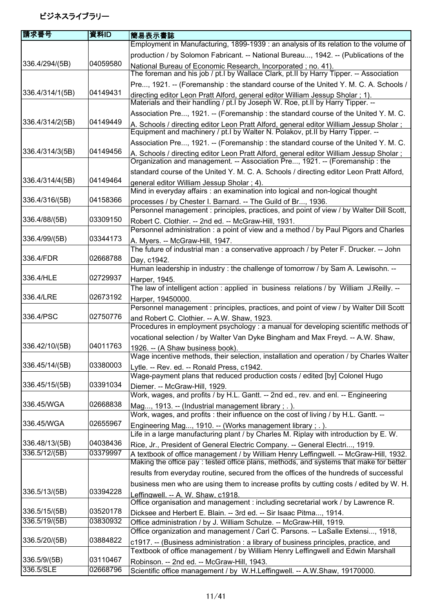| 請求番号            | 資料ID     | 簡易表示書誌                                                                                                                                                                     |
|-----------------|----------|----------------------------------------------------------------------------------------------------------------------------------------------------------------------------|
|                 |          | Employment in Manufacturing, 1899-1939 : an analysis of its relation to the volume of                                                                                      |
|                 |          | production / by Solomon Fabricant. -- National Bureau, 1942. -- (Publications of the                                                                                       |
| 336.4/294/(5B)  | 04059580 | National Bureau of Economic Research, Incorporated; no. 41).                                                                                                               |
|                 |          | The foreman and his job / pt. I by Wallace Clark, pt. II by Harry Tipper. -- Association                                                                                   |
|                 |          | Pre, 1921. -- (Foremanship: the standard course of the United Y. M. C. A. Schools /                                                                                        |
| 336.4/314/1(5B) | 04149431 | directing editor Leon Pratt Alford, general editor William Jessup Sholar; 1).                                                                                              |
|                 |          | Materials and their handling / pt. I by Joseph W. Roe, pt. II by Harry Tipper. --                                                                                          |
|                 |          | Association Pre, 1921. -- (Foremanship: the standard course of the United Y. M. C.                                                                                         |
| 336.4/314/2(5B) | 04149449 | A. Schools / directing editor Leon Pratt Alford, general editor William Jessup Sholar;<br>Equipment and machinery / pt. I by Walter N. Polakov, pt. II by Harry Tipper. -- |
|                 |          | Association Pre, 1921. -- (Foremanship: the standard course of the United Y. M. C.                                                                                         |
| 336.4/314/3(5B) | 04149456 | A. Schools / directing editor Leon Pratt Alford, general editor William Jessup Sholar;<br>Organization and management. -- Association Pre, 1921. -- (Foremanship: the      |
|                 |          | standard course of the United Y. M. C. A. Schools / directing editor Leon Pratt Alford,                                                                                    |
| 336.4/314/4(5B) | 04149464 | general editor William Jessup Sholar ; 4).                                                                                                                                 |
|                 |          | Mind in everyday affairs : an examination into logical and non-logical thought                                                                                             |
| 336.4/316/(5B)  | 04158366 | processes / by Chester I. Barnard. -- The Guild of Br, 1936.                                                                                                               |
|                 |          | Personnel management : principles, practices, and point of view / by Walter Dill Scott,                                                                                    |
| 336.4/88/(5B)   | 03309150 | Robert C. Clothier. -- 2nd ed. -- McGraw-Hill, 1931.                                                                                                                       |
|                 | 03344173 | Personnel administration : a point of view and a method / by Paul Pigors and Charles                                                                                       |
| 336.4/99/(5B)   |          | A. Myers. -- McGraw-Hill, 1947.<br>The future of industrial man : a conservative approach / by Peter F. Drucker. -- John                                                   |
| 336.4/FDR       | 02668788 |                                                                                                                                                                            |
|                 |          | Day, c1942.<br>Human leadership in industry : the challenge of tomorrow / by Sam A. Lewisohn. --                                                                           |
| 336.4/HLE       | 02729937 |                                                                                                                                                                            |
|                 |          | Harper, 1945.<br>The law of intelligent action : applied in business relations / by William J.Reilly. --                                                                   |
| 336.4/LRE       | 02673192 | Harper, 19450000.                                                                                                                                                          |
|                 |          | Personnel management : principles, practices, and point of view / by Walter Dill Scott                                                                                     |
| 336.4/PSC       | 02750776 | and Robert C. Clothier. -- A.W. Shaw, 1923.                                                                                                                                |
|                 |          | Procedures in employment psychology : a manual for developing scientific methods of                                                                                        |
|                 |          | vocational selection / by Walter Van Dyke Bingham and Max Freyd. -- A.W. Shaw,                                                                                             |
| 336.42/10/(5B)  | 04011763 | 1926. -- (A Shaw business book).<br>Wage incentive methods, their selection, installation and operation / by Charles Walter                                                |
| 336.45/14/(5B)  | 03380003 | Lytle. -- Rev. ed. -- Ronald Press, c1942.                                                                                                                                 |
|                 |          | Wage-payment plans that reduced production costs / edited [by] Colonel Hugo                                                                                                |
| 336.45/15/(5B)  | 03391034 | Diemer. -- McGraw-Hill, 1929.                                                                                                                                              |
|                 |          | Work, wages, and profits / by H.L. Gantt. -- 2nd ed., rev. and enl. -- Engineering                                                                                         |
| 336.45/WGA      | 02668838 | Mag, 1913. -- (Industrial management library; .).<br>Work, wages, and profits: their influence on the cost of living / by H.L. Gantt. --                                   |
| 336.45/WGA      | 02655967 |                                                                                                                                                                            |
|                 |          | Engineering Mag, 1910. -- (Works management library; .).<br>Life in a large manufacturing plant / by Charles M. Riplay with introduction by E. W.                          |
| 336.48/13/(5B)  | 04038436 | Rice, Jr., President of General Electric Company. -- General Electri, 1919.                                                                                                |
| 336.5/12/(5B)   | 03379997 | A textbook of office management / by William Henry Leffingwell. -- McGraw-Hill, 1932.                                                                                      |
|                 |          | Making the office pay: tested office plans, methods, and systems that make for better                                                                                      |
|                 |          | results from everyday routine, secured from the offices of the hundreds of successful                                                                                      |
|                 |          | business men who are using them to increase profits by cutting costs / edited by W. H.                                                                                     |
| 336.5/13/(5B)   | 03394228 | Leffingwell. -- A. W. Shaw, c1918.                                                                                                                                         |
|                 |          | Office organisation and management : including secretarial work / by Lawrence R.                                                                                           |
| 336.5/15/(5B)   | 03520178 | Dicksee and Herbert E. Blain. -- 3rd ed. -- Sir Isaac Pitma, 1914.                                                                                                         |
| 336.5/19/(5B)   | 03830932 | Office administration / by J. William Schulze. -- McGraw-Hill, 1919.                                                                                                       |
|                 |          | Office organization and management / Carl C. Parsons. -- LaSalle Extensi, 1918,                                                                                            |
| 336.5/20/(5B)   | 03884822 | c1917. -- (Business administration : a library of business principles, practice, and                                                                                       |
|                 |          | Textbook of office management / by William Henry Leffingwell and Edwin Marshall                                                                                            |
| 336.5/9/(5B)    | 03110467 | Robinson. -- 2nd ed. -- McGraw-Hill, 1943.                                                                                                                                 |
| 336.5/SLE       | 02668796 | Scientific office management / by W.H.Leffingwell. -- A.W.Shaw, 19170000.                                                                                                  |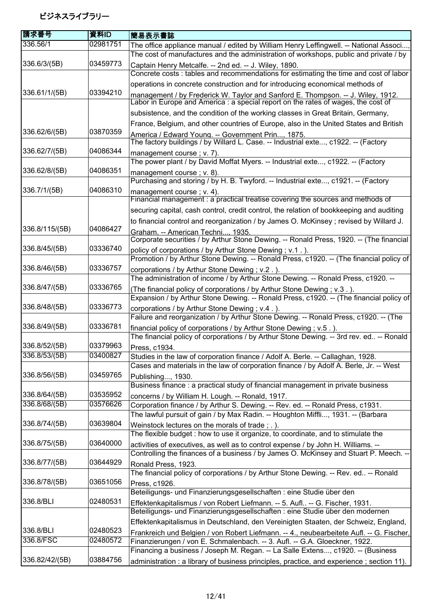| 請求番号                           | 資料ID                 | 簡易表示書誌                                                                                                                                                                    |
|--------------------------------|----------------------|---------------------------------------------------------------------------------------------------------------------------------------------------------------------------|
| 336.56/1                       | 02981751             | The office appliance manual / edited by William Henry Leffingwell. -- National Associ                                                                                     |
|                                |                      | The cost of manufactures and the administration of workshops, public and private / by                                                                                     |
| 336.6/3/(5B)                   | 03459773             | Captain Henry Metcalfe. -- 2nd ed. -- J. Wiley, 1890.<br>Concrete costs : tables and recommendations for estimating the time and cost of labor                            |
|                                |                      | operations in concrete construction and for introducing economical methods of                                                                                             |
| 336.61/1/(5B)                  | 03394210             | management / by Frederick W. Taylor and Sanford E. Thompson. -- J. Wiley, 1912.<br>Labor in Europe and America : a special report on the rates of wages, the cost of      |
|                                |                      | subsistence, and the condition of the working classes in Great Britain, Germany,                                                                                          |
|                                |                      | France, Belgium, and other countries of Europe, also in the United States and British                                                                                     |
| 336.62/6/(5B)                  | 03870359             | America / Edward Young. -- Government Prin, 1875.                                                                                                                         |
|                                |                      | The factory buildings / by Willard L. Case. -- Industrial exte, c1922. -- (Factory                                                                                        |
| 336.62/7/(5B)                  | 04086344             | management course; v. 7).<br>The power plant / by David Moffat Myers. -- Industrial exte, c1922. -- (Factory                                                              |
| 336.62/8/(5B)                  | 04086351             | management course; v. 8).                                                                                                                                                 |
|                                |                      | Purchasing and storing / by H. B. Twyford. -- Industrial exte, c1921. -- (Factory                                                                                         |
| 336.7/1/(5B)                   | 04086310             | management course; v. 4).                                                                                                                                                 |
|                                |                      | Financial management : a practical treatise covering the sources and methods of                                                                                           |
|                                |                      | securing capital, cash control, credit control, the relation of bookkeeping and auditing                                                                                  |
|                                |                      | to financial control and reorganization / by James O. McKinsey; revised by Willard J.                                                                                     |
| 336.8/115/(5B)                 | 04086427             | Graham. -- American Techni, 1935.                                                                                                                                         |
|                                |                      | Corporate securities / by Arthur Stone Dewing. -- Ronald Press, 1920. -- (The financial                                                                                   |
| 336.8/45/(5B)                  | 03336740             | policy of corporations / by Arthur Stone Dewing; v.1.).<br>Promotion / by Arthur Stone Dewing. -- Ronald Press, c1920. -- (The financial policy of                        |
| 336.8/46/(5B)                  | 03336757             |                                                                                                                                                                           |
|                                |                      | corporations / by Arthur Stone Dewing; v.2.).<br>The administration of income / by Arthur Stone Dewing. -- Ronald Press, c1920. --                                        |
| 336.8/47/(5B)                  | 03336765             | (The financial policy of corporations / by Arthur Stone Dewing ; v.3.).                                                                                                   |
|                                |                      | Expansion / by Arthur Stone Dewing. -- Ronald Press, c1920. -- (The financial policy of                                                                                   |
| 336.8/48/(5B)                  | 03336773             | corporations / by Arthur Stone Dewing ; v.4.).                                                                                                                            |
|                                |                      | Failure and reorganization / by Arthur Stone Dewing. -- Ronald Press, c1920. -- (The                                                                                      |
| 336.8/49/(5B)                  | 03336781             | financial policy of corporations / by Arthur Stone Dewing ; v.5.).                                                                                                        |
|                                |                      | The financial policy of corporations / by Arthur Stone Dewing. -- 3rd rev. ed -- Ronald                                                                                   |
| 336.8/52/(5B)<br>336.8/53/(5B) | 03379963<br>03400827 | Press, c1934.                                                                                                                                                             |
|                                |                      | Studies in the law of corporation finance / Adolf A. Berle. -- Callaghan, 1928.<br>Cases and materials in the law of corporation finance / by Adolf A. Berle, Jr. -- West |
| 336.8/56/(5B)                  | 03459765             | Publishing, 1930.                                                                                                                                                         |
|                                |                      | Business finance : a practical study of financial management in private business                                                                                          |
| 336.8/64/(5B)                  | 03535952             | concerns / by William H. Lough. -- Ronald, 1917.                                                                                                                          |
| 336.8/68/(5B)                  | 03576626             | Corporation finance / by Arthur S. Dewing. -- Rev. ed. -- Ronald Press, c1931.                                                                                            |
|                                |                      | The lawful pursuit of gain / by Max Radin. -- Houghton Miffli, 1931. -- (Barbara                                                                                          |
| 336.8/74/(5B)                  | 03639804             | Weinstock lectures on the morals of trade; .).                                                                                                                            |
|                                |                      | The flexible budget : how to use it organize, to coordinate, and to stimulate the                                                                                         |
| 336.8/75/(5B)                  | 03640000             | activities of executives, as well as to control expense / by John H. Williams. --                                                                                         |
| 336.8/77/(5B)                  | 03644929             | Controlling the finances of a business / by James O. McKinsey and Stuart P. Meech. --                                                                                     |
|                                |                      | Ronald Press, 1923.<br>The financial policy of corporations / by Arthur Stone Dewing. -- Rev. ed -- Ronald                                                                |
| 336.8/78/(5B)                  | 03651056             | Press, c1926.                                                                                                                                                             |
|                                |                      | Beteiligungs- und Finanzierungsgesellschaften : eine Studie über den                                                                                                      |
| 336.8/BLI                      | 02480531             | Effektenkapitalismus / von Robert Liefmann. -- 5. Aufl -- G. Fischer, 1931.                                                                                               |
|                                |                      | Beteiligungs- und Finanzierungsgesellschaften : eine Studie über den modernen                                                                                             |
|                                |                      | Effektenkapitalismus in Deutschland, den Vereinigten Staaten, der Schweiz, England,                                                                                       |
| 336.8/BLI                      | 02480523             | Frankreich und Belgien / von Robert Liefmann. -- 4., neubearbeitete Aufl. -- G. Fischer,                                                                                  |
| 336.8/FSC                      | 02480572             | Finanzierungen / von E. Schmalenbach. -- 3. Aufl. -- G.A. Gloeckner, 1922.                                                                                                |
|                                |                      | Financing a business / Joseph M. Regan. -- La Salle Extens, c1920. -- (Business                                                                                           |
| 336.82/42/(5B)                 | 03884756             | administration : a library of business principles, practice, and experience; section 11).                                                                                 |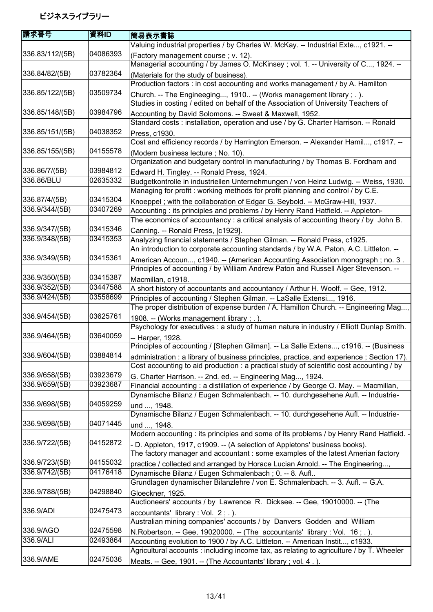| 請求番号                        | 資料ID     | 簡易表示書誌                                                                                                                                                                |
|-----------------------------|----------|-----------------------------------------------------------------------------------------------------------------------------------------------------------------------|
|                             |          | Valuing industrial properties / by Charles W. McKay. -- Industrial Exte, c1921. --                                                                                    |
| 336.83/112/(5B)             | 04086393 | (Factory management course; v. 12).                                                                                                                                   |
|                             |          | Managerial accounting / by James O. McKinsey; vol. 1. -- University of C, 1924. --                                                                                    |
| 336.84/82/(5B)              | 03782364 | (Materials for the study of business).                                                                                                                                |
|                             |          | Production factors : in cost accounting and works management / by A. Hamilton                                                                                         |
| 336.85/122/(5B)             | 03509734 | Church. -- The Engineeging, 1910 -- (Works management library ; . ).                                                                                                  |
|                             |          | Studies in costing / edited on behalf of the Association of University Teachers of                                                                                    |
| 336.85/148/(5B)             | 03984796 | Accounting by David Solomons. -- Sweet & Maxwell, 1952.                                                                                                               |
|                             |          | Standard costs : installation, operation and use / by G. Charter Harrison. -- Ronald                                                                                  |
| 336.85/151/(5B)             | 04038352 | Press, c1930.                                                                                                                                                         |
|                             |          | Cost and efficiency records / by Harrington Emerson. -- Alexander Hamil, c1917. --                                                                                    |
| 336.85/155/(5B)             | 04155578 | (Modern business lecture; No. 10).                                                                                                                                    |
|                             |          | Organization and budgetary control in manufacturing / by Thomas B. Fordham and                                                                                        |
| 336.86/7/(5B)<br>336.86/BLU | 03984812 | Edward H. Tingley. -- Ronald Press, 1924.                                                                                                                             |
|                             | 02635332 | Budgetkontrolle in industriellen Unternehmungen / von Heinz Ludwig. -- Weiss, 1930.                                                                                   |
| 336.87/4/(5B)               | 03415304 | Managing for profit: working methods for profit planning and control / by C.E.                                                                                        |
| 336.9/344/(5B)              | 03407269 | Knoeppel; with the collaboration of Edgar G. Seybold. -- McGraw-Hill, 1937.                                                                                           |
|                             |          | Accounting: its principles and problems / by Henry Rand Hatfield. -- Appleton-<br>The economics of accountancy: a critical analysis of accounting theory / by John B. |
| 336.9/347/(5B)              | 03415346 |                                                                                                                                                                       |
| 336.9/348/(5B)              | 03415353 | Canning. -- Ronald Press, [c1929].<br>Analyzing financial statements / Stephen Gilman. -- Ronald Press, c1925.                                                        |
|                             |          | An introduction to corporate accounting standards / by W.A. Paton, A.C. Littleton. --                                                                                 |
| 336.9/349/(5B)              | 03415361 | American Accoun, c1940. -- (American Accounting Association monograph; no. 3.                                                                                         |
|                             |          | Principles of accounting / by William Andrew Paton and Russell Alger Stevenson. --                                                                                    |
| 336.9/350/(5B)              | 03415387 | Macmillan, c1918.                                                                                                                                                     |
| 336.9/352/(5B)              | 03447588 | A short history of accountants and accountancy / Arthur H. Woolf. -- Gee, 1912.                                                                                       |
| 336.9/424/(5B)              | 03558699 | Principles of accounting / Stephen Gilman. -- LaSalle Extensi, 1916.                                                                                                  |
|                             |          | The proper distribution of expense burden / A. Hamilton Church. -- Engineering Mag                                                                                    |
| 336.9/454/(5B)              | 03625761 | 1908. -- (Works management library; .).                                                                                                                               |
|                             |          | Psychology for executives : a study of human nature in industry / Elliott Dunlap Smith.                                                                               |
| 336.9/464/(5B)              | 03640059 | -- Harper, 1928.                                                                                                                                                      |
|                             |          | Principles of accounting / [Stephen Gilman]. -- La Salle Extens, c1916. -- (Business                                                                                  |
| 336.9/604/(5B)              | 03884814 | administration : a library of business principles, practice, and experience ; Section 17).                                                                            |
|                             |          | Cost accounting to aid production : a practical study of scientific cost accounting / by                                                                              |
| 336.9/658/(5B)              | 03923679 | G. Charter Harrison. -- 2nd. ed. -- Engineering Mag, 1924.                                                                                                            |
| 336.9/659/(5B)              | 03923687 | Financial accounting: a distillation of experience / by George O. May. -- Macmillan,                                                                                  |
|                             |          | Dynamische Bilanz / Eugen Schmalenbach. -- 10. durchgesehene Aufl. -- Industrie-                                                                                      |
| 336.9/698/(5B)              | 04059259 | und , 1948.                                                                                                                                                           |
|                             |          | Dynamische Bilanz / Eugen Schmalenbach. -- 10. durchgesehene Aufl. -- Industrie-                                                                                      |
| 336.9/698/(5B)              | 04071445 | und , 1948.                                                                                                                                                           |
|                             |          | Modern accounting : its principles and some of its problems / by Henry Rand Hatfield. -                                                                               |
| 336.9/722/(5B)              | 04152872 | - D. Appleton, 1917, c1909. -- (A selection of Appletons' business books).                                                                                            |
|                             |          | The factory manager and accountant : some examples of the latest Amerian factory                                                                                      |
| 336.9/723/(5B)              | 04155032 | practice / collected and arranged by Horace Lucian Arnold. -- The Engineering,                                                                                        |
| 336.9/742/(5B)              | 04176418 | Dynamische Bilanz / Eugen Schmalenbach; 0. -- 8. Aufl                                                                                                                 |
|                             |          | Grundlagen dynamischer Bilanzlehre / von E. Schmalenbach. -- 3. Aufl. -- G.A.                                                                                         |
| 336.9/788/(5B)              | 04298840 | Gloeckner, 1925.                                                                                                                                                      |
|                             |          | Auctioneers' accounts / by Lawrence R. Dicksee. -- Gee, 19010000. -- (The                                                                                             |
| 336.9/ADI                   | 02475473 | accountants' library : Vol. $2$ ; .).                                                                                                                                 |
|                             |          | Australian mining companies' accounts / by Danvers Godden and William                                                                                                 |
| 336.9/AGO<br>336.9/ALI      | 02475598 | N. Robertson. -- Gee, 19020000. -- (The accountants' library: Vol. 16; .).                                                                                            |
|                             | 02493864 | Accounting evolution to 1900 / by A.C. Littleton. -- American Instit, c1933.                                                                                          |
| 336.9/AME                   | 02475036 | Agricultural accounts : including income tax, as relating to agriculture / by T. Wheeler                                                                              |
|                             |          | Meats. -- Gee, 1901. -- (The Accountants' library; vol. 4.).                                                                                                          |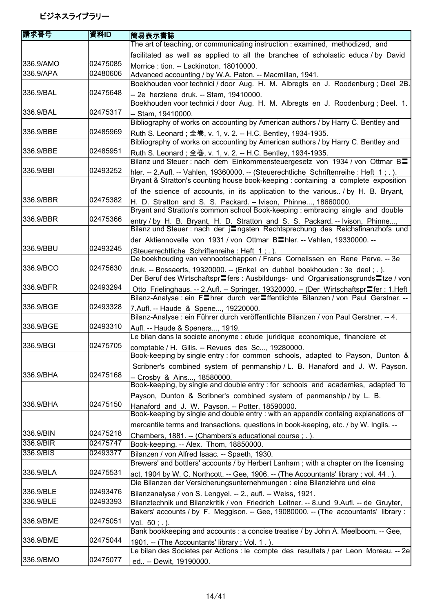| 請求番号      | 資料ID     | 簡易表示書誌                                                                                                                                                                       |
|-----------|----------|------------------------------------------------------------------------------------------------------------------------------------------------------------------------------|
|           |          | The art of teaching, or communicating instruction : examined, methodized, and                                                                                                |
|           |          | facilitated as well as applied to all the branches of scholastic educa / by David                                                                                            |
| 336.9/AMO | 02475085 | Morrice; tion. -- Lackington, 18010000.                                                                                                                                      |
| 336.9/APA | 02480606 | Advanced accounting / by W.A. Paton. -- Macmillan, 1941.                                                                                                                     |
|           |          | Boekhouden voor technici / door Aug. H. M. Albregts en J. Roodenburg; Deel 2B.                                                                                               |
| 336.9/BAL | 02475648 | -- 2e herziene druk. -- Stam, 19410000.                                                                                                                                      |
|           |          | Boekhouden voor technici / door Aug. H. M. Albregts en J. Roodenburg; Deel. 1.                                                                                               |
| 336.9/BAL | 02475317 | -- Stam, 19410000.                                                                                                                                                           |
|           |          | Bibliography of works on accounting by American authors / by Harry C. Bentley and                                                                                            |
| 336.9/BBE | 02485969 | Ruth S. Leonard; 全巻, v. 1, v. 2. -- H.C. Bentley, 1934-1935.                                                                                                                 |
|           |          | Bibliography of works on accounting by American authors / by Harry C. Bentley and                                                                                            |
| 336.9/BBE | 02485951 | Ruth S. Leonard; 全巻, v. 1, v. 2. -- H.C. Bentley, 1934-1935.                                                                                                                 |
|           |          | Bilanz und Steuer : nach dem Einkommensteuergesetz von 1934 / von Ottmar B=                                                                                                  |
| 336.9/BBI | 02493252 | hler. -- 2.Aufl. -- Vahlen, 19360000. -- (Steuerechtliche Schriftenreihe : Heft 1; .).<br>Bryant & Stratton's counting house book-keeping : containing a complete exposition |
|           |          |                                                                                                                                                                              |
| 336.9/BBR | 02475382 | of the science of accounts, in its application to the various. / by H. B. Bryant,                                                                                            |
|           |          | H. D. Stratton and S. S. Packard. -- Ivison, Phinne, 18660000.<br>Bryant and Stratton's common school Book-keeping : embracing single and double                             |
| 336.9/BBR | 02475366 |                                                                                                                                                                              |
|           |          | entry / by H. B. Bryant, H. D. Stratton and S. S. Packard. -- Ivison, Phinne,<br>Bilanz und Steuer : nach der jungsten Rechtsprechung des Reichsfinanzhofs und               |
|           |          | der Aktiennovelle von 1931 / von Ottmar B <sup>I</sup> hler. -- Vahlen, 19330000. --                                                                                         |
| 336.9/BBU | 02493245 | (Steuerrechtliche Schriftenreihe: Heft 1; .).                                                                                                                                |
|           |          | De boekhouding van vennootschappen / Frans Cornelissen en Rene Perve. -- 3e                                                                                                  |
| 336.9/BCO | 02475630 | druk. -- Bossaerts, 19320000. -- (Enkel en dubbel boekhouden : 3e deel ; . ).                                                                                                |
|           |          | Der Beruf des Wirtschaftspr⊒fers : Ausbildungs- und Organisationsgrunds⊒tze / von                                                                                            |
| 336.9/BFR | 02493294 | Otto Frielinghaus. -- 2.Aufl. -- Springer, 19320000. -- (Der Wirtschaftspr∎fer : 1.Heft                                                                                      |
|           |          | Bilanz-Analyse : ein Flnrer durch verliffentlichte Bilanzen / von Paul Gerstner. --                                                                                          |
| 336.9/BGE | 02493328 | 7.Aufl. -- Haude & Spene, 19220000.                                                                                                                                          |
|           |          | Bilanz-Analyse : ein Führer durch veröffentlichte Bilanzen / von Paul Gerstner. -- 4.                                                                                        |
| 336.9/BGE | 02493310 | Aufl. -- Haude & Speners, 1919.                                                                                                                                              |
|           |          | Le bilan dans la societe anonyme : etude juridique economique, financiere et                                                                                                 |
| 336.9/BGI | 02475705 | comptable / H. Gilis. -- Revues des Sc, 19280000.                                                                                                                            |
|           |          | Book-keeping by single entry : for common schools, adapted to Payson, Dunton &                                                                                               |
|           |          | Scribner's combined system of penmanship / L. B. Hanaford and J. W. Payson.                                                                                                  |
| 336.9/BHA | 02475168 | -- Crosby & Ains, 18580000.                                                                                                                                                  |
|           |          | Book-keeping, by single and double entry : for schools and academies, adapted to                                                                                             |
| 336.9/BHA | 02475150 | Payson, Dunton & Scribner's combined system of penmanship / by L. B.                                                                                                         |
|           |          | Hanaford and J. W. Payson. -- Potter, 18590000.<br>Book-keeping by single and double entry : with an appendix containg explanations of                                       |
|           |          |                                                                                                                                                                              |
| 336.9/BIN | 02475218 | mercantile terms and transactions, questions in book-keeping, etc. / by W. Inglis. --                                                                                        |
| 336.9/BIR | 02475747 | Chambers, 1881. -- (Chambers's educational course; .).<br>Book-keeping. -- Alex. Thom, 18850000.                                                                             |
| 336.9/BIS | 02493377 | Bilanzen / von Alfred Isaac. -- Spaeth, 1930.                                                                                                                                |
|           |          | Brewers' and bottlers' accounts / by Herbert Lanham; with a chapter on the licensing                                                                                         |
| 336.9/BLA | 02475531 | act, 1904 by W. C. Northcott. -- Gee, 1906. -- (The Accountants' library; vol. 44.).                                                                                         |
|           |          | Die Bilanzen der Versicherungsunternehmungen : eine Bilanzlehre und eine                                                                                                     |
| 336.9/BLE | 02493476 | Bilanzanalyse / von S. Lengyel. -- 2., aufl. -- Weiss, 1921.                                                                                                                 |
| 336.9/BLE | 02493393 | Bilanztechnik und Bilanzkritik / von Friedrich Leitner. -- 8.und 9.Aufl. -- de Gruyter,                                                                                      |
|           |          | Bakers' accounts / by F. Meggison. -- Gee, 19080000. -- (The accountants' library:                                                                                           |
| 336.9/BME | 02475051 | Vol. $50:$ .).                                                                                                                                                               |
|           |          | Bank bookkeeping and accounts : a concise treatise / by John A. Meelboom. -- Gee,                                                                                            |
| 336.9/BME | 02475044 | 1901. -- (The Accountants' library; Vol. 1.).                                                                                                                                |
|           |          | Le bilan des Societes par Actions : le compte des resultats / par Leon Moreau. -- 2e                                                                                         |
| 336.9/BMO | 02475077 | ed -- Dewit, 19190000.                                                                                                                                                       |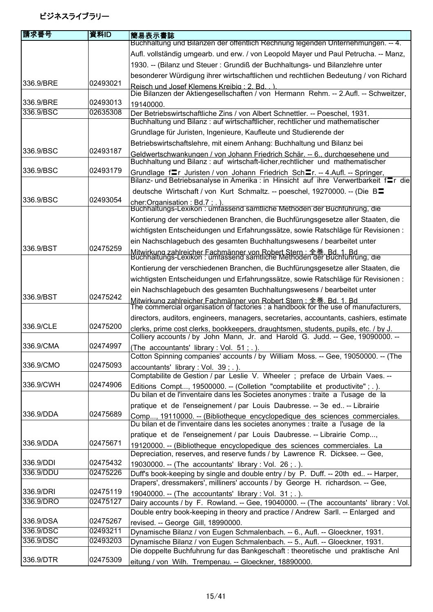| 請求番号                   | 資料ID     | 簡易表示書誌                                                                                                                                                                 |
|------------------------|----------|------------------------------------------------------------------------------------------------------------------------------------------------------------------------|
|                        |          | Buchhaltung und Bilanzen der öffentlich Rechnung legenden Unternehmungen. -- 4.                                                                                        |
|                        |          | Aufl. vollständig umgearb. und erw. / von Leopold Mayer und Paul Petrucha. -- Manz,                                                                                    |
|                        |          | 1930. -- (Bilanz und Steuer: Grundiß der Buchhaltungs- und Bilanzlehre unter                                                                                           |
|                        |          | besonderer Würdigung ihrer wirtschaftlichen und rechtlichen Bedeutung / von Richard                                                                                    |
| 336.9/BRE              | 02493021 | Reisch und Josef Klemens Kreibia: 2. Bd)                                                                                                                               |
|                        |          | Die Bilanzen der Aktiengesellschaften / von Hermann Rehm. -- 2.Aufl. -- Schweitzer,                                                                                    |
| 336.9/BRE<br>336.9/BSC | 02493013 | 19140000.                                                                                                                                                              |
|                        | 02635308 | Der Betriebswirtschaftliche Zins / von Albert Schnettler. -- Poeschel, 1931.<br>Buchhaltung und Bilanz: auf wirtschaftlicher, rechtlicher und mathematischer           |
|                        |          | Grundlage für Juristen, Ingenieure, Kaufleute und Studierende der                                                                                                      |
|                        |          | Betriebswirtschaftslehre, mit einem Anhang: Buchhaltung und Bilanz bei                                                                                                 |
| 336.9/BSC              | 02493187 | Geldwertschwankungen / von Johann Friedrich Schär. -- 6., durchgesehene und<br>Buchhaltung und Bilanz: auf wirtschaft-licher, rechtlicher und mathematischer           |
| 336.9/BSC              | 02493179 | Grundlage fraid Juristen / von Johann Friedrich Schar. -- 4.Aufl. -- Springer,<br>Bilanz- und Betriebsanalyse in Amerika : in Hinsicht auf ihre Verwertbarkeit f=r die |
|                        |          | deutsche Wirtschaft / von Kurt Schmaltz. -- poeschel, 19270000. -- (Die B                                                                                              |
| 336.9/BSC              | 02493054 |                                                                                                                                                                        |
|                        |          | cher:Organisation: Bd.7 ; .).<br>Buchhaltungs-Lexikon : umfassend sämtliche Methoden der Buchführung, die                                                              |
|                        |          | Kontierung der verschiedenen Branchen, die Buchfürungsgesetze aller Staaten, die                                                                                       |
|                        |          | wichtigsten Entscheidungen und Erfahrungssätze, sowie Ratschläge für Revisionen :                                                                                      |
|                        |          | ein Nachschlagebuch des gesamten Buchhaltungswesens / bearbeitet unter                                                                                                 |
| 336.9/BST              | 02475259 | Mitwirkung zahlreicher Fachmänner von Robert Stern : 全巻 Bd. 1, Bd.<br>Buchhaltungs-Lexikon : umfassend sämtliche Methoden der Buchführung, die                         |
|                        |          |                                                                                                                                                                        |
|                        |          | Kontierung der verschiedenen Branchen, die Buchfürungsgesetze aller Staaten, die                                                                                       |
|                        |          | wichtigsten Entscheidungen und Erfahrungssätze, sowie Ratschläge für Revisionen :                                                                                      |
| 336.9/BST              | 02475242 | ein Nachschlagebuch des gesamten Buchhaltungswesens / bearbeitet unter                                                                                                 |
|                        |          | Mitwirkung zahlreicher Fachmänner von Robert Stern : 全巻. Bd. 1. Bd<br>The commercial organisation of factories : a handbook for the use of manufacturers,              |
|                        |          | directors, auditors, engineers, managers, secretaries, accountants, cashiers, estimate                                                                                 |
| 336.9/CLE              | 02475200 | clerks, prime cost clerks, bookkeepers, draughtsmen, students, pupils, etc. / by J.<br>Colliery accounts / by John Mann, Jr. and Harold G. Judd. -- Gee, 19090000. --  |
| 336.9/CMA              | 02474997 | (The accountants' library : Vol. 51; .).                                                                                                                               |
|                        |          | Cotton Spinning companies' accounts / by William Moss. -- Gee, 19050000. -- (The                                                                                       |
| 336.9/CMO              | 02475093 | accountants' library : Vol. 39 ; . ).<br>Comptabilite de Gestion / par Leslie V. Wheeler; preface de Urbain Vaes. --                                                   |
| 336.9/CWH              | 02474906 |                                                                                                                                                                        |
|                        |          | Editions Compt, 19500000. -- (Colletion "comptabilite et productivite" ; . ).<br>Du bilan et de l'inventaire dans les Societes anonymes : traite a l'usage de la       |
|                        |          | pratique et de l'enseignement / par Louis Daubresse. -- 3e ed -- Librairie                                                                                             |
| 336.9/DDA              | 02475689 | Comp, 19110000. -- (Bibliotheque encyclopedique des sciences commerciales.<br>Du bilan et de l'inventaire dans les societes anonymes : traite a l'usage de la          |
|                        |          | pratique et de l'enseignement / par Louis Daubresse. -- Librairie Comp,                                                                                                |
| 336.9/DDA              | 02475671 | 19120000. -- (Bibliotheque encyclopedique des sciences commerciales. La                                                                                                |
|                        |          | Depreciation, reserves, and reserve funds / by Lawrence R. Dicksee. -- Gee,                                                                                            |
| 336.9/DDI              | 02475432 | 19030000. -- (The accountants' library : Vol. 26 ; . ).                                                                                                                |
| 336.9/DDU              | 02475226 | Duff's book-keeping by single and double entry / by P. Duff. -- 20th ed -- Harper,                                                                                     |
|                        |          | Drapers', dressmakers', milliners' accounts / by George H. richardson. -- Gee,                                                                                         |
| 336.9/DRI              | 02475119 | 19040000. -- (The accountants' library : Vol. 31; .).                                                                                                                  |
| 336.9/DRO              | 02475127 | Dairy accounts / by F. Rowland. -- Gee, 19040000. -- (The accountants' library : Vol.                                                                                  |
| 336.9/DSA              | 02475267 | Double entry book-keeping in theory and practice / Andrew Sarll. -- Enlarged and                                                                                       |
| 336.9/DSC              | 02493211 | revised. -- George Gill, 18990000.<br>Dynamische Bilanz / von Eugen Schmalenbach. -- 6., Aufl. -- Gloeckner, 1931.                                                     |
| 336.9/DSC              | 02493203 | Dynamische Bilanz / von Eugen Schmalenbach. -- 5., Aufl. -- Gloeckner, 1931.                                                                                           |
|                        |          | Die doppelte Buchfuhrung fur das Bankgeschaft : theoretische und praktische Anl                                                                                        |
| 336.9/DTR              | 02475309 | eitung / von Wilh. Trempenau. -- Gloeckner, 18890000.                                                                                                                  |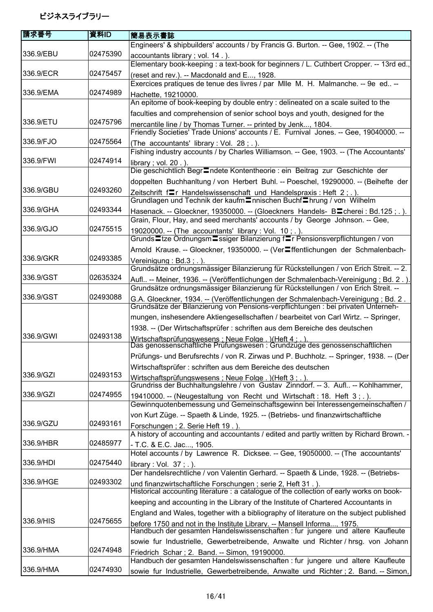| 請求番号      | 資料ID     | 簡易表示書誌                                                                                                                                                                  |
|-----------|----------|-------------------------------------------------------------------------------------------------------------------------------------------------------------------------|
|           |          | Engineers' & shipbuilders' accounts / by Francis G. Burton. -- Gee, 1902. -- (The                                                                                       |
| 336.9/EBU | 02475390 |                                                                                                                                                                         |
|           |          | accountants library; vol. 14.).<br>Elementary book-keeping : a text-book for beginners / L. Cuthbert Cropper. -- 13rd ed.,                                              |
| 336.9/ECR | 02475457 |                                                                                                                                                                         |
|           |          | (reset and rev.). -- Macdonald and E, 1928.<br>Exercices pratiques de tenue des livres / par MIIe M. H. Malmanche. -- 9e ed --                                          |
| 336.9/EMA | 02474989 |                                                                                                                                                                         |
|           |          | Hachette, 19210000.<br>An epitome of book-keeping by double entry : delineated on a scale suited to the                                                                 |
|           |          |                                                                                                                                                                         |
| 336.9/ETU | 02475796 | faculties and comprehension of senior school boys and youth, designed for the                                                                                           |
|           |          | mercantile line / by Thomas Turner. -- printed by Jenk, 1804.<br>Friendly Societies' Trade Unions' accounts / E. Furnival Jones. -- Gee, 19040000. --                   |
| 336.9/FJO | 02475564 |                                                                                                                                                                         |
|           |          | (The accountants' library : Vol. 28; .).<br>Fishing industry accounts / by Charles Williamson. -- Gee, 1903. -- (The Accountants'                                       |
| 336.9/FWI | 02474914 | library; vol. $20$ .).<br>Die geschichtlich Begr <sup>=</sup> ndete Kontentheorie : ein Beitrag zur Geschichte der                                                      |
|           |          | doppelten Buchhanltung / von Herbert Buhl. -- Poeschel, 19290000. -- (Beihefte der                                                                                      |
| 336.9/GBU | 02493260 | Zeitschrift fur Handelswissenschaft und Handelspraxis: Heft 2; .).                                                                                                      |
|           |          | Grundlagen und Technik der kaufm Innischen Buchf Ihrung / von Wilhelm                                                                                                   |
| 336.9/GHA | 02493344 | Hasenack. -- Gloeckner, 19350000. -- (Gloeckners Handels- Blicherei: Bd.125;.).                                                                                         |
|           |          | Grain, Flour, Hay, and seed merchants' accounts / by George Johnson. -- Gee,                                                                                            |
| 336.9/GJO | 02475515 | 19020000. -- (The accountants' library : Vol. 10; .).                                                                                                                   |
|           |          | Grunds Ltze Ordnungsm Lssiger Bilanzierung fLr Pensionsverpflichtungen / von                                                                                            |
|           |          | Arnold Krause. -- Gloeckner, 19350000. -- (Ver■ffentlichungen der Schmalenbach-                                                                                         |
| 336.9/GKR | 02493385 | Vereinigung: Bd.3;.).                                                                                                                                                   |
|           |          | Grundsätze ordnungsmässiger Bilanzierung für Rückstellungen / von Erich Streit. -- 2.                                                                                   |
| 336.9/GST | 02635324 | Aufl -- Meiner, 1936. -- (Veröffentlichungen der Schmalenbach-Vereinigung ; Bd. 2.)                                                                                     |
|           |          | Grundsätze ordnungsmässiger Bilanzierung für Rückstellungen / von Erich Streit. --                                                                                      |
| 336.9/GST | 02493088 | G.A. Gloeckner, 1934. -- (Veröffentlichungen der Schmalenbach-Vereinigung ; Bd. 2.<br>Grundsätze der Bilanzierung von Pensions-verpflichtungen : bei privaten Unterneh- |
|           |          | mungen, inshesendere Aktiengesellschaften / bearbeitet von Carl Wirtz. -- Springer,                                                                                     |
|           |          |                                                                                                                                                                         |
| 336.9/GWI | 02493138 | 1938. -- (Der Wirtschaftsprüfer : schriften aus dem Bereiche des deutschen                                                                                              |
|           |          | Wirtschaftsprüfungswesens : Neue Folge . )(Heft 4 : . ).<br>Das genossenschaftliche Prüfungswesen : Grundzüge des genossenschaftlichen                                  |
|           |          | Prüfungs- und Berufsrechts / von R. Zirwas und P. Buchholz. -- Springer, 1938. -- (Der                                                                                  |
|           |          | Wirtschaftsprüfer : schriften aus dem Bereiche des deutschen                                                                                                            |
| 336.9/GZI | 02493153 | Wirtschaftsprüfungswesens ; Neue Folge . ) (Heft 3 : . ).                                                                                                               |
|           |          | Grundriss der Buchhaltungslehre / von Gustav Zinndorf. -- 3. Aufl -- Kohlhammer,                                                                                        |
| 336.9/GZI | 02474955 | 19410000. -- (Neugestaltung von Recht und Wirtschaft: 18. Heft 3; .).                                                                                                   |
|           |          | Gewinnquotenbemessung und Gemeinschaftsgewinn bei Interessengemeinschaften /                                                                                            |
|           |          | von Kurt Züge. -- Spaeth & Linde, 1925. -- (Betriebs- und finanzwirtschaftliche                                                                                         |
| 336.9/GZU | 02493161 | Forschungen; 2. Serie Heft 19.).<br>A history of accounting and accountants / edited and partly written by Richard Brown. -                                             |
| 336.9/HBR | 02485977 | - T.C. & E.C. Jac, 1905.                                                                                                                                                |
|           |          | Hotel accounts / by Lawrence R. Dicksee. -- Gee, 19050000. -- (The accountants'                                                                                         |
| 336.9/HDI | 02475440 | library: Vol. $37$ ; .).                                                                                                                                                |
|           |          | Der handelsrechtliche / von Valentin Gerhard. -- Spaeth & Linde, 1928. -- (Betriebs-                                                                                    |
| 336.9/HGE | 02493302 | und finanzwirtschaftliche Forschungen; serie 2, Heft 31.).                                                                                                              |
|           |          | Historical accounting literature : a catalogue of the collection of early works on book-                                                                                |
|           |          | keeping and accounting in the Library of the Institute of Chartered Accountants in                                                                                      |
|           |          | England and Wales, together with a bibliography of literature on the subject published                                                                                  |
| 336.9/HIS | 02475655 |                                                                                                                                                                         |
|           |          | before 1750 and not in the Institute Library. -- Mansell Informa, 1975.<br>Handbuch der gesamten Handelswissenschaften : fur jungere und altere Kaufleute               |
|           |          | sowie fur Industrielle, Gewerbetreibende, Anwalte und Richter / hrsg. von Johann                                                                                        |
| 336.9/HMA | 02474948 | Friedrich Schar; 2. Band. -- Simon, 19190000.                                                                                                                           |
|           |          | Handbuch der gesamten Handelswissenschaften : fur jungere und altere Kaufleute                                                                                          |
| 336.9/HMA | 02474930 | sowie fur Industrielle, Gewerbetreibende, Anwalte und Richter; 2. Band. -- Simon,                                                                                       |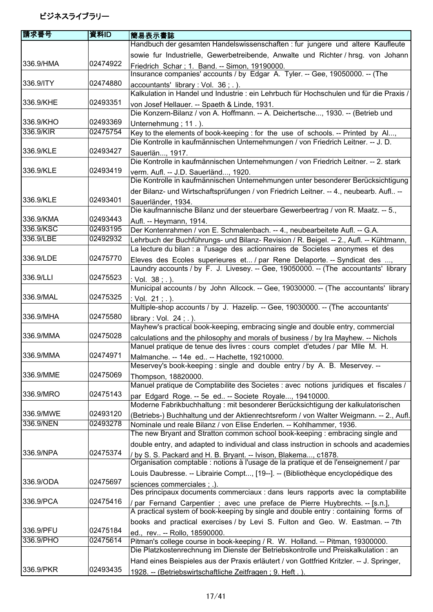| 請求番号      | 資料ID     | 簡易表示書誌                                                                                                                                    |
|-----------|----------|-------------------------------------------------------------------------------------------------------------------------------------------|
|           |          | Handbuch der gesamten Handelswissenschaften : fur jungere und altere Kaufleute                                                            |
|           |          | sowie fur Industrielle, Gewerbetreibende, Anwalte und Richter / hrsg. von Johann                                                          |
| 336.9/HMA | 02474922 | Friedrich Schar; 1. Band. -- Simon, 19190000.                                                                                             |
|           |          | Insurance companies' accounts / by Edgar A. Tyler. -- Gee, 19050000. -- (The                                                              |
| 336.9/ITY | 02474880 | accountants' library : Vol. 36 ; . ).                                                                                                     |
|           |          | Kalkulation in Handel und Industrie : ein Lehrbuch für Hochschulen und für die Praxis /                                                   |
| 336.9/KHE | 02493351 | von Josef Hellauer. -- Spaeth & Linde, 1931.                                                                                              |
|           |          | Die Konzern-Bilanz / von A. Hoffmann. -- A. Deichertsche, 1930. -- (Betrieb und                                                           |
| 336.9/KHO | 02493369 | Unternehmung; 11.).                                                                                                                       |
| 336.9/KIR | 02475754 | Key to the elements of book-keeping : for the use of schools. -- Printed by Al,                                                           |
|           |          | Die Kontrolle in kaufmännischen Unternehmungen / von Friedrich Leitner. -- J. D.                                                          |
| 336.9/KLE | 02493427 | Sauerlän, 1917.                                                                                                                           |
|           |          | Die Kontrolle in kaufmännischen Unternehmungen / von Friedrich Leitner. -- 2. stark                                                       |
| 336.9/KLE | 02493419 | verm. Aufl. -- J.D. Sauerländ, 1920.                                                                                                      |
|           |          | Die Kontrolle in kaufmännischen Unternehmungen unter besonderer Berücksichtigung                                                          |
|           |          | der Bilanz- und Wirtschaftsprüfungen / von Friedrich Leitner. -- 4., neubearb. Aufl --                                                    |
| 336.9/KLE | 02493401 | Sauerländer, 1934.                                                                                                                        |
|           |          | Die kaufmannische Bilanz und der steuerbare Gewerbeertrag / von R. Maatz. -- 5.,                                                          |
| 336.9/KMA | 02493443 | Aufl. -- Heymann, 1914.                                                                                                                   |
| 336.9/KSC | 02493195 | Der Kontenrahmen / von E. Schmalenbach. -- 4., neubearbeitete Aufl. -- G.A.                                                               |
| 336.9/LBE | 02492932 | Lehrbuch der Buchführungs- und Bilanz- Revision / R. Beigel. -- 2., Aufl. -- Kühtmann,                                                    |
|           |          | La lecture du bilan : a l'usage des actionnaires de Societes anonymes et des                                                              |
| 336.9/LDE | 02475770 | Eleves des Ecoles superieures et / par Rene Delaporte. -- Syndicat des ,                                                                  |
|           |          | Laundry accounts / by F. J. Livesey. -- Gee, 19050000. -- (The accountants' library                                                       |
| 336.9/LLI | 02475523 | : Vol. 38; .).                                                                                                                            |
|           |          | Municipal accounts / by John Allcock. -- Gee, 19030000. -- (The accountants' library                                                      |
| 336.9/MAL | 02475325 | : Vol. 21; .).                                                                                                                            |
|           |          | Multiple-shop accounts / by J. Hazelip. -- Gee, 19030000. -- (The accountants'                                                            |
| 336.9/MHA | 02475580 | library: Vol. $24$ ; .).                                                                                                                  |
|           |          | Mayhew's practical book-keeping, embracing single and double entry, commercial                                                            |
| 336.9/MMA | 02475028 | calculations and the philosophy and morals of business / by Ira Mayhew. -- Nichols                                                        |
| 336.9/MMA | 02474971 | Manuel pratique de tenue des livres : cours complet d'etudes / par Mile M. H.                                                             |
|           |          | Malmanche. -- 14e ed -- Hachette, 19210000.<br>Meservey's book-keeping : single and double entry / by A. B. Meservey. --                  |
| 336.9/MME | 02475069 |                                                                                                                                           |
|           |          | Thompson, 18820000.<br>Manuel pratique de Comptabilite des Societes : avec notions juridiques et fiscales /                               |
| 336.9/MRO | 02475143 |                                                                                                                                           |
|           |          | par Edgard Roge. -- 5e ed -- Societe Royale, 19410000.<br>Moderne Fabrikbuchhaltung: mit besonderer Berücksichtigung der kalkulatorischen |
| 336.9/MWE | 02493120 | (Betriebs-) Buchhaltung und der Aktienrechtsreform / von Walter Weigmann. -- 2., Aufl.                                                    |
| 336.9/NEN | 02493278 | Nominale und reale Bilanz / von Elise Enderlen. -- Kohlhammer, 1936.                                                                      |
|           |          | The new Bryant and Stratton common school book-keeping : embracing single and                                                             |
|           |          | double entry, and adapted to individual and class instruction in schools and academies                                                    |
| 336.9/NPA | 02475374 | / by S. S. Packard and H. B. Bryant. -- Ivison, Blakema, c1878.                                                                           |
|           |          | Organisation comptable : notions à l'usage de la pratique et de l'enseignement / par                                                      |
|           |          | Louis Daubresse. -- Librairie Compt, [19--]. -- (Bibliothèque encyclopédique des                                                          |
| 336.9/ODA | 02475697 | sciences commerciales : .).                                                                                                               |
|           |          | Des principaux documents commerciaux : dans leurs rapports avec la comptabilite                                                           |
| 336.9/PCA | 02475416 | / par Fernand Carpentier ; avec une preface de Pierre Huybrechts. -- [s.n.],                                                              |
|           |          | A practical system of book-keeping by single and double entry : containing forms of                                                       |
|           |          | books and practical exercises / by Levi S. Fulton and Geo. W. Eastman. -- 7th                                                             |
| 336.9/PFU | 02475184 | ed., rev -- Rollo, 18590000.                                                                                                              |
| 336.9/PHO | 02475614 | Pitman's college course in book-keeping / R. W. Holland. -- Pitman, 19300000.                                                             |
|           |          | Die Platzkostenrechnung im Dienste der Betriebskontrolle und Preiskalkulation : an                                                        |
|           |          | Hand eines Beispieles aus der Praxis erläutert / von Gottfried Kritzler. -- J. Springer,                                                  |
| 336.9/PKR | 02493435 | 1928. -- (Betriebswirtschaftliche Zeitfragen; 9. Heft.).                                                                                  |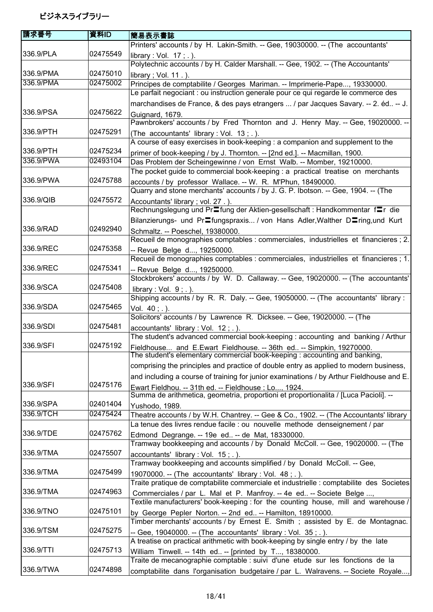| 請求番号                   | 資料ID                 | 簡易表示書誌                                                                                                                                                               |
|------------------------|----------------------|----------------------------------------------------------------------------------------------------------------------------------------------------------------------|
|                        |                      | Printers' accounts / by H. Lakin-Smith. -- Gee, 19030000. -- (The accountants'                                                                                       |
| 336.9/PLA              | 02475549             | library: Vol. $17$ ; .).<br>Polytechnic accounts / by H. Calder Marshall. -- Gee, 1902. -- (The Accountants'                                                         |
| 336.9/PMA              | 02475010             | library; Vol. 11.).                                                                                                                                                  |
| 336.9/PMA              | 02475002             | Principes de comptabilite / Georges Mariman. -- Imprimerie-Pape, 19330000.<br>Le parfait negociant : ou instruction generale pour ce qui regarde le commerce des     |
| 336.9/PSA              | 02475622             | marchandises de France, & des pays etrangers  / par Jacques Savary. -- 2. éd -- J.                                                                                   |
|                        |                      | Guignard, 1679.<br>Pawnbrokers' accounts / by Fred Thornton and J. Henry May. -- Gee, 19020000. --                                                                   |
| 336.9/PTH              | 02475291             | (The accountants' library : Vol. 13; .).<br>A course of easy exercises in book-keeping : a companion and supplement to the                                           |
| 336.9/PTH              | 02475234             | primer of book-keeping / by J. Thornton. -- [2nd ed.]. -- Macmillan, 1900.                                                                                           |
| 336.9/PWA              | 02493104             | Das Problem der Scheingewinne / von Ernst Walb. -- Momber, 19210000.                                                                                                 |
| 336.9/PWA              | 02475788             | The pocket guide to commercial book-keeping : a practical treatise on merchants<br>accounts / by professor Wallace. -- W. R. M'Phun, 18490000.                       |
|                        |                      | Quarry and stone merchants' accounts / by J. G. P. Ibotson. -- Gee, 1904. -- (The                                                                                    |
| 336.9/QIB              | 02475572             | Accountants' library; vol. 27.).<br>Rechnungslegung und Pr <sup>=</sup> fung der Aktien-gesellschaft : Handkommentar f=r die                                         |
|                        |                      | Bilanzierungs- und PrEfungspraxis / von Hans Adler, Walther DEring, und Kurt                                                                                         |
| 336.9/RAD              | 02492940             | Schmaltz. -- Poeschel, 19380000.<br>Recueil de monographies comptables : commerciales, industrielles et financieres ; 2.                                             |
| 336.9/REC              | 02475358             | -- Revue Belge d, 19250000.                                                                                                                                          |
|                        |                      | Recueil de monographies comptables : commerciales, industrielles et financieres ; 1.                                                                                 |
| 336.9/REC              | 02475341             | -- Revue Belge d, 19250000.                                                                                                                                          |
|                        |                      | Stockbrokers' accounts / by W. D. Callaway. -- Gee, 19020000. -- (The accountants'                                                                                   |
| 336.9/SCA              | 02475408             | library : Vol. $9$ ; .).<br>Shipping accounts / by R. R. Daly. -- Gee, 19050000. -- (The accountants' library:                                                       |
| 336.9/SDA              | 02475465             | Vol. 40; .).                                                                                                                                                         |
|                        |                      | Solicitors' accounts / by Lawrence R. Dicksee. -- Gee, 19020000. -- (The                                                                                             |
| 336.9/SDI              | 02475481             | accountants' library : Vol. 12 ; . ).                                                                                                                                |
|                        |                      | The student's advanced commercial book-keeping : accounting and banking / Arthur                                                                                     |
| 336.9/SFI              | 02475192             | Fieldhouse and E.Ewart Fieldhouse. -- 36th ed -- Simpkin, 19270000.<br>The student's elementary commercial book-keeping : accounting and banking                     |
|                        |                      | comprising the principles and practice of double entry as applied to modern business,                                                                                |
|                        |                      | and including a course of training for junior examinations / by Arthur Fieldhouse and E.                                                                             |
| 336.9/SFI              | 02475176             | Ewart Fieldhou. -- 31th ed. -- Fieldhouse ; Lo, 1924.                                                                                                                |
|                        |                      | Summa de arithmetica, geometria, proportioni et proportionalita / [Luca Pacioli]. --                                                                                 |
| 336.9/SPA<br>336.9/TCH | 02401404<br>02475424 | Yushodo, 1989.                                                                                                                                                       |
|                        |                      | Theatre accounts / by W.H. Chantrey. -- Gee & Co., 1902. -- (The Accountants' library<br>La tenue des livres rendue facile : ou nouvelle methode denseignement / par |
| 336.9/TDE              | 02475762             |                                                                                                                                                                      |
|                        |                      | Edmond Degrange. -- 19e ed -- de Mat, 18330000.<br>Tramway bookkeeping and accounts / by Donald McColl. -- Gee, 19020000. -- (The                                    |
| 336.9/TMA              | 02475507             | accountants' library : Vol. $15$ ; .).                                                                                                                               |
|                        |                      | Tramway bookkeeping and accounts simplified / by Donald McColl. -- Gee,                                                                                              |
| 336.9/TMA              | 02475499             | 19070000. -- (The accountants' library : Vol. 48 ; . ).                                                                                                              |
|                        |                      | Traite pratique de comptabilite commerciale et industrielle : comptabilite des Societes                                                                              |
| 336.9/TMA              | 02474963             | Commerciales / par L. Mal et P. Manfroy. -- 4e ed -- Societe Belge ,                                                                                                 |
|                        |                      | Textile manufacturers' book-keeping : for the counting house, mill and warehouse /                                                                                   |
| 336.9/TNO              | 02475101             | by George Pepler Norton. -- 2nd ed -- Hamilton, 18910000.                                                                                                            |
|                        |                      | Timber merchants' accounts / by Ernest E. Smith; assisted by E. de Montagnac.                                                                                        |
| 336.9/TSM              | 02475275             | -- Gee, 19040000. -- (The accountants' library : Vol. 35; .).                                                                                                        |
|                        |                      | A treatise on practical arithmetic with book-keeping by single entry / by the late                                                                                   |
| 336.9/TTI              | 02475713             | William Tinwell. -- 14th ed -- [printed by T, 18380000.                                                                                                              |
| 336.9/TWA              | 02474898             | Traite de mecanographie comptable : suivi d'une etude sur les fonctions de la                                                                                        |
|                        |                      | comptabilite dans l'organisation budgetaire / par L. Walravens. -- Societe Royale,                                                                                   |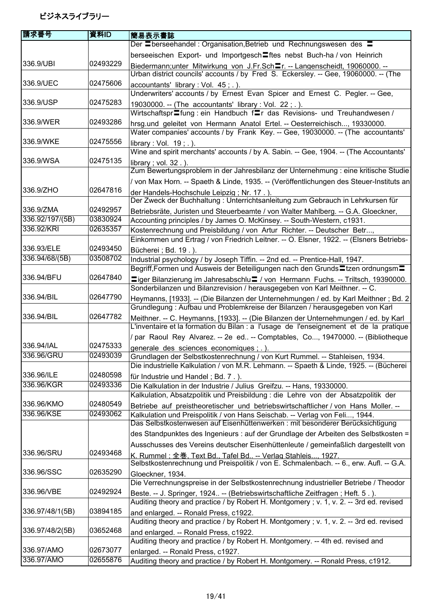| 請求番号                     | 資料ID     | 簡易表示書誌                                                                                                                                                                       |
|--------------------------|----------|------------------------------------------------------------------------------------------------------------------------------------------------------------------------------|
|                          |          | Der Eberseehandel: Organisation, Betrieb und Rechnungswesen des E                                                                                                            |
|                          |          | berseeischen Export- und Importgesch lites nebst Buch-ha / von Heinrich                                                                                                      |
| 336.9/UBI                | 02493229 | Biedermann; unter Mitwirkung von J.Fr. Sch=r. -- Langenscheidt, 19060000. --                                                                                                 |
|                          |          | Urban district councils' accounts / by Fred S. Eckersley. -- Gee, 19060000. -- (The                                                                                          |
| 336.9/UEC                | 02475606 | accountants' library : Vol. 45 ; . ).                                                                                                                                        |
|                          |          | Underwriters' accounts / by Ernest Evan Spicer and Ernest C. Pegler. -- Gee,                                                                                                 |
| 336.9/USP                | 02475283 | 19030000. -- (The accountants' library : Vol. 22; .).                                                                                                                        |
|                          |          | Wirtschaftspr <sup>-</sup> fung: ein Handbuch f <sup>-</sup> r das Revisions- und Treuhandwesen /                                                                            |
| 336.9/WER                | 02493286 | hrsg.und geleitet von Hermann Anatol Ertel. -- Oesterreichisch, 19330000.                                                                                                    |
|                          |          | Water companies' accounts / by Frank Key. -- Gee, 19030000. -- (The accountants'                                                                                             |
| 336.9/WKE                | 02475556 | library: Vol. $19$ ; .).                                                                                                                                                     |
|                          |          | Wine and spirit merchants' accounts / by A. Sabin. -- Gee, 1904. -- (The Accountants'                                                                                        |
| 336.9/WSA                | 02475135 | library; vol. 32.).<br>Zum Bewertungsproblem in der Jahresbilanz der Unternehmung : eine kritische Studie                                                                    |
|                          |          |                                                                                                                                                                              |
| 336.9/ZHO                | 02647816 | / von Max Horn. -- Spaeth & Linde, 1935. -- (Veröffentlichungen des Steuer-Instituts an                                                                                      |
|                          |          | der Handels-Hochschule Leipzig; Nr. 17.).<br>Der Zweck der Buchhaltung : Unterrichtsanleitung zum Gebrauch in Lehrkursen für                                                 |
| 336.9/ZMA                | 02492957 | Betriebsräte, Juristen und Steuerbeamte / von Walter Mahlberg. -- G.A. Gloeckner,                                                                                            |
| 336.92/197/(5B)          | 03830924 | Accounting principles / by James O. McKinsey. -- South-Western, c1931.                                                                                                       |
| 336.92/KRI               | 02635357 | Kostenrechnung und Preisbildung / von Artur Richter. -- Deutscher Betr,                                                                                                      |
|                          |          | Einkommen und Ertrag / von Friedrich Leitner. -- O. Elsner, 1922. -- (Elsners Betriebs-                                                                                      |
| 336.93/ELE               | 02493450 | Bücherei ; Bd. 19.).                                                                                                                                                         |
| 336.94/68/(5B)           | 03508702 | Industrial psychology / by Joseph Tiffin. -- 2nd ed. -- Prentice-Hall, 1947.                                                                                                 |
|                          |          | Begriff,Formen und Ausweis der Beteiligungen nach den Grunds Etzen ordnungsm E                                                                                               |
| 336.94/BFU               | 02647840 | ■iger Bilanzierung im Jahresabschlu■ / von Hermann Fuchs. -- Triltsch, 19390000.                                                                                             |
|                          |          | Sonderbilanzen und Bilanzrevision / herausgegeben von Karl Meithner. -- C.                                                                                                   |
| 336.94/BIL               | 02647790 | Heymanns, [1933]. -- (Die Bilanzen der Unternehmungen / ed. by Karl Meithner ; Bd. 2                                                                                         |
|                          |          | Grundlegung: Aufbau und Problemkreise der Bilanzen / herausgegeben von Karl                                                                                                  |
| 336.94/BIL               | 02647782 | Meithner. -- C. Heymanns, [1933]. -- (Die Bilanzen der Unternehmungen / ed. by Karl<br>L'inventaire et la formation du Bilan : a l'usage de l'enseignement et de la pratique |
|                          |          | / par Raoul Rey Alvarez. -- 2e ed -- Comptables, Co, 19470000. -- (Bibliotheque                                                                                              |
| 336.94/IAL               | 02475333 | generale des sciences economiques ; . ).                                                                                                                                     |
| 336.96/GRU               | 02493039 | Grundlagen der Selbstkostenrechnung / von Kurt Rummel. -- Stahleisen, 1934.                                                                                                  |
|                          |          | Die industrielle Kalkulation / von M.R. Lehmann. -- Spaeth & Linde, 1925. -- (Bücherei                                                                                       |
| 336.96/ILE               | 02480598 | für Industrie und Handel; Bd. 7.).                                                                                                                                           |
| 336.96/KGR               | 02493336 | Die Kalkulation in der Industrie / Julius Greifzu. -- Hans, 19330000.                                                                                                        |
| 336.96/KMO               | 02480549 | Kalkulation, Absatzpolitik und Preisbildung : die Lehre von der Absatzpolitik der                                                                                            |
| 336.96/KSE               | 02493062 | Betriebe auf preistheoretischer und betriebswirtschaftlicher / von Hans Moller. --                                                                                           |
|                          |          | Kalkulation und Preispolitik / von Hans Seischab. -- Verlag von Feli, 1944.<br>Das Selbstkostenwesen auf Eisenhüttenwerken : mit besonderer Berücksichtigung                 |
|                          |          | des Standpunktes des Ingenieurs : auf der Grundlage der Arbeiten des Selbstkosten =                                                                                          |
|                          |          | Ausschusses des Vereins deutscher Eisenhüttenleute / gemeinfaßlich dargestellt von                                                                                           |
| 336.96/SRU               | 02493468 | <u>K. Rummel : 全巻. Text Bd., Tafel Bd -- Verlag Stahleis, 1927.</u>                                                                                                          |
|                          |          | Selbstkostenrechnung und Preispolitik / von E. Schmalenbach. -- 6., erw. Aufl. -- G.A.                                                                                       |
| 336.96/SSC               | 02635290 | Gloeckner, 1934.                                                                                                                                                             |
|                          |          | Die Verrechnungspreise in der Selbstkostenrechnung industrieller Betriebe / Theodor                                                                                          |
| 336.96/VBE               | 02492924 | Beste. -- J. Springer, 1924 -- (Betriebswirtschaftliche Zeitfragen; Heft. 5.).                                                                                               |
|                          |          | Auditing theory and practice / by Robert H. Montgomery; v. 1, v. 2. -- 3rd ed. revised                                                                                       |
| 336.97/48/1(5B)          | 03894185 | and enlarged. -- Ronald Press, c1922.                                                                                                                                        |
|                          |          | Auditing theory and practice / by Robert H. Montgomery ; v. 1, v. 2. -- 3rd ed. revised                                                                                      |
| 336.97/48/2(5B)          | 03652468 | and enlarged. -- Ronald Press, c1922.                                                                                                                                        |
|                          |          | Auditing theory and practice / by Robert H. Montgomery. -- 4th ed. revised and                                                                                               |
| 336.97/AMO<br>336.97/AMO | 02673077 | enlarged. -- Ronald Press, c1927.                                                                                                                                            |
|                          | 02655876 | Auditing theory and practice / by Robert H. Montgomery. -- Ronald Press, c1912.                                                                                              |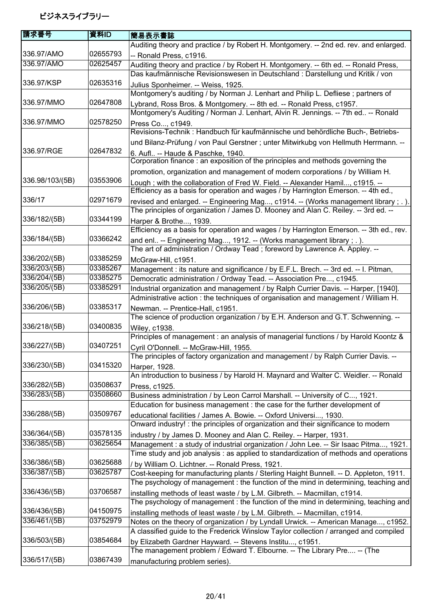| 請求番号            | 資料ID     | 簡易表示書誌                                                                                                                                                                   |
|-----------------|----------|--------------------------------------------------------------------------------------------------------------------------------------------------------------------------|
|                 |          | Auditing theory and practice / by Robert H. Montgomery. -- 2nd ed. rev. and enlarged.                                                                                    |
| 336.97/AMO      | 02655793 | -- Ronald Press, c1916.                                                                                                                                                  |
| 336.97/AMO      | 02625457 | Auditing theory and practice / by Robert H. Montgomery. -- 6th ed. -- Ronald Press,                                                                                      |
|                 |          | Das kaufmännische Revisionswesen in Deutschland : Darstellung und Kritik / von                                                                                           |
| 336.97/KSP      | 02635316 | Julius Sponheimer. -- Weiss, 1925.                                                                                                                                       |
|                 |          | Montgomery's auditing / by Norman J. Lenhart and Philip L. Defliese; partners of                                                                                         |
| 336.97/MMO      | 02647808 | Lybrand, Ross Bros. & Montgomery. -- 8th ed. -- Ronald Press, c1957.                                                                                                     |
|                 |          | Montgomery's Auditing / Norman J. Lenhart, Alvin R. Jennings. -- 7th ed -- Ronald                                                                                        |
| 336.97/MMO      | 02578250 | Press Co, c1949.                                                                                                                                                         |
|                 |          | Revisions-Technik: Handbuch für kaufmännische und behördliche Buch-, Betriebs-                                                                                           |
|                 |          | und Bilanz-Prüfung / von Paul Gerstner ; unter Mitwirkubg von Hellmuth Herrmann. --                                                                                      |
| 336.97/RGE      | 02647832 | 6. Aufl -- Haude & Paschke, 1940.                                                                                                                                        |
|                 |          | Corporation finance : an exposition of the principles and methods governing the                                                                                          |
|                 |          | promotion, organization and management of modern corporations / by William H.                                                                                            |
| 336.98/103/(5B) | 03553906 |                                                                                                                                                                          |
|                 |          | Lough; with the collaboration of Fred W. Field. -- Alexander Hamil, c1915. --<br>Efficiency as a basis for operation and wages / by Harrington Emerson. -- 4th ed.,      |
| 336/17          | 02971679 |                                                                                                                                                                          |
|                 |          | revised and enlarged. -- Engineering Mag, c1914. -- (Works management library; .).<br>The principles of organization / James D. Mooney and Alan C. Reiley. -- 3rd ed. -- |
| 336/182/(5B)    | 03344199 |                                                                                                                                                                          |
|                 |          | Harper & Brothe, 1939.<br>Efficiency as a basis for operation and wages / by Harrington Emerson. -- 3th ed., rev.                                                        |
| 336/184/(5B)    | 03366242 |                                                                                                                                                                          |
|                 |          | and enl -- Engineering Mag, 1912. -- (Works management library ; . ).                                                                                                    |
| 336/202/(5B)    | 03385259 | The art of administration / Ordway Tead; foreword by Lawrence A. Appley. --                                                                                              |
|                 |          | McGraw-Hill, c1951.                                                                                                                                                      |
| 336/203/(5B)    | 03385267 | Management : its nature and significance / by E.F.L. Brech. -- 3rd ed. -- I. Pitman,                                                                                     |
| 336/204/(5B)    | 03385275 | Democratic administration / Ordway Tead. -- Association Pre, c1945.                                                                                                      |
| 336/205/(5B)    | 03385291 | Industrial organization and management / by Ralph Currier Davis. -- Harper, [1940].                                                                                      |
|                 |          | Administrative action: the techniques of organisation and management / William H.                                                                                        |
| 336/206/(5B)    | 03385317 | Newman. -- Prentice-Hall, c1951.                                                                                                                                         |
|                 |          | The science of production organization / by E.H. Anderson and G.T. Schwenning. --                                                                                        |
| 336/218/(5B)    | 03400835 | Wiley, c1938.                                                                                                                                                            |
|                 |          | Principles of management : an analysis of managerial functions / by Harold Koontz &                                                                                      |
| 336/227/(5B)    | 03407251 | Cyril O'Donnell. -- McGraw-Hill, 1955.                                                                                                                                   |
|                 |          | The principles of factory organization and management / by Ralph Currier Davis. --                                                                                       |
| 336/230/(5B)    | 03415320 | Harper, 1928.                                                                                                                                                            |
|                 |          | An introduction to business / by Harold H. Maynard and Walter C. Weidler. -- Ronald                                                                                      |
| 336/282/(5B)    | 03508637 | Press, c1925.                                                                                                                                                            |
| 336/283/(5B)    | 03508660 | Business administration / by Leon Carrol Marshall. -- University of C, 1921.                                                                                             |
|                 |          | Education for business management : the case for the further development of                                                                                              |
| 336/288/(5B)    | 03509767 | educational facilities / James A. Bowie. -- Oxford Universi, 1930.                                                                                                       |
|                 |          | Onward industry! : the principles of organization and their significance to modern                                                                                       |
| 336/364/(5B)    | 03578135 | industry / by James D. Mooney and Alan C. Reiley. -- Harper, 1931.                                                                                                       |
| 336/385/(5B)    | 03625654 | Management : a study of industrial organization / John Lee. -- Sir Isaac Pitma, 1921.                                                                                    |
|                 |          | Time study and job analysis : as applied to standardization of methods and operations                                                                                    |
| 336/386/(5B)    | 03625688 | / by William O. Lichtner. -- Ronald Press, 1921.                                                                                                                         |
| 336/387/(5B)    | 03625787 | Cost-keeping for manufacturing plants / Sterling Haight Bunnell. -- D. Appleton, 1911.                                                                                   |
|                 |          | The psychology of management : the function of the mind in determining, teaching and                                                                                     |
| 336/436/(5B)    | 03706587 | installing methods of least waste / by L.M. Gilbreth. -- Macmillan, c1914.                                                                                               |
|                 |          | The psychology of management : the function of the mind in determining, teaching and                                                                                     |
| 336/436/(5B)    | 04150975 | installing methods of least waste / by L.M. Gilbreth. -- Macmillan, c1914.                                                                                               |
| 336/461/(5B)    | 03752979 | Notes on the theory of organization / by Lyndall Urwick. -- American Manage, c1952.                                                                                      |
|                 |          | A classified guide to the Frederick Winslow Taylor collection / arranged and compiled                                                                                    |
| 336/503/(5B)    | 03854684 | by Elizabeth Gardner Hayward. -- Stevens Institu, c1951.                                                                                                                 |
|                 |          | The management problem / Edward T. Elbourne. -- The Library Pre -- (The                                                                                                  |
| 336/517/(5B)    | 03867439 | manufacturing problem series).                                                                                                                                           |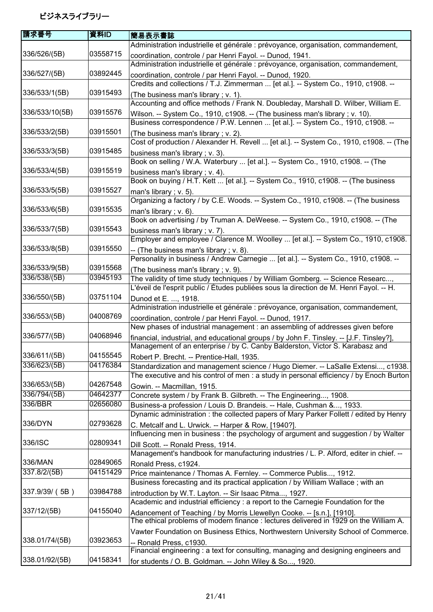| 請求番号           | 資料ID     | 簡易表示書誌                                                                                  |
|----------------|----------|-----------------------------------------------------------------------------------------|
|                |          | Administration industrielle et générale : prévoyance, organisation, commandement,       |
| 336/526/(5B)   | 03558715 | coordination, controle / par Henri Fayol. -- Dunod, 1941.                               |
|                |          | Administration industrielle et générale : prévoyance, organisation, commandement,       |
| 336/527/(5B)   | 03892445 | coordination, controle / par Henri Fayol. -- Dunod, 1920.                               |
|                |          | Credits and collections / T.J. Zimmerman  [et al.]. -- System Co., 1910, c1908. --      |
| 336/533/1(5B)  | 03915493 | (The business man's library; v. 1).                                                     |
|                |          | Accounting and office methods / Frank N. Doubleday, Marshall D. Wilber, William E.      |
| 336/533/10(5B) | 03915576 | Wilson. -- System Co., 1910, c1908. -- (The business man's library; v. 10).             |
|                |          | Business correspondence / P.W. Lennen  [et al.]. -- System Co., 1910, c1908. --         |
| 336/533/2(5B)  | 03915501 | (The business man's library; v. 2).                                                     |
|                |          | Cost of production / Alexander H. Revell  [et al.]. -- System Co., 1910, c1908. -- (The |
| 336/533/3(5B)  | 03915485 | business man's library; v. 3).                                                          |
|                |          | Book on selling / W.A. Waterbury  [et al.]. -- System Co., 1910, c1908. -- (The         |
| 336/533/4(5B)  | 03915519 | business man's library; v. 4).                                                          |
|                |          | Book on buying / H.T. Kett  [et al.]. -- System Co., 1910, c1908. -- (The business      |
| 336/533/5(5B)  | 03915527 | man's library; $v. 5$ ).                                                                |
|                |          | Organizing a factory / by C.E. Woods. -- System Co., 1910, c1908. -- (The business      |
| 336/533/6(5B)  | 03915535 | man's library; $v. 6$ ).                                                                |
|                |          | Book on advertising / by Truman A. DeWeese. -- System Co., 1910, c1908. -- (The         |
| 336/533/7(5B)  | 03915543 | business man's library; v. 7).                                                          |
|                |          | Employer and employee / Clarence M. Woolley  [et al.]. -- System Co., 1910, c1908.      |
| 336/533/8(5B)  | 03915550 | -- (The business man's library; v. 8).                                                  |
|                |          | Personality in business / Andrew Carnegie  [et al.]. -- System Co., 1910, c1908. --     |
| 336/533/9(5B)  | 03915568 | (The business man's library; v. 9).                                                     |
| 336/538/(5B)   | 03945193 | The validity of time study techniques / by William Gomberg. -- Science Researc,         |
|                |          | L'éveil de l'esprit public / Études publiées sous la direction de M. Henri Fayol. -- H. |
| 336/550/(5B)   | 03751104 | Dunod et E. , 1918.                                                                     |
|                |          | Administration industrielle et générale : prévoyance, organisation, commandement,       |
| 336/553/(5B)   | 04008769 | coordination, controle / par Henri Fayol. -- Dunod, 1917.                               |
|                |          | New phases of industrial management : an assembling of addresses given before           |
| 336/577/(5B)   | 04068946 | financial, industrial, and educational groups / by John F. Tinsley. -- [J.F. Tinsley?], |
|                |          | Management of an enterprise / by C. Canby Balderston, Victor S. Karabasz and            |
| 336/611/(5B)   | 04155545 | Robert P. Brecht. -- Prentice-Hall, 1935.                                               |
| 336/623/(5B)   | 04176384 | Standardization and management science / Hugo Diemer. -- LaSalle Extensi, c1938.        |
|                |          | The executive and his control of men : a study in personal efficiency / by Enoch Burton |
| 336/653/(5B)   | 04267548 | Gowin. -- Macmillan, 1915.                                                              |
| 336/794/(5B)   | 04642377 | Concrete system / by Frank B. Gilbreth. -- The Engineering, 1908.                       |
| 336/BBR        | 02656080 | Business-a profession / Louis D. Brandeis. -- Hale, Cushman &, 1933.                    |
|                |          | Dynamic administration: the collected papers of Mary Parker Follett / edited by Henry   |
| 336/DYN        | 02793628 | C. Metcalf and L. Urwick. -- Harper & Row, [1940?].                                     |
|                |          | Influencing men in business: the psychology of argument and suggestion / by Walter      |
| 336/ISC        | 02809341 | Dill Scott. -- Ronald Press, 1914.                                                      |
|                |          | Management's handbook for manufacturing industries / L. P. Alford, editer in chief. --  |
| 336/MAN        | 02849065 | Ronald Press, c1924.                                                                    |
| 337.8/2/(5B)   | 04151429 | Price maintenance / Thomas A. Fernley. -- Commerce Publis, 1912.                        |
|                |          | Business forecasting and its practical application / by William Wallace; with an        |
| 337.9/39/ (5B) | 03984788 | introduction by W.T. Layton. -- Sir Isaac Pitma, 1927.                                  |
|                |          | Academic and industrial efficiency : a report to the Carnegie Foundation for the        |
| 337/12/(5B)    | 04155040 | Adancement of Teaching / by Morris Llewellyn Cooke. -- [s.n.], [1910].                  |
|                |          | The ethical problems of modern finance : lectures delivered in 1929 on the William A.   |
|                |          | Vawter Foundation on Business Ethics, Northwestern University School of Commerce.       |
| 338.01/74/(5B) | 03923653 | -- Ronald Press, c1930.                                                                 |
|                |          | Financial engineering: a text for consulting, managing and designing engineers and      |
| 338.01/92/(5B) | 04158341 | for students / O. B. Goldman. -- John Wiley & So, 1920.                                 |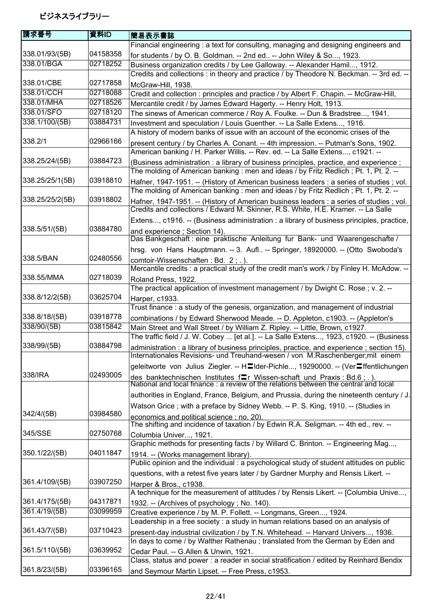| 請求番号                            | 資料ID     | 簡易表示書誌                                                                                                                                                                           |
|---------------------------------|----------|----------------------------------------------------------------------------------------------------------------------------------------------------------------------------------|
|                                 |          | Financial engineering: a text for consulting, managing and designing engineers and                                                                                               |
| 338.01/93/(5B)                  | 04158358 | for students / by O. B. Goldman. -- 2nd ed -- John Wiley & So, 1923.                                                                                                             |
| 338.01/BGA                      | 02718252 | Business organization credits / by Lee Galloway. -- Alexander Hamil, 1912.                                                                                                       |
|                                 |          | Credits and collections : in theory and practice / by Theodore N. Beckman. -- 3rd ed. --                                                                                         |
| 338.01/CBE                      | 02717858 | McGraw-Hill, 1938.                                                                                                                                                               |
| 338.01/CCH                      | 02718088 | Credit and collection: principles and practice / by Albert F. Chapin. -- McGraw-Hill,                                                                                            |
| 338.01/MHA                      | 02718526 | Mercantile credit / by James Edward Hagerty. -- Henry Holt, 1913.                                                                                                                |
| 338.01/SFO                      | 02718120 | The sinews of American commerce / Roy A. Foulke. -- Dun & Bradstree, 1941.                                                                                                       |
| 338.1/100/(5B)                  | 03884731 | Investment and speculation / Louis Guenther. -- La Salle Extens, 1916.<br>A history of modern banks of issue with an account of the economic crises of the                       |
| 338.2/1                         | 02966166 | present century / by Charles A. Conant. -- 4th impression. -- Putman's Sons, 1902.<br>American banking / H. Parker Willis. -- Rev. ed. -- La Salle Extens, c1921. --             |
| 338.25/24/(5B)                  | 03884723 | (Business administration : a library of business principles, practice, and experience;                                                                                           |
| 338.25/25/1(5B)                 | 03918810 | The molding of American banking : men and ideas / by Fritz Redlich; Pt. 1, Pt. 2. --<br>Hafner, 1947-1951. -- (History of American business leaders : a series of studies ; vol. |
|                                 |          | The molding of American banking : men and ideas / by Fritz Redlich; Pt. 1, Pt. 2. --                                                                                             |
| 338.25/25/2(5B)                 | 03918802 | Hafner, 1947-1951. -- (History of American business leaders : a series of studies ; vol.<br>Credits and collections / Edward M. Skinner, R.S. White, H.E. Kramer. -- La Salle    |
|                                 |          | Extens, c1916. -- (Business administration : a library of business principles, practice,                                                                                         |
| 338.5/51/(5B)                   | 03884780 | and experience ; Section 14).                                                                                                                                                    |
|                                 |          | Das Bankgeschaft : eine praktische Anleitung fur Bank- und Waarengeschafte /                                                                                                     |
| 338.5/BAN                       | 02480556 | hrsg. von Hans Hauptmann. -- 3. Aufl -- Springer, 18920000. -- (Otto Swoboda's                                                                                                   |
|                                 |          | comtoir-Wissenschaften: Bd. 2; .).<br>Mercantile credits : a practical study of the credit man's work / by Finley H. McAdow. --                                                  |
| 338.55/MMA                      | 02718039 |                                                                                                                                                                                  |
|                                 |          | Roland Press, 1922.<br>The practical application of investment management / by Dwight C. Rose; v. 2. --                                                                          |
| 338.8/12/2(5B)                  | 03625704 | Harper, c1933.                                                                                                                                                                   |
|                                 |          | Trust finance: a study of the genesis, organization, and management of industrial                                                                                                |
| 338.8/18/(5B)                   | 03918778 | combinations / by Edward Sherwood Meade. -- D. Appleton, c1903. -- (Appleton's                                                                                                   |
| 338/90/(5B)                     | 03815842 | Main Street and Wall Street / by William Z. Ripley. -- Little, Brown, c1927.                                                                                                     |
|                                 |          | The traffic field / J. W. Cobey  [et al.]. -- La Salle Extens, 1923, c1920. -- (Business                                                                                         |
| 338/99/(5B)                     | 03884798 | administration : a library of business principles, practice, and experience ; section 15).<br>Internationales Revisions- und Treuhand-wesen / von M.Raschenberger; mit einem     |
|                                 |          | geleitworte von Julius Ziegler. -- H∃lder-Pichle, 19290000. -- (Ver≡ffentlichungen                                                                                               |
| 338/IRA                         | 02493005 | des banktechnischen Institutes f $\equiv r$ Wissen-schaft und Praxis : Bd.6 ; . ).<br>National and local finance : a review of the relations between the central and local       |
|                                 |          | authorities in England, France, Belgium, and Prussia, during the nineteenth century / J.                                                                                         |
|                                 |          | Watson Grice; with a preface by Sidney Webb. -- P. S. King, 1910. -- (Studies in                                                                                                 |
| 342/4/(5B)                      | 03984580 | economics and political science; no. 20).<br>The shifting and incidence of taxation / by Edwin R.A. Seligman. -- 4th ed., rev. --                                                |
| 345/SSE                         | 02750768 | Columbia Univer, 1921.                                                                                                                                                           |
|                                 |          | Graphic methods for presenting facts / by Willard C. Brinton. -- Engineering Mag,                                                                                                |
| 350.1/22/(5B)                   | 04011847 | 1914. -- (Works management library).                                                                                                                                             |
|                                 |          | Public opinion and the individual : a psychological study of student attitudes on public                                                                                         |
|                                 |          | questions, with a retest five years later / by Gardner Murphy and Rensis Likert. --                                                                                              |
| 361.4/109/(5B)                  | 03907250 | Harper & Bros., c1938.                                                                                                                                                           |
|                                 | 04317871 | A technique for the measurement of attitudes / by Rensis Likert. -- [Columbia Unive,                                                                                             |
| 361.4/175/(5B)<br>361.4/19/(5B) | 03099959 | 1932. -- (Archives of psychology; No. 140).                                                                                                                                      |
|                                 |          | Creative experience / by M. P. Follett. -- Longmans, Green, 1924.<br>Leadership in a free society : a study in human relations based on an analysis of                           |
| 361.43/7/(5B)                   | 03710423 |                                                                                                                                                                                  |
|                                 |          | present-day industrial civilization / by T.N. Whitehead. -- Harvard Univers, 1936.<br>In days to come / by Walther Rathenau ; translated from the German by Eden and             |
| 361.5/110/(5B)                  | 03639952 |                                                                                                                                                                                  |
|                                 |          | Cedar Paul. -- G.Allen & Unwin, 1921.<br>Class, status and power : a reader in social stratification / edited by Reinhard Bendix                                                 |
| 361.8/23/(5B)                   | 03396165 | and Seymour Martin Lipset. -- Free Press, c1953.                                                                                                                                 |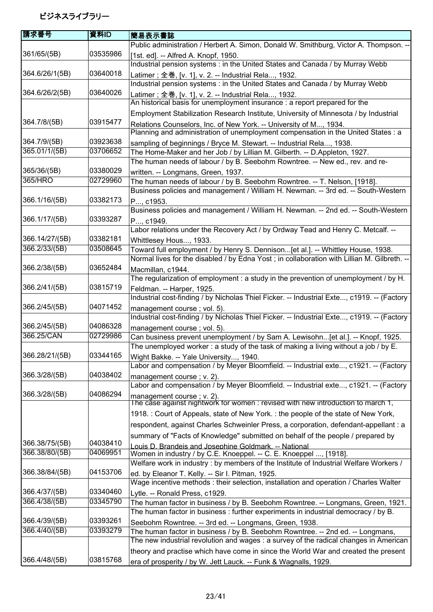| 請求番号           | 資料ID                 | 簡易表示書誌                                                                                                          |
|----------------|----------------------|-----------------------------------------------------------------------------------------------------------------|
|                |                      | Public administration / Herbert A. Simon, Donald W. Smithburg, Victor A. Thompson. --                           |
| 361/65/(5B)    | 03535986             | [1st. ed]. -- Alfred A. Knopf, 1950.                                                                            |
|                |                      | Industrial pension systems : in the United States and Canada / by Murray Webb                                   |
| 364.6/26/1(5B) | 03640018             | Latimer; 全巻, [v. 1], v. 2. -- Industrial Rela, 1932.                                                            |
|                |                      | Industrial pension systems : in the United States and Canada / by Murray Webb                                   |
| 364.6/26/2(5B) | 03640026             | Latimer; 全巻, [v. 1], v. 2. -- Industrial Rela, 1932.                                                            |
|                |                      | An historical basis for unemployment insurance : a report prepared for the                                      |
|                |                      | Employment Stabilization Research Institute, University of Minnesota / by Industrial                            |
| 364.7/8/(5B)   | 03915477             | Relations Counselors, Inc. of New York. -- University of M, 1934.                                               |
|                |                      | Planning and administration of unemployment compensation in the United States : a                               |
| 364.7/9/(5B)   | 03923638             | sampling of beginnings / Bryce M. Stewart. -- Industrial Rela, 1938.                                            |
| 365.01/1/(5B)  | 03706652             | The Home-Maker and her Job / by Lillian M. Gilberth. -- D.Appleton, 1927.                                       |
|                |                      | The human needs of labour / by B. Seebohm Rowntree. -- New ed., rev. and re-                                    |
| 365/36/(5B)    | 03380029             |                                                                                                                 |
| 365/HRO        | 02729960             | written. -- Longmans, Green, 1937.<br>The human needs of labour / by B. Seebohm Rowntree. -- T. Nelson, [1918]. |
|                |                      | Business policies and management / William H. Newman. -- 3rd ed. -- South-Western                               |
| 366.1/16/(5B)  | 03382173             |                                                                                                                 |
|                |                      | P, c1953.<br>Business policies and management / William H. Newman. -- 2nd ed. -- South-Western                  |
| 366.1/17/(5B)  | 03393287             |                                                                                                                 |
|                |                      | P, c1949.<br>Labor relations under the Recovery Act / by Ordway Tead and Henry C. Metcalf. --                   |
| 366.14/27/(5B) | 03382181             |                                                                                                                 |
| 366.2/33/(5B)  | 03508645             | Whittlesey Hous, 1933.                                                                                          |
|                |                      | Toward full employment / by Henry S. Dennison[et al.]. -- Whittley House, 1938.                                 |
|                |                      | Normal lives for the disabled / by Edna Yost; in collaboration with Lillian M. Gilbreth. --                     |
| 366.2/38/(5B)  | 03652484             | Macmillan, c1944.                                                                                               |
|                |                      | The regularization of employment : a study in the prevention of unemployment / by H.                            |
| 366.2/41/(5B)  | 03815719             | Feldman. -- Harper, 1925.                                                                                       |
|                |                      | Industrial cost-finding / by Nicholas Thiel Ficker. -- Industrial Exte, c1919. -- (Factory                      |
| 366.2/45/(5B)  | 04071452             | management course; vol. 5).                                                                                     |
|                |                      | Industrial cost-finding / by Nicholas Thiel Ficker. -- Industrial Exte, c1919. -- (Factory                      |
| 366.2/45/(5B)  | 04086328<br>02729986 | management course; vol. 5).                                                                                     |
| 366.25/CAN     |                      | Can business prevent unemployment / by Sam A. Lewisohn[et al.]. -- Knopf, 1925.                                 |
|                |                      | The unemployed worker: a study of the task of making a living without a job / by E.                             |
| 366.28/21/(5B) | 03344165             | Wight Bakke. -- Yale University, 1940.                                                                          |
|                |                      | Labor and compensation / by Meyer Bloomfield. -- Industrial exte, c1921. -- (Factory                            |
| 366.3/28/(5B)  | 04038402             | management course; v. 2).                                                                                       |
|                |                      | Labor and compensation / by Meyer Bloomfield. -- Industrial exte, c1921. -- (Factory                            |
| 366.3/28/(5B)  | 04086294             | management course; v. 2).<br>The case against nightwork for women : revised with new introduction to march 1,   |
|                |                      |                                                                                                                 |
|                |                      | 1918. : Court of Appeals, state of New York. : the people of the state of New York,                             |
|                |                      | respondent, against Charles Schweinler Press, a corporation, defendant-appellant : a                            |
|                |                      | summary of "Facts of Knowledge" submitted on behalf of the people / prepared by                                 |
| 366.38/75/(5B) | 04038410             | Louis D. Brandeis and Josephine Goldmark. -- National                                                           |
| 366.38/80/(5B) | 04069951             | Women in industry / by C.E. Knoeppel. -- C. E. Knoeppel , [1918].                                               |
|                |                      | Welfare work in industry : by members of the Institute of Industrial Welfare Workers /                          |
| 366.38/84/(5B) | 04153706             | ed. by Eleanor T. Kelly. -- Sir I. Pitman, 1925.                                                                |
|                |                      | Wage incentive methods : their selection, installation and operation / Charles Walter                           |
| 366.4/37/(5B)  | 03340460             | Lytle. -- Ronald Press, c1929.                                                                                  |
| 366.4/38/(5B)  | 03345790             | The human factor in business / by B. Seebohm Rowntree. -- Longmans, Green, 1921.                                |
|                |                      | The human factor in business: further experiments in industrial democracy / by B.                               |
| 366.4/39/(5B)  | 03393261             | Seebohm Rowntree. -- 3rd ed. -- Longmans, Green, 1938.                                                          |
| 366.4/40/(5B)  | 03393279             | The human factor in business / by B. Seebohm Rowntree. -- 2nd ed. -- Longmans,                                  |
|                |                      | The new industrial revolution and wages : a survey of the radical changes in American                           |
|                |                      | theory and practise which have come in since the World War and created the present                              |
| 366.4/48/(5B)  | 03815768             | era of prosperity / by W. Jett Lauck. -- Funk & Wagnalls, 1929.                                                 |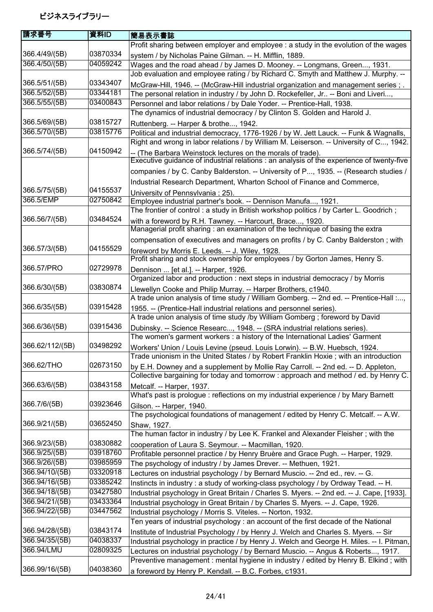| 請求番号            | 資料ID     | 簡易表示書誌                                                                                                                                                                           |
|-----------------|----------|----------------------------------------------------------------------------------------------------------------------------------------------------------------------------------|
|                 |          | Profit sharing between employer and employee : a study in the evolution of the wages                                                                                             |
| 366.4/49/(5B)   | 03870334 | system / by Nicholas Paine Gilman. -- H. Mifflin, 1889.                                                                                                                          |
| 366.4/50/(5B)   | 04059242 | Wages and the road ahead / by James D. Mooney. -- Longmans, Green, 1931.                                                                                                         |
|                 |          | Job evaluation and employee rating / by Richard C. Smyth and Matthew J. Murphy. --                                                                                               |
| 366.5/51/(5B)   | 03343407 | McGraw-Hill, 1946. -- (McGraw-Hill industrial organization and management series; .                                                                                              |
| 366.5/52/(5B)   | 03344181 | The personal relation in industry / by John D. Rockefeller, Jr -- Boni and Liveri,                                                                                               |
| 366.5/55/(5B)   | 03400843 | Personnel and labor relations / by Dale Yoder. -- Prentice-Hall, 1938.                                                                                                           |
|                 |          | The dynamics of industrial democracy / by Clinton S. Golden and Harold J.                                                                                                        |
| 366.5/69/(5B)   | 03815727 | Ruttenberg. -- Harper & brothe, 1942.                                                                                                                                            |
| 366.5/70/(5B)   | 03815776 | Political and industrial democracy, 1776-1926 / by W. Jett Lauck. -- Funk & Wagnalls,<br>Right and wrong in labor relations / by William M. Leiserson. -- University of C, 1942. |
| 366.5/74/(5B)   | 04150942 | -- (The Barbara Weinstock lectures on the morals of trade).<br>Executive guidance of industrial relations : an analysis of the experience of twenty-five                         |
|                 |          | companies / by C. Canby Balderston. -- University of P, 1935. -- (Research studies /                                                                                             |
|                 |          | Industrial Research Department, Wharton School of Finance and Commerce,                                                                                                          |
| 366.5/75/(5B)   | 04155537 | University of Pennsylvania ; 25).                                                                                                                                                |
| 366.5/EMP       | 02750842 | Employee industrial partner's book. -- Dennison Manufa, 1921.                                                                                                                    |
|                 |          | The frontier of control: a study in British workshop politics / by Carter L. Goodrich;                                                                                           |
| 366.56/7/(5B)   | 03484524 | with a foreword by R.H. Tawney. -- Harcourt, Brace, 1920.                                                                                                                        |
|                 |          | Managerial profit sharing : an examination of the technique of basing the extra                                                                                                  |
|                 |          | compensation of executives and managers on profits / by C. Canby Balderston; with                                                                                                |
| 366.57/3/(5B)   | 04155529 | foreword by Morris E. Leeds. -- J. Wiley, 1928.                                                                                                                                  |
|                 |          | Profit sharing and stock ownership for employees / by Gorton James, Henry S.                                                                                                     |
| 366.57/PRO      | 02729978 | Dennison  [et al.]. -- Harper, 1926.                                                                                                                                             |
|                 |          | Organized labor and production : next steps in industrial democracy / by Morris                                                                                                  |
| 366.6/30/(5B)   | 03830874 | Llewellyn Cooke and Philip Murray. -- Harper Brothers, c1940.                                                                                                                    |
|                 |          | A trade union analysis of time study / William Gomberg. -- 2nd ed. -- Prentice-Hall :,                                                                                           |
| 366.6/35/(5B)   | 03915428 | 1955. -- (Prentice-Hall industrial relations and personnel series).                                                                                                              |
|                 |          | A trade union analysis of time study /by William Gomberg; foreword by David                                                                                                      |
| 366.6/36/(5B)   | 03915436 | Dubinsky. -- Science Researc, 1948. -- (SRA industrial relations series).                                                                                                        |
|                 |          | The women's garment workers : a history of the International Ladies' Garment                                                                                                     |
| 366.62/112/(5B) | 03498292 | Workers' Union / Louis Levine (pseud. Louis Lorwin). -- B.W. Huebsch, 1924.                                                                                                      |
|                 |          | Trade unionism in the United States / by Robert Franklin Hoxie; with an introduction                                                                                             |
| 366.62/THO      | 02673150 | by E.H. Downey and a supplement by Mollie Ray Carroll. -- 2nd ed. -- D. Appleton,                                                                                                |
| 366.63/6/(5B)   | 03843158 | Collective bargaining for today and tomorrow: approach and method / ed. by Henry C.                                                                                              |
|                 |          | Metcalf. -- Harper, 1937.<br>What's past is prologue : reflections on my industrial experience / by Mary Barnett                                                                 |
| 366.7/6/(5B)    | 03923646 |                                                                                                                                                                                  |
|                 |          | Gilson. -- Harper, 1940.<br>The psychological foundations of management / edited by Henry C. Metcalf. -- A.W.                                                                    |
| 366.9/21/(5B)   | 03652450 |                                                                                                                                                                                  |
|                 |          | Shaw, 1927.<br>The human factor in industry / by Lee K. Frankel and Alexander Fleisher; with the                                                                                 |
| 366.9/23/(5B)   | 03830882 | cooperation of Laura S. Seymour. -- Macmillan, 1920.                                                                                                                             |
| 366.9/25/(5B)   | 03918760 | Profitable personnel practice / by Henry Bruère and Grace Pugh. -- Harper, 1929.                                                                                                 |
| 366.9/26/(5B)   | 03985959 | The psychology of industry / by James Drever. -- Methuen, 1921.                                                                                                                  |
| 366.94/10/(5B)  | 03320918 | Lectures on industrial psychology / by Bernard Muscio. -- 2nd ed., rev. -- G.                                                                                                    |
| 366.94/16/(5B)  | 03385242 | Instincts in industry : a study of working-class psychology / by Ordway Tead. -- H.                                                                                              |
| 366.94/18/(5B)  | 03427580 | Industrial psychology in Great Britain / Charles S. Myers. -- 2nd ed. -- J. Cape, [1933].                                                                                        |
| 366.94/21/(5B)  | 03433364 | Industrial psychology in Great Britain / by Charles S. Myers. -- J. Cape, 1926.                                                                                                  |
| 366.94/22/(5B)  | 03447562 | Industrial psychology / Morris S. Viteles. -- Norton, 1932.                                                                                                                      |
|                 |          | Ten years of industrial psychology : an account of the first decade of the National                                                                                              |
| 366.94/28/(5B)  | 03843174 | Institute of Industrial Psychology / by Henry J. Welch and Charles S. Myers. -- Sir                                                                                              |
| 366.94/35/(5B)  | 04038337 | Industrial psychology in practice / by Henry J. Welch and George H. Miles. -- I. Pitman,                                                                                         |
| 366.94/LMU      | 02809325 | Lectures on industrial psychology / by Bernard Muscio. -- Angus & Roberts, 1917.                                                                                                 |
|                 |          | Preventive management : mental hygiene in industry / edited by Henry B. Elkind ; with                                                                                            |
| 366.99/16/(5B)  | 04038360 | a foreword by Henry P. Kendall. -- B.C. Forbes, c1931.                                                                                                                           |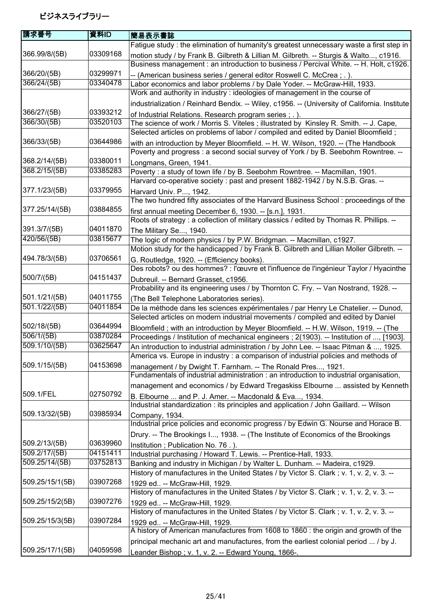| 請求番号            | 資料ID     | 簡易表示書誌                                                                                                                                                                 |
|-----------------|----------|------------------------------------------------------------------------------------------------------------------------------------------------------------------------|
|                 |          | Fatigue study : the elimination of humanity's greatest unnecessary waste a first step in                                                                               |
| 366.99/8/(5B)   | 03309168 | motion study / by Frank B. Gilbreth & Lillian M. Gilbreth. -- Sturgis & Walto, c1916.                                                                                  |
|                 |          | Business management : an introduction to business / Percival White. -- H. Holt, c1926.                                                                                 |
| 366/20/(5B)     | 03299971 | -- (American business series / general editor Roswell C. McCrea ; . ).                                                                                                 |
| 366/24/(5B)     | 03340478 | Labor economics and labor problems / by Dale Yoder. -- McGraw-Hill, 1933.                                                                                              |
|                 |          | Work and authority in industry : ideologies of management in the course of                                                                                             |
|                 |          | industrialization / Reinhard Bendix. -- Wiley, c1956. -- (University of California. Institute                                                                          |
| 366/27/(5B)     | 03393212 | of Industrial Relations. Research program series; .).                                                                                                                  |
| 366/30/(5B)     | 03520103 | The science of work / Morris S. Viteles; illustrated by Kinsley R. Smith. -- J. Cape,                                                                                  |
|                 |          | Selected articles on problems of labor / compiled and edited by Daniel Bloomfield;                                                                                     |
| 366/33/(5B)     | 03644986 | with an introduction by Meyer Bloomfield. -- H. W. Wilson, 1920. -- (The Handbook                                                                                      |
|                 |          | Poverty and progress : a second social survey of York / by B. Seebohm Rowntree. --                                                                                     |
| 368.2/14/(5B)   | 03380011 | Longmans, Green, 1941.                                                                                                                                                 |
| 368.2/15/(5B)   | 03385283 | Poverty: a study of town life / by B. Seebohm Rowntree. -- Macmillan, 1901.                                                                                            |
|                 |          | Harvard co-operative society : past and present 1882-1942 / by N.S.B. Gras. --                                                                                         |
| 377.1/23/(5B)   | 03379955 | Harvard Univ. P, 1942.                                                                                                                                                 |
|                 |          | The two hundred fifty associates of the Harvard Business School: proceedings of the                                                                                    |
| 377.25/14/(5B)  | 03884855 | first annual meeting December 6, 1930. -- [s.n.], 1931.                                                                                                                |
|                 |          | Roots of strategy : a collection of military classics / edited by Thomas R. Phillips. --                                                                               |
| 391.3/7/(5B)    | 04011870 | The Military Se, 1940.                                                                                                                                                 |
| 420/56/(5B)     | 03815677 | The logic of modern physics / by P.W. Bridgman. -- Macmillan, c1927.                                                                                                   |
|                 | 03706561 | Motion study for the handicapped / by Frank B. Gilbreth and Lillian Moller Gilbreth. --                                                                                |
| 494.78/3/(5B)   |          | G. Routledge, 1920. -- (Efficiency books).                                                                                                                             |
| 500/7/(5B)      | 04151437 | Des robots? ou des hommes? : l'œuvre et l'influence de l'ingénieur Taylor / Hyacinthe                                                                                  |
|                 |          | Dubreuil. -- Bernard Grasset, c1956.<br>Probability and its engineering uses / by Thornton C. Fry. -- Van Nostrand, 1928. --                                           |
| 501.1/21/(5B)   | 04011755 |                                                                                                                                                                        |
| 501.1/22/(5B)   | 04011854 | (The Bell Telephone Laboratories series).                                                                                                                              |
|                 |          | De la méthode dans les sciences expérimentales / par Henry Le Chatelier. -- Dunod,<br>Selected articles on modern industrial movements / compiled and edited by Daniel |
| 502/18/(5B)     | 03644994 | Bloomfield; with an introduction by Meyer Bloomfield. -- H.W. Wilson, 1919. -- (The                                                                                    |
| 506/1/(5B)      | 03870284 | Proceedings / Institution of mechanical engineers ; 2(1903). -- Institution of , [1903].                                                                               |
| 509.1/10/(5B)   | 03625647 | An introduction to industrial administration / by John Lee. -- Isaac Pitman & , 1925.                                                                                  |
|                 |          | America vs. Europe in industry : a comparison of industrial policies and methods of                                                                                    |
| 509.1/15/(5B)   | 04153698 | management / by Dwight T. Farnham. -- The Ronald Pres, 1921.                                                                                                           |
|                 |          | Fundamentals of industrial administration : an introduction to industrial organisation,                                                                                |
|                 |          | management and economics / by Edward Tregaskiss Elbourne  assisted by Kenneth                                                                                          |
| 509.1/FEL       | 02750792 | B. Elbourne  and P. J. Amer. -- Macdonald & Eva, 1934.                                                                                                                 |
|                 |          | Industrial standardization : its principles and application / John Gaillard. -- Wilson                                                                                 |
| 509.13/32/(5B)  | 03985934 | Company, 1934.                                                                                                                                                         |
|                 |          | Industrial price policies and economic progress / by Edwin G. Nourse and Horace B.                                                                                     |
|                 |          | Drury. -- The Brookings I, 1938. -- (The Institute of Economics of the Brookings                                                                                       |
| 509.2/13/(5B)   | 03639960 | Institution; Publication No. 76.).                                                                                                                                     |
| 509.2/17/(5B)   | 04151411 | Industrial purchasing / Howard T. Lewis. -- Prentice-Hall, 1933.                                                                                                       |
| 509.25/14/(5B)  | 03752813 | Banking and industry in Michigan / by Walter L. Dunham. -- Madeira, c1929.                                                                                             |
|                 |          | History of manufactures in the United States / by Victor S. Clark; v. 1, v. 2, v. 3. --                                                                                |
| 509.25/15/1(5B) | 03907268 | 1929 ed -- McGraw-Hill, 1929.                                                                                                                                          |
|                 |          | History of manufactures in the United States / by Victor S. Clark; v. 1, v. 2, v. 3. --                                                                                |
| 509.25/15/2(5B) | 03907276 | 1929 ed -- McGraw-Hill, 1929.                                                                                                                                          |
|                 |          | History of manufactures in the United States / by Victor S. Clark; v. 1, v. 2, v. 3. --                                                                                |
| 509.25/15/3(5B) | 03907284 | 1929 ed -- McGraw-Hill, 1929.                                                                                                                                          |
|                 |          | A history of American manufactures from 1608 to 1860 : the origin and growth of the                                                                                    |
|                 |          | principal mechanic art and manufactures, from the earliest colonial period  / by J.                                                                                    |
| 509.25/17/1(5B) | 04059598 | Leander Bishop ; v. 1, v. 2. -- Edward Young, 1866-.                                                                                                                   |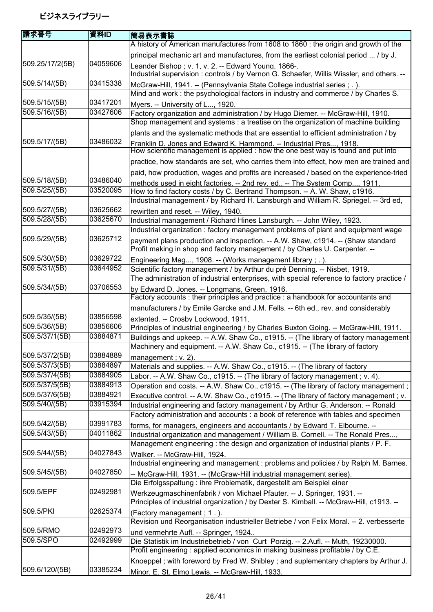| 請求番号                             | 資料ID                 | 簡易表示書誌                                                                                                                                                              |
|----------------------------------|----------------------|---------------------------------------------------------------------------------------------------------------------------------------------------------------------|
|                                  |                      | A history of American manufactures from 1608 to 1860 : the origin and growth of the                                                                                 |
|                                  |                      | principal mechanic art and manufactures, from the earliest colonial period  / by J.                                                                                 |
| 509.25/17/2(5B)                  | 04059606             | Leander Bishop; v. 1, v. 2. -- Edward Young, 1866-.                                                                                                                 |
|                                  |                      | Industrial supervision : controls / by Vernon G. Schaefer, Willis Wissler, and others. --                                                                           |
| 509.5/14/(5B)                    | 03415338             | McGraw-Hill, 1941. -- (Pennsylvania State College industrial series ; . ).                                                                                          |
|                                  |                      | Mind and work: the psychological factors in industry and commerce / by Charles S.                                                                                   |
| 509.5/15/(5B)<br>509.5/16/(5B)   | 03417201<br>03427606 | Myers. -- University of L, 1920.                                                                                                                                    |
|                                  |                      | Factory organization and administration / by Hugo Diemer. -- McGraw-Hill, 1910.<br>Shop management and systems : a treatise on the organization of machine building |
|                                  |                      | plants and the systematic methods that are essential to efficient administration / by                                                                               |
| 509.5/17/(5B)                    | 03486032             | Franklin D. Jones and Edward K. Hammond. -- Industrial Pres, 1918.                                                                                                  |
|                                  |                      | How scientific management is applied : how the one best way is found and put into                                                                                   |
|                                  |                      | practice, how standards are set, who carries them into effect, how men are trained and                                                                              |
|                                  |                      | paid, how production, wages and profits are increased / based on the experience-tried                                                                               |
| 509.5/18/(5B)                    | 03486040             | methods used in eight factories. -- 2nd rev. ed -- The System Comp 1911.                                                                                            |
| 509.5/25/(5B)                    | 03520095             | How to find factory costs / by C. Bertrand Thompson. -- A. W. Shaw, c1916.                                                                                          |
|                                  |                      | Industrial management / by Richard H. Lansburgh and William R. Spriegel. -- 3rd ed,                                                                                 |
| 509.5/27/(5B)                    | 03625662             | rewirtten and reset. -- Wiley, 1940.                                                                                                                                |
| 509.5/28/(5B)                    | 03625670             | Industrial management / Richard Hines Lansburgh. -- John Wiley, 1923.                                                                                               |
| 509.5/29/(5B)                    | 03625712             | Industrial organization: factory management problems of plant and equipment wage                                                                                    |
|                                  |                      | payment plans production and inspection. -- A.W. Shaw, c1914. -- (Shaw standard<br>Profit making in shop and factory management / by Charles U. Carpenter. --       |
| 509.5/30/(5B)                    | 03629722             |                                                                                                                                                                     |
| 509.5/31/(5B)                    | 03644952             | Engineering Mag, 1908. -- (Works management library ; . ).<br>Scientific factory management / by Arthur du pré Denning. -- Nisbet, 1919.                            |
|                                  |                      | The administration of industrial enterprises, with special reference to factory practice /                                                                          |
| 509.5/34/(5B)                    | 03706553             | by Edward D. Jones. -- Longmans, Green, 1916.                                                                                                                       |
|                                  |                      | Factory accounts : their principles and practice : a handbook for accountants and                                                                                   |
|                                  |                      | manufacturers / by Emile Garcke and J.M. Fells. -- 6th ed., rev. and considerably                                                                                   |
| 509.5/35/(5B)                    | 03856598             | extented. -- Crosby Lockwood, 1911.                                                                                                                                 |
| 509.5/36/(5B)                    | 03856606             | Principles of industrial engineering / by Charles Buxton Going. -- McGraw-Hill, 1911.                                                                               |
| 509.5/37/1(5B)                   | 03884871             | Buildings and upkeep. -- A.W. Shaw Co., c1915. -- (The library of factory management                                                                                |
|                                  |                      | Machinery and equipment. -- A.W. Shaw Co., c1915. -- (The library of factory                                                                                        |
| 509.5/37/2(5B)<br>509.5/37/3(5B) | 03884889<br>03884897 | management; v. 2).                                                                                                                                                  |
| 509.5/37/4(5B)                   | 03884905             | Materials and supplies. -- A.W. Shaw Co., c1915. -- (The library of factory<br>Labor. -- A.W. Shaw Co., c1915. -- (The library of factory management; v. 4).        |
| 509.5/37/5(5B)                   | 03884913             | Operation and costs. -- A.W. Shaw Co., c1915. -- (The library of factory management;                                                                                |
| 509.5/37/6(5B)                   | 03884921             | Executive control. -- A.W. Shaw Co., c1915. -- (The library of factory management; v.                                                                               |
| 509.5/40/(5B)                    | 03915394             | Industrial engineering and factory management / by Arthur G. Anderson. -- Ronald                                                                                    |
|                                  |                      | Factory administration and accounts : a book of reference with tables and specimen                                                                                  |
| 509.5/42/(5B)                    | 03991783             | forms, for managers, engineers and accountants / by Edward T. Elbourne. --                                                                                          |
| 509.5/43/(5B)                    | 04011862             | Industrial organization and management / William B. Cornell. -- The Ronald Pres,                                                                                    |
|                                  |                      | Management engineering: the design and organization of industrial plants / P. F.                                                                                    |
| 509.5/44/(5B)                    | 04027843             | Walker. -- McGraw-Hill, 1924.                                                                                                                                       |
|                                  |                      | Industrial engineering and management : problems and policies / by Ralph M. Barnes.                                                                                 |
| 509.5/45/(5B)                    | 04027850             | -- McGraw-Hill, 1931. -- (McGraw-Hill industrial management series).                                                                                                |
| 509.5/EPF                        | 02492981             | Die Erfolgsspaltung : ihre Problematik, dargestellt am Beispiel einer                                                                                               |
|                                  |                      | Werkzeugmaschinenfabrik / von Michael Pfauter. -- J. Springer, 1931. --<br>Principles of industrial organization / by Dexter S. Kimball. -- McGraw-Hill, c1913. --  |
| 509.5/PKI                        | 02625374             |                                                                                                                                                                     |
|                                  |                      | (Factory management; 1.).<br>Revision und Reorganisation industrieller Betriebe / von Felix Moral. -- 2. verbesserte                                                |
| 509.5/RMO                        | 02492973             | und vermehrte Aufl. -- Springer, 1924                                                                                                                               |
| 509.5/SPO                        | 02492999             | Die Statistik im Industriebetrieb / von Curt Porzig. -- 2.Aufl. -- Muth, 19230000.                                                                                  |
|                                  |                      | Profit engineering: applied economics in making business profitable / by C.E.                                                                                       |
|                                  |                      | Knoeppel; with foreword by Fred W. Shibley; and suplementary chapters by Arthur J.                                                                                  |
| 509.6/120/(5B)                   | 03385234             | Minor, E. St. Elmo Lewis. -- McGraw-Hill, 1933.                                                                                                                     |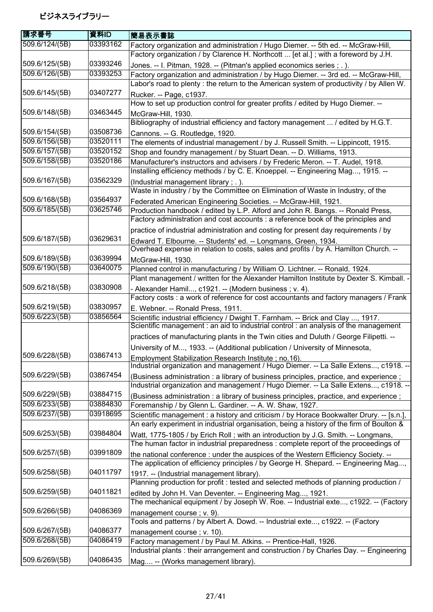| 請求番号           | 資料ID                 | 簡易表示書誌                                                                                                                                                     |
|----------------|----------------------|------------------------------------------------------------------------------------------------------------------------------------------------------------|
| 509.6/124/(5B) | 03393162             | Factory organization and administration / Hugo Diemer. -- 5th ed. -- McGraw-Hill,                                                                          |
|                |                      | Factory organization / by Clarence H. Northcott  [et al.]; with a foreword by J.H.                                                                         |
| 509.6/125/(5B) | 03393246             | Jones. -- I. Pitman, 1928. -- (Pitman's applied economics series ; . ).                                                                                    |
| 509.6/126/(5B) | 03393253             | Factory organization and administration / by Hugo Diemer. -- 3rd ed. -- McGraw-Hill,                                                                       |
|                |                      | Labor's road to plenty : the return to the American system of productivity / by Allen W.                                                                   |
| 509.6/145/(5B) | 03407277             | Rucker. -- Page, c1937.                                                                                                                                    |
|                |                      | How to set up production control for greater profits / edited by Hugo Diemer. --                                                                           |
| 509.6/148/(5B) | 03463445             | McGraw-Hill, 1930.                                                                                                                                         |
|                |                      | Bibliography of industrial efficiency and factory management  / edited by H.G.T.                                                                           |
| 509.6/154/(5B) | 03508736             | Cannons. -- G. Routledge, 1920.                                                                                                                            |
| 509.6/156/(5B) | 03520111             | The elements of industrial management / by J. Russell Smith. -- Lippincott, 1915.                                                                          |
| 509.6/157/(5B) | 03520152<br>03520186 | Shop and foundry management / by Stuart Dean. -- D. Williams, 1913.                                                                                        |
| 509.6/158/(5B) |                      | Manufacturer's instructors and advisers / by Frederic Meron. -- T. Audel, 1918.                                                                            |
| 509.6/167/(5B) | 03562329             | Installing efficiency methods / by C. E. Knoeppel. -- Engineering Mag, 1915. --                                                                            |
|                |                      | (Industrial management library; .).<br>Waste in industry / by the Committee on Elimination of Waste in Industry, of the                                    |
| 509.6/168/(5B) | 03564937             |                                                                                                                                                            |
| 509.6/185/(5B) | 03625746             | Federated American Engineering Societies. -- McGraw-Hill, 1921.<br>Production handbook / edited by L.P. Alford and John R. Bangs. -- Ronald Press,         |
|                |                      | Factory administration and cost accounts : a reference book of the principles and                                                                          |
|                |                      | practice of industrial administration and costing for present day requirements / by                                                                        |
| 509.6/187/(5B) | 03629631             |                                                                                                                                                            |
|                |                      | Edward T. Elbourne. -- Students' ed. -- Longmans, Green, 1934.<br>Overhead expense in relation to costs, sales and profits / by A. Hamilton Church. --     |
| 509.6/189/(5B) | 03639994             | McGraw-Hill, 1930.                                                                                                                                         |
| 509.6/190/(5B) | 03640075             | Planned control in manufacturing / by William O. Lichtner. -- Ronald, 1924.                                                                                |
|                |                      | Plant management / written for the Alexander Hamilton Institute by Dexter S. Kimball. -                                                                    |
| 509.6/218/(5B) | 03830908             | - Alexander Hamil, c1921. -- (Modern business; v. 4).                                                                                                      |
|                |                      | Factory costs : a work of reference for cost accountants and factory managers / Frank                                                                      |
| 509.6/219/(5B) | 03830957             | E. Webner. -- Ronald Press, 1911.                                                                                                                          |
| 509.6/223/(5B) | 03856564             | Scientific industrial efficiency / Dwight T. Farnham. -- Brick and Clay , 1917.                                                                            |
|                |                      | Scientific management : an aid to industrial control : an analysis of the management                                                                       |
|                |                      | practices of manufacturing plants in the Twin cities and Duluth / George Filipetti. --                                                                     |
|                |                      | University of M, 1933. -- (Additional publication / University of Minnesota,                                                                               |
| 509.6/228/(5B) | 03867413             | Employment Stabilization Research Institute ; no.16).                                                                                                      |
|                |                      | Industrial organization and management / Hugo Diemer. -- La Salle Extens, c1918. --                                                                        |
| 509.6/229/(5B) | 03867454             | (Business administration : a library of business principles, practice, and experience;                                                                     |
|                |                      | Industrial organization and management / Hugo Diemer. -- La Salle Extens, c1918. --                                                                        |
| 509.6/229/(5B) | 03884715             | (Business administration : a library of business principles, practice, and experience;                                                                     |
| 509.6/233/(5B) | 03884830             | Foremanship / by Glenn L. Gardiner. -- A. W. Shaw, 1927.                                                                                                   |
| 509.6/237/(5B) | 03918695             | Scientific management : a history and criticism / by Horace Bookwalter Drury. -- [s.n.],                                                                   |
|                |                      | An early experiment in industrial organisation, being a history of the firm of Boulton &                                                                   |
| 509.6/253/(5B) | 03984804             | Watt, 1775-1805 / by Erich Roll; with an introduction by J.G. Smith. -- Longmans,                                                                          |
|                |                      | The human factor in industrial preparedness: complete report of the proceedings of                                                                         |
| 509.6/257/(5B) | 03991809             | the national conference : under the auspices of the Western Efficiency Society. --                                                                         |
|                |                      | The application of efficiency principles / by George H. Shepard. -- Engineering Mag,                                                                       |
| 509.6/258/(5B) | 04011797             | 1917. -- (Industrial management library).                                                                                                                  |
|                |                      | Planning production for profit : tested and selected methods of planning production /                                                                      |
| 509.6/259/(5B) | 04011821             | edited by John H. Van Deventer. -- Engineering Mag, 1921.                                                                                                  |
|                |                      | The mechanical equipment / by Joseph W. Roe. -- Industrial exte, c1922. -- (Factory                                                                        |
| 509.6/266/(5B) | 04086369             | management course; v. 9).                                                                                                                                  |
| 509.6/267/(5B) | 04086377             | Tools and patterns / by Albert A. Dowd. -- Industrial exte, c1922. -- (Factory                                                                             |
| 509.6/268/(5B) | 04086419             | management course; v. 10).                                                                                                                                 |
|                |                      | Factory management / by Paul M. Atkins. -- Prentice-Hall, 1926.<br>Industrial plants : their arrangement and construction / by Charles Day. -- Engineering |
| 509.6/269/(5B) | 04086435             |                                                                                                                                                            |
|                |                      | Mag -- (Works management library).                                                                                                                         |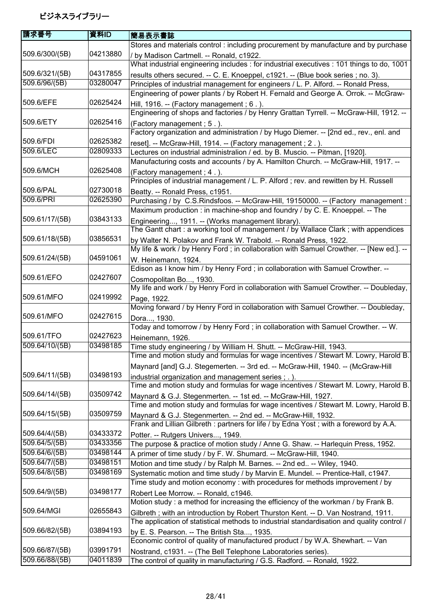| 請求番号           | 資料ID     | 簡易表示書誌                                                                                     |
|----------------|----------|--------------------------------------------------------------------------------------------|
|                |          | Stores and materials control : including procurement by manufacture and by purchase        |
| 509.6/300/(5B) | 04213880 | / by Madison Cartmell. -- Ronald, c1922.                                                   |
|                |          | What industrial engineering includes: for industrial executives: 101 things to do, 1001    |
| 509.6/321/(5B) | 04317855 | results others secured. -- C. E. Knoeppel, c1921. -- (Blue book series; no. 3).            |
| 509.6/96/(5B)  | 03280047 | Principles of industrial management for engineers / L. P. Alford. -- Ronald Press,         |
|                |          | Engineering of power plants / by Robert H. Fernald and George A. Orrok. -- McGraw-         |
| 509.6/EFE      | 02625424 | Hill, 1916. -- (Factory management; $6.$ ).                                                |
|                |          | Engineering of shops and factories / by Henry Grattan Tyrrell. -- McGraw-Hill, 1912. --    |
| 509.6/ETY      | 02625416 | (Factory management; 5.).                                                                  |
|                |          | Factory organization and administration / by Hugo Diemer. -- [2nd ed., rev., enl. and      |
| 509.6/FDI      | 02625382 | reset]. -- McGraw-Hill, 1914. -- (Factory management ; 2.).                                |
| 509.6/LEC      | 02809333 | Lectures on industrial administralion / ed. by B. Muscio. -- Pitman, [1920].               |
|                |          | Manufacturing costs and accounts / by A. Hamilton Church. -- McGraw-Hill, 1917. --         |
| 509.6/MCH      | 02625408 | (Factory management; 4.).                                                                  |
|                |          | Principles of industrial management / L. P. Alford ; rev. and rewitten by H. Russell       |
| 509.6/PAL      | 02730018 | Beatty. -- Ronald Press, c1951.                                                            |
| 509.6/PRI      | 02625390 | Purchasing / by C.S.Rindsfoos. -- McGraw-Hill, 19150000. -- (Factory management:           |
|                |          | Maximum production : in machine-shop and foundry / by C. E. Knoeppel. -- The               |
| 509.61/17/(5B) | 03843133 | Engineering, 1911. -- (Works management library).                                          |
|                |          | The Gantt chart: a working tool of management / by Wallace Clark; with appendices          |
| 509.61/18/(5B) | 03856531 | by Walter N. Polakov and Frank W. Trabold. -- Ronald Press, 1922.                          |
|                |          | My life & work / by Henry Ford ; in collaboration with Samuel Crowther. -- [New ed.]. --   |
| 509.61/24/(5B) | 04591061 | W. Heinemann, 1924.                                                                        |
|                |          | Edison as I know him / by Henry Ford ; in collaboration with Samuel Crowther. --           |
| 509.61/EFO     | 02427607 | Cosmopolitan Bo, 1930.                                                                     |
|                |          | My life and work / by Henry Ford in collaboration with Samuel Crowther. -- Doubleday,      |
| 509.61/MFO     | 02419992 | Page, 1922.                                                                                |
|                |          | Moving forward / by Henry Ford in collaboration with Samuel Crowther. -- Doubleday,        |
| 509.61/MFO     | 02427615 | Dora, 1930.                                                                                |
|                |          | Today and tomorrow / by Henry Ford; in collaboration with Samuel Crowther. -- W.           |
| 509.61/TFO     | 02427623 | Heinemann, 1926.                                                                           |
| 509.64/10/(5B) | 03498185 | Time study engineering / by William H. Shutt. -- McGraw-Hill, 1943.                        |
|                |          | Time and motion study and formulas for wage incentives / Stewart M. Lowry, Harold B.       |
|                |          | Maynard [and] G.J. Stegemerten. -- 3rd ed. -- McGraw-Hill, 1940. -- (McGraw-Hill           |
| 509.64/11/(5B) | 03498193 | industrial organization and management series; .).                                         |
|                |          | Time and motion study and formulas for wage incentives / Stewart M. Lowry, Harold B.       |
| 509.64/14/(5B) | 03509742 | Maynard & G.J. Stegenmerten. -- 1st ed. -- McGraw-Hill, 1927.                              |
|                |          | Time and motion study and formulas for wage incentives / Stewart M. Lowry, Harold B.       |
| 509.64/15/(5B) | 03509759 | Maynard & G.J. Stegenmerten. -- 2nd ed. -- McGraw-Hill, 1932.                              |
|                |          | Frank and Lillian Gilbreth : partners for life / by Edna Yost; with a foreword by A.A.     |
| 509.64/4/(5B)  | 03433372 | Potter. -- Rutgers Univers, 1949.                                                          |
| 509.64/5/(5B)  | 03433356 | The purpose & practice of motion study / Anne G. Shaw. -- Harlequin Press, 1952.           |
| 509.64/6/(5B)  | 03498144 | A primer of time study / by F. W. Shumard. -- McGraw-Hill, 1940.                           |
| 509.64/7/(5B)  | 03498151 | Motion and time study / by Ralph M. Barnes. -- 2nd ed -- Wiley, 1940.                      |
| 509.64/8/(5B)  | 03498169 | Systematic motion and time study / by Marvin E. Mundel. -- Prentice-Hall, c1947.           |
|                |          | Time study and motion economy: with procedures for methods improvement / by                |
| 509.64/9/(5B)  | 03498177 | Robert Lee Morrow. -- Ronald, c1946.                                                       |
|                |          | Motion study: a method for increasing the efficiency of the workman / by Frank B.          |
| 509.64/MGI     | 02655843 | Gilbreth; with an introduction by Robert Thurston Kent. -- D. Van Nostrand, 1911.          |
|                |          | The application of statistical methods to industrial standardisation and quality control / |
| 509.66/82/(5B) | 03894193 | by E. S. Pearson. -- The British Sta, 1935.                                                |
|                |          | Economic control of quality of manufactured product / by W.A. Shewhart. -- Van             |
| 509.66/87/(5B) | 03991791 | Nostrand, c1931. -- (The Bell Telephone Laboratories series).                              |
| 509.66/88/(5B) | 04011839 | The control of quality in manufacturing / G.S. Radford. -- Ronald, 1922.                   |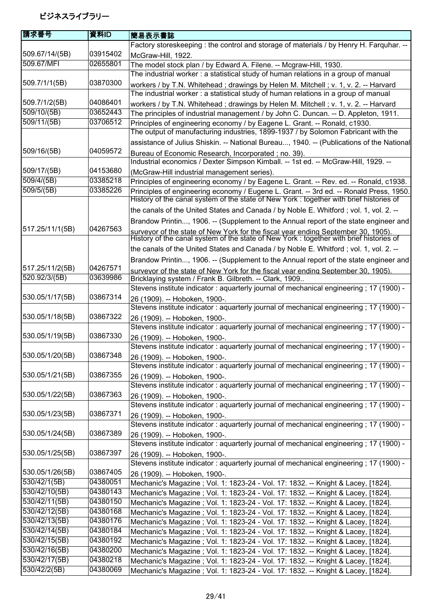| 請求番号                       | 資料ID     | 簡易表示書誌                                                                                                                                                                       |
|----------------------------|----------|------------------------------------------------------------------------------------------------------------------------------------------------------------------------------|
|                            |          | Factory storeskeeping : the control and storage of materials / by Henry H. Farquhar. --                                                                                      |
| 509.67/14/(5B)             | 03915402 | McGraw-Hill, 1922.                                                                                                                                                           |
| 509.67/MFI                 | 02655801 | The model stock plan / by Edward A. Filene. -- Mcgraw-Hill, 1930.                                                                                                            |
|                            |          | The industrial worker: a statistical study of human relations in a group of manual                                                                                           |
| 509.7/1/1(5B)              | 03870300 | workers / by T.N. Whitehead; drawings by Helen M. Mitchell; v. 1, v. 2. -- Harvard<br>The industrial worker: a statistical study of human relations in a group of manual     |
| 509.7/1/2(5B)              | 04086401 | workers / by T.N. Whitehead; drawings by Helen M. Mitchell; v. 1, v. 2. -- Harvard                                                                                           |
| 509/10/(5B)                | 03652443 | The principles of industrial management / by John C. Duncan. -- D. Appleton, 1911.                                                                                           |
| 509/11/(5B)                | 03706512 | Principles of engineering economy / by Eagene L. Grant. -- Ronald, c1930.                                                                                                    |
|                            |          | The output of manufacturing industries, 1899-1937 / by Solomon Fabricant with the                                                                                            |
|                            |          | assistance of Julius Shiskin. -- National Bureau, 1940. -- (Publications of the National                                                                                     |
| 509/16/(5B)                | 04059572 | Bureau of Economic Research, Incorporated; no. 39).                                                                                                                          |
|                            |          | Industrial economics / Dexter Simpson Kimball. -- 1st ed. -- McGraw-Hill, 1929. --                                                                                           |
| 509/17/(5B)                | 04153680 | (McGraw-Hill industrial management series).                                                                                                                                  |
| 509/4/(5B)                 | 03385218 | Principles of engineering economy / by Eagene L. Grant. -- Rev. ed. -- Ronald, c1938.                                                                                        |
| 509/5/(5B)                 | 03385226 | Principles of engineering economy / Eugene L. Grant. -- 3rd ed. -- Ronald Press, 1950.                                                                                       |
|                            |          | History of the canal system of the state of New York : together with brief histories of                                                                                      |
|                            |          | the canals of the United States and Canada / by Noble E. Whitford; vol. 1, vol. 2. --                                                                                        |
|                            |          | Brandow Printin, 1906. -- (Supplement to the Annual report of the state engineer and                                                                                         |
| 517.25/11/1(5B)            | 04267563 | surveyor of the state of New York for the fiscal year ending September 30, 1905).<br>History of the canal system of the state of New York : together with brief histories of |
|                            |          | the canals of the United States and Canada / by Noble E. Whitford; vol. 1, vol. 2. --                                                                                        |
|                            |          | Brandow Printin, 1906. -- (Supplement to the Annual report of the state engineer and                                                                                         |
| 517.25/11/2(5B)            | 04267571 | surveyor of the state of New York for the fiscal year ending September 30, 1905).                                                                                            |
| 520.92/3/(5B)              | 03639986 | Bricklaying system / Frank B. Gilbreth. -- Clark, 1909                                                                                                                       |
|                            |          | Stevens institute indicator: aquarterly journal of mechanical engineering; 17 (1900) -                                                                                       |
| 530.05/1/17(5B)            | 03867314 | 26 (1909). -- Hoboken, 1900-.                                                                                                                                                |
|                            |          | Stevens institute indicator: aquarterly journal of mechanical engineering; 17 (1900) -                                                                                       |
| 530.05/1/18(5B)            | 03867322 | 26 (1909). -- Hoboken, 1900-.                                                                                                                                                |
|                            |          | Stevens institute indicator: aquarterly journal of mechanical engineering; 17 (1900) -                                                                                       |
| 530.05/1/19(5B)            | 03867330 | 26 (1909). -- Hoboken, 1900-.                                                                                                                                                |
|                            |          | Stevens institute indicator: aquarterly journal of mechanical engineering; 17 (1900) -                                                                                       |
| 530.05/1/20(5B)            | 03867348 | 26 (1909). -- Hoboken, 1900-.                                                                                                                                                |
|                            |          | Stevens institute indicator: aquarterly journal of mechanical engineering; 17 (1900) -                                                                                       |
| 530.05/1/21(5B)            | 03867355 | 26 (1909). -- Hoboken, 1900-.                                                                                                                                                |
|                            |          | Stevens institute indicator: aquarterly journal of mechanical engineering; 17 (1900) -                                                                                       |
| 530.05/1/22(5B)            | 03867363 | 26 (1909). -- Hoboken, 1900-.                                                                                                                                                |
|                            |          | Stevens institute indicator: aquarterly journal of mechanical engineering; 17 (1900) -                                                                                       |
| 530.05/1/23(5B)            | 03867371 | 26 (1909). -- Hoboken, 1900-.                                                                                                                                                |
| 530.05/1/24(5B)            | 03867389 | Stevens institute indicator: aquarterly journal of mechanical engineering; 17 (1900) -                                                                                       |
|                            |          | 26 (1909). -- Hoboken, 1900-.<br>Stevens institute indicator: aquarterly journal of mechanical engineering; 17 (1900) -                                                      |
| 530.05/1/25(5B)            | 03867397 |                                                                                                                                                                              |
|                            |          | 26 (1909). -- Hoboken, 1900-.<br>Stevens institute indicator: aquarterly journal of mechanical engineering; 17 (1900) -                                                      |
| 530.05/1/26(5B)            | 03867405 |                                                                                                                                                                              |
| 530/42/1(5B)               | 04380051 | 26 (1909). -- Hoboken, 1900-.<br>Mechanic's Magazine ; Vol. 1: 1823-24 - Vol. 17: 1832. -- Knight & Lacey, [1824].                                                           |
| 530/42/10(5B)              | 04380143 | Mechanic's Magazine; Vol. 1: 1823-24 - Vol. 17: 1832. -- Knight & Lacey, [1824].                                                                                             |
| 530/42/11(5B)              | 04380150 | Mechanic's Magazine; Vol. 1: 1823-24 - Vol. 17: 1832. -- Knight & Lacey, [1824].                                                                                             |
| 530/42/12(5B)              | 04380168 | Mechanic's Magazine ; Vol. 1: 1823-24 - Vol. 17: 1832. -- Knight & Lacey, [1824].                                                                                            |
| 530/42/13(5B)              | 04380176 | Mechanic's Magazine ; Vol. 1: 1823-24 - Vol. 17: 1832. -- Knight & Lacey, [1824].                                                                                            |
| 530/42/14(5B)              | 04380184 | Mechanic's Magazine; Vol. 1: 1823-24 - Vol. 17: 1832. -- Knight & Lacey, [1824].                                                                                             |
| 530/42/15(5B)              | 04380192 | Mechanic's Magazine; Vol. 1: 1823-24 - Vol. 17: 1832. -- Knight & Lacey, [1824].                                                                                             |
| $\overline{530}/42/16(5B)$ | 04380200 | Mechanic's Magazine; Vol. 1: 1823-24 - Vol. 17: 1832. -- Knight & Lacey, [1824].                                                                                             |
| 530/42/17(5B)              | 04380218 | Mechanic's Magazine; Vol. 1: 1823-24 - Vol. 17: 1832. -- Knight & Lacey, [1824].                                                                                             |
| 530/42/2(5B)               | 04380069 | Mechanic's Magazine; Vol. 1: 1823-24 - Vol. 17: 1832. -- Knight & Lacey, [1824].                                                                                             |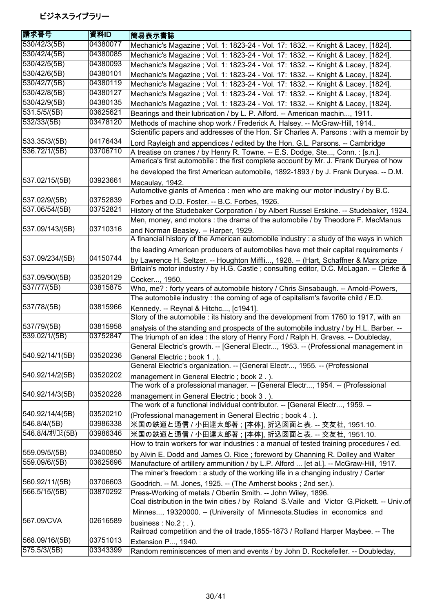| 請求番号                      | 資料ID     | 簡易表示書誌                                                                                                                                                                        |
|---------------------------|----------|-------------------------------------------------------------------------------------------------------------------------------------------------------------------------------|
| 530/42/3(5B)              | 04380077 | Mechanic's Magazine ; Vol. 1: 1823-24 - Vol. 17: 1832. -- Knight & Lacey, [1824].                                                                                             |
| 530/42/4(5B)              | 04380085 | Mechanic's Magazine ; Vol. 1: 1823-24 - Vol. 17: 1832. -- Knight & Lacey, [1824].                                                                                             |
| 530/42/5(5B)              | 04380093 | Mechanic's Magazine ; Vol. 1: 1823-24 - Vol. 17: 1832. -- Knight & Lacey, [1824].                                                                                             |
| $\overline{530/42/6(5B)}$ | 04380101 | Mechanic's Magazine ; Vol. 1: 1823-24 - Vol. 17: 1832. -- Knight & Lacey, [1824].                                                                                             |
| 530/42/7(5B)              | 04380119 | Mechanic's Magazine ; Vol. 1: 1823-24 - Vol. 17: 1832. -- Knight & Lacey, [1824].                                                                                             |
| 530/42/8(5B)              | 04380127 | Mechanic's Magazine ; Vol. 1: 1823-24 - Vol. 17: 1832. -- Knight & Lacey, [1824].                                                                                             |
| 530/42/9(5B)              | 04380135 | Mechanic's Magazine ; Vol. 1: 1823-24 - Vol. 17: 1832. -- Knight & Lacey, [1824].                                                                                             |
| 531.5/5/(5B)              | 03625621 | Bearings and their lubrication / by L. P. Alford. -- American machin, 1911.                                                                                                   |
| 532/33/(5B)               | 03478120 | Methods of machine shop work / Frederick A. Halsey. -- McGraw-Hill, 1914                                                                                                      |
|                           |          | Scientific papers and addresses of the Hon. Sir Charles A. Parsons : with a memoir by                                                                                         |
| 533.35/3/(5B)             | 04176434 | Lord Rayleigh and appendices / edited by the Hon. G.L. Parsons. -- Cambridge                                                                                                  |
| 536.72/1/(5B)             | 03706710 | A treatise on cranes / by Henry R. Towne. -- E.S. Dodge, Ste, Conn. : [s.n.].                                                                                                 |
|                           |          | America's first automobile : the first complete account by Mr. J. Frank Duryea of how                                                                                         |
|                           |          | he developed the first American automobile, 1892-1893 / by J. Frank Duryea. -- D.M.                                                                                           |
| 537.02/15/(5B)            | 03923661 |                                                                                                                                                                               |
|                           |          | Macaulay, 1942.<br>Automotive giants of America : men who are making our motor industry / by B.C.                                                                             |
| 537.02/9/(5B)             | 03752839 | Forbes and O.D. Foster. -- B.C. Forbes, 1926.                                                                                                                                 |
| 537.06/54/(5B)            | 03752821 | History of the Studebaker Corporation / by Albert Russel Erskine. -- Studebaker, 1924.                                                                                        |
|                           |          | Men, money, and motors : the drama of the automobile / by Theodore F. MacManus                                                                                                |
| 537.09/143/(5B)           | 03710316 |                                                                                                                                                                               |
|                           |          | and Norman Beasley. -- Harper, 1929.<br>A financial history of the American automobile industry : a study of the ways in which                                                |
|                           |          | the leading American producers of automobiles have met their capital requirements /                                                                                           |
| 537.09/234/(5B)           | 04150744 |                                                                                                                                                                               |
|                           |          | by Lawrence H. Seltzer. -- Houghton Miffli, 1928. -- (Hart, Schaffner & Marx prize<br>Britain's motor industry / by H.G. Castle; consulting editor, D.C. McLagan. -- Clerke & |
| 537.09/90/(5B)            | 03520129 | Cocker, 1950.                                                                                                                                                                 |
| 537/77/(5B)               | 03815875 | Who, me? : forty years of automobile history / Chris Sinsabaugh. -- Arnold-Powers,                                                                                            |
|                           |          | The automobile industry: the coming of age of capitalism's favorite child / E.D.                                                                                              |
| 537/78/(5B)               | 03815966 | Kennedy. -- Reynal & Hitchc, [c1941].                                                                                                                                         |
|                           |          | Story of the automobile : its history and the development from 1760 to 1917, with an                                                                                          |
| 537/79/(5B)               | 03815958 | analysis of the standing and prospects of the automobile industry / by H.L. Barber. --                                                                                        |
| 539.02/1/(5B)             | 03752847 | The triumph of an idea: the story of Henry Ford / Ralph H. Graves. -- Doubleday,                                                                                              |
|                           |          | General Electric's growth. -- [General Electr, 1953. -- (Professional management in                                                                                           |
| 540.92/14/1(5B)           | 03520236 | General Electric; book 1.).                                                                                                                                                   |
|                           |          | General Electric's organization. -- [General Electr, 1955. -- (Professional                                                                                                   |
| 540.92/14/2(5B)           | 03520202 | management in General Electric; book 2.).                                                                                                                                     |
|                           |          | The work of a professional manager. -- [General Electr, 1954. -- (Professional                                                                                                |
| 540.92/14/3(5B)           | 03520228 | management in General Electric; book 3.).                                                                                                                                     |
|                           |          | The work of a functional individual contributor. -- [General Electr, 1959. --                                                                                                 |
| 540.92/14/4(5B)           | 03520210 | (Professional management in General Electric; book 4.).                                                                                                                       |
| 546.8/4/(5B)              | 03986338 | 米国の鉄道と通信 / 小田達太郎著 ; [本体], 折込図面と表. -- 交友社, 1951.10.                                                                                                                            |
| 546.8/4/オリコミ(5B)          | 03986346 | 米国の鉄道と通信 / 小田達太郎著 ; [本体], 折込図面と表. -- 交友社, 1951.10.                                                                                                                            |
|                           |          | How to train workers for war industries : a manual of tested training procedures / ed.                                                                                        |
| 559.09/5/(5B)             | 03400850 |                                                                                                                                                                               |
| 559.09/6/(5B)             | 03625696 | by Alvin E. Dodd and James O. Rice; foreword by Channing R. Dolley and Walter<br>Manufacture of artillery ammunition / by L.P. Alford  [et al.]. -- McGraw-Hill, 1917.        |
|                           |          | The miner's freedom: a study of the working life in a changing industry / Carter                                                                                              |
| 560.92/11/(5B)            | 03706603 |                                                                                                                                                                               |
| 566.5/15/(5B)             | 03870292 | Goodrich. -- M. Jones, 1925. -- (The Amherst books; 2nd ser.).                                                                                                                |
|                           |          | Press-Working of metals / Oberlin Smith. -- John Wiley, 1896.<br>Coal distribution in the twin cities / by Roland S.Vaile and Victor G.Pickett. -- Univ.of                    |
|                           |          |                                                                                                                                                                               |
| 567.09/CVA                | 02616589 | Minnes, 19320000. -- (University of Minnesota.Studies in economics and                                                                                                        |
|                           |          | business: $No.2$ ; .)<br>Railroad competition and the oil trade, 1855-1873 / Rolland Harper Maybee. -- The                                                                    |
| 568.09/16/(5B)            | 03751013 |                                                                                                                                                                               |
| 575.5/3/(5B)              | 03343399 | Extension P, 1940.                                                                                                                                                            |
|                           |          | Random reminiscences of men and events / by John D. Rockefeller. -- Doubleday,                                                                                                |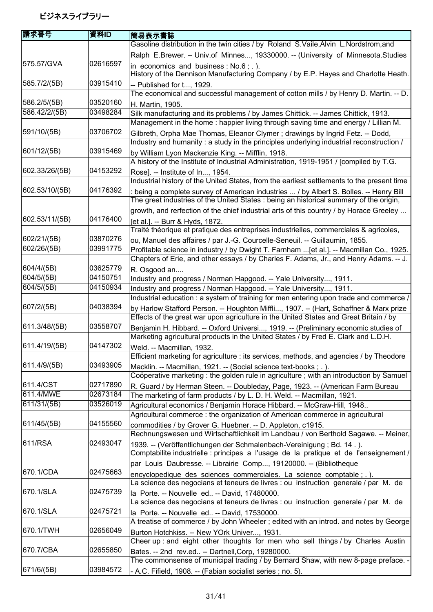| Gasoline distribution in the twin cities / by Roland S.Vaile, Alvin L.Nordstrom, and<br>Ralph E.Brewer. -- Univ.of Minnes, 19330000. -- (University of Minnesota.Studies<br>575.57/GVA<br>02616597<br>in economics and business : $No.6$ ; .).<br>History of the Dennison Manufacturing Company / by E.P. Hayes and Charlotte Heath.<br>585.7/2/(5B)<br>03915410<br>-- Published for t, 1929.<br>The economical and successful management of cotton mills / by Henry D. Martin. -- D.<br>586.2/5/(5B)<br>03520160<br>H. Martin, 1905.<br>586.42/2/(5B)<br>03498284<br>Silk manufacturing and its problems / by James Chittick. -- James Chittick, 1913.<br>Management in the home: happier living through saving time and energy / Lillian M.<br>03706702<br>591/10/(5B)<br>Gilbreth, Orpha Mae Thomas, Eleanor Clymer; drawings by Ingrid Fetz. -- Dodd,<br>Industry and humanity: a study in the principles underlying industrial reconstruction /<br>601/12/(5B)<br>03915469<br>by William Lyon Mackenzie King. -- Mifflin, 1918.<br>A history of the Institute of Industrial Administration, 1919-1951 / [compiled by T.G.<br>602.33/26/(5B)<br>04153292<br>Rose]. -- Institute of In, 1954.<br>Industrial history of the United States, from the earliest settlements to the present time<br>04176392<br>602.53/10/(5B)<br>being a complete survey of American industries  / by Albert S. Bolles. -- Henry Bill<br>The great industries of the United States: being an historical summary of the origin,<br>growth, and rerfection of the chief industrial arts of this country / by Horace Greeley<br>04176400<br>602.53/11/(5B)<br>[et al.]. -- Burr & Hyds, 1872.<br>Traité théorique et pratique des entreprises industrielles, commerciales & agricoles,<br>602/21/(5B)<br>03870276<br>ou, Manuel des affaires / par J.-G. Courcelle-Seneuil. -- Guillaumin, 1855.<br>602/26/(5B)<br>03991775<br>Profitable science in industry / by Dwight T. Farnham  [et al.]. -- Macmillan Co., 1925.<br>Chapters of Erie, and other essays / by Charles F. Adams, Jr., and Henry Adams. -- J.<br>604/4/(5B)<br>03625779<br>R. Osgood an<br>604/5/(5B)<br>04150751<br>Industry and progress / Norman Hapgood. -- Yale University, 1911.<br>604/5/(5B)<br>04150934<br>Industry and progress / Norman Hapgood. -- Yale University, 1911.<br>Industrial education : a system of training for men entering upon trade and commerce /<br>04038394<br>607/2/(5B)<br>by Harlow Stafford Person. -- Houghton Miffli, 1907. -- (Hart, Schaffner & Marx prize<br>Effects of the great war upon agriculture in the United States and Great Britain / by<br>03558707<br>611.3/48/(5B)<br>Benjamin H. Hibbard. -- Oxford Universi, 1919. -- (Preliminary economic studies of<br>Marketing agricultural products in the United States / by Fred E. Clark and L.D.H.<br>04147302<br>Weld. -- Macmillan, 1932.<br>Efficient marketing for agriculture : its services, methods, and agencies / by Theodore<br>03493905<br>Macklin. -- Macmillan, 1921. -- (Social science text-books; .).<br>Coöperative marketing : the golden rule in agriculture ; with an introduction by Samuel<br>02717890<br>611.4/CST<br>R. Guard / by Herman Steen. -- Doubleday, Page, 1923. -- (American Farm Bureau<br>611.4/MWE<br>02673184<br>The marketing of farm products / by L. D. H. Weld. -- Macmillan, 1921.<br>611/31/(5B)<br>03526019<br>Agricultural economics / Benjamin Horace Hibbard. -- McGraw-Hill, 1948<br>Agricultural commerce: the organization of American commerce in agricultural<br>04155560<br>611/45/(5B)<br>commodities / by Grover G. Huebner. -- D. Appleton, c1915.<br>Rechnungswesen und Wirtschaftlichkeit im Landbau / von Berthold Sagawe. -- Meiner,<br>611/RSA<br>02493047<br>1939. -- (Veröffentlichungen der Schmalenbach-Vereinigung; Bd. 14.).<br>Comptabilite industrielle : principes a l'usage de la pratique et de l'enseignement /<br>par Louis Daubresse. -- Librairie Comp, 19120000. -- (Bibliotheque<br>670.1/CDA<br>02475663<br>encyclopedique des sciences commerciales. La science comptable ; . ).<br>La science des negocians et teneurs de livres : ou instruction generale / par M. de<br>670.1/SLA<br>02475739<br>la Porte. -- Nouvelle ed -- David, 17480000.<br>La science des negocians et teneurs de livres : ou instruction generale / par M. de<br>670.1/SLA<br>02475721<br>la Porte. -- Nouvelle ed -- David, 17530000.<br>A treatise of commerce / by John Wheeler; edited with an introd. and notes by George<br>670.1/TWH<br>02656049<br>Burton Hotchkiss. -- New YOrk Univer, 1931.<br>Cheer up: and eight other thoughts for men who sell things / by Charles Austin<br>670.7/CBA<br>02655850<br>Bates. -- 2nd rev.ed -- Dartnell, Corp, 19280000.<br>The commonsense of municipal trading / by Bernard Shaw, with new 8-page preface.<br>671/6/(5B)<br>03984572<br>- A.C. Fifield, 1908. -- (Fabian socialist series ; no. 5). | 請求番号          | 資料ID | 簡易表示書誌 |
|------------------------------------------------------------------------------------------------------------------------------------------------------------------------------------------------------------------------------------------------------------------------------------------------------------------------------------------------------------------------------------------------------------------------------------------------------------------------------------------------------------------------------------------------------------------------------------------------------------------------------------------------------------------------------------------------------------------------------------------------------------------------------------------------------------------------------------------------------------------------------------------------------------------------------------------------------------------------------------------------------------------------------------------------------------------------------------------------------------------------------------------------------------------------------------------------------------------------------------------------------------------------------------------------------------------------------------------------------------------------------------------------------------------------------------------------------------------------------------------------------------------------------------------------------------------------------------------------------------------------------------------------------------------------------------------------------------------------------------------------------------------------------------------------------------------------------------------------------------------------------------------------------------------------------------------------------------------------------------------------------------------------------------------------------------------------------------------------------------------------------------------------------------------------------------------------------------------------------------------------------------------------------------------------------------------------------------------------------------------------------------------------------------------------------------------------------------------------------------------------------------------------------------------------------------------------------------------------------------------------------------------------------------------------------------------------------------------------------------------------------------------------------------------------------------------------------------------------------------------------------------------------------------------------------------------------------------------------------------------------------------------------------------------------------------------------------------------------------------------------------------------------------------------------------------------------------------------------------------------------------------------------------------------------------------------------------------------------------------------------------------------------------------------------------------------------------------------------------------------------------------------------------------------------------------------------------------------------------------------------------------------------------------------------------------------------------------------------------------------------------------------------------------------------------------------------------------------------------------------------------------------------------------------------------------------------------------------------------------------------------------------------------------------------------------------------------------------------------------------------------------------------------------------------------------------------------------------------------------------------------------------------------------------------------------------------------------------------------------------------------------------------------------------------------------------------------------------------------------------------------------------------------------------------------------------------------------------------------------------------------------------------------------------------------------------------------------------------------------------------------------------------------------------------------------------------------------------------------------------------------------------------------------------------------------------------------------------|---------------|------|--------|
|                                                                                                                                                                                                                                                                                                                                                                                                                                                                                                                                                                                                                                                                                                                                                                                                                                                                                                                                                                                                                                                                                                                                                                                                                                                                                                                                                                                                                                                                                                                                                                                                                                                                                                                                                                                                                                                                                                                                                                                                                                                                                                                                                                                                                                                                                                                                                                                                                                                                                                                                                                                                                                                                                                                                                                                                                                                                                                                                                                                                                                                                                                                                                                                                                                                                                                                                                                                                                                                                                                                                                                                                                                                                                                                                                                                                                                                                                                                                                                                                                                                                                                                                                                                                                                                                                                                                                                                                                                                                                                                                                                                                                                                                                                                                                                                                                                                                                                                                                                  |               |      |        |
|                                                                                                                                                                                                                                                                                                                                                                                                                                                                                                                                                                                                                                                                                                                                                                                                                                                                                                                                                                                                                                                                                                                                                                                                                                                                                                                                                                                                                                                                                                                                                                                                                                                                                                                                                                                                                                                                                                                                                                                                                                                                                                                                                                                                                                                                                                                                                                                                                                                                                                                                                                                                                                                                                                                                                                                                                                                                                                                                                                                                                                                                                                                                                                                                                                                                                                                                                                                                                                                                                                                                                                                                                                                                                                                                                                                                                                                                                                                                                                                                                                                                                                                                                                                                                                                                                                                                                                                                                                                                                                                                                                                                                                                                                                                                                                                                                                                                                                                                                                  |               |      |        |
|                                                                                                                                                                                                                                                                                                                                                                                                                                                                                                                                                                                                                                                                                                                                                                                                                                                                                                                                                                                                                                                                                                                                                                                                                                                                                                                                                                                                                                                                                                                                                                                                                                                                                                                                                                                                                                                                                                                                                                                                                                                                                                                                                                                                                                                                                                                                                                                                                                                                                                                                                                                                                                                                                                                                                                                                                                                                                                                                                                                                                                                                                                                                                                                                                                                                                                                                                                                                                                                                                                                                                                                                                                                                                                                                                                                                                                                                                                                                                                                                                                                                                                                                                                                                                                                                                                                                                                                                                                                                                                                                                                                                                                                                                                                                                                                                                                                                                                                                                                  |               |      |        |
|                                                                                                                                                                                                                                                                                                                                                                                                                                                                                                                                                                                                                                                                                                                                                                                                                                                                                                                                                                                                                                                                                                                                                                                                                                                                                                                                                                                                                                                                                                                                                                                                                                                                                                                                                                                                                                                                                                                                                                                                                                                                                                                                                                                                                                                                                                                                                                                                                                                                                                                                                                                                                                                                                                                                                                                                                                                                                                                                                                                                                                                                                                                                                                                                                                                                                                                                                                                                                                                                                                                                                                                                                                                                                                                                                                                                                                                                                                                                                                                                                                                                                                                                                                                                                                                                                                                                                                                                                                                                                                                                                                                                                                                                                                                                                                                                                                                                                                                                                                  |               |      |        |
|                                                                                                                                                                                                                                                                                                                                                                                                                                                                                                                                                                                                                                                                                                                                                                                                                                                                                                                                                                                                                                                                                                                                                                                                                                                                                                                                                                                                                                                                                                                                                                                                                                                                                                                                                                                                                                                                                                                                                                                                                                                                                                                                                                                                                                                                                                                                                                                                                                                                                                                                                                                                                                                                                                                                                                                                                                                                                                                                                                                                                                                                                                                                                                                                                                                                                                                                                                                                                                                                                                                                                                                                                                                                                                                                                                                                                                                                                                                                                                                                                                                                                                                                                                                                                                                                                                                                                                                                                                                                                                                                                                                                                                                                                                                                                                                                                                                                                                                                                                  |               |      |        |
|                                                                                                                                                                                                                                                                                                                                                                                                                                                                                                                                                                                                                                                                                                                                                                                                                                                                                                                                                                                                                                                                                                                                                                                                                                                                                                                                                                                                                                                                                                                                                                                                                                                                                                                                                                                                                                                                                                                                                                                                                                                                                                                                                                                                                                                                                                                                                                                                                                                                                                                                                                                                                                                                                                                                                                                                                                                                                                                                                                                                                                                                                                                                                                                                                                                                                                                                                                                                                                                                                                                                                                                                                                                                                                                                                                                                                                                                                                                                                                                                                                                                                                                                                                                                                                                                                                                                                                                                                                                                                                                                                                                                                                                                                                                                                                                                                                                                                                                                                                  |               |      |        |
|                                                                                                                                                                                                                                                                                                                                                                                                                                                                                                                                                                                                                                                                                                                                                                                                                                                                                                                                                                                                                                                                                                                                                                                                                                                                                                                                                                                                                                                                                                                                                                                                                                                                                                                                                                                                                                                                                                                                                                                                                                                                                                                                                                                                                                                                                                                                                                                                                                                                                                                                                                                                                                                                                                                                                                                                                                                                                                                                                                                                                                                                                                                                                                                                                                                                                                                                                                                                                                                                                                                                                                                                                                                                                                                                                                                                                                                                                                                                                                                                                                                                                                                                                                                                                                                                                                                                                                                                                                                                                                                                                                                                                                                                                                                                                                                                                                                                                                                                                                  |               |      |        |
|                                                                                                                                                                                                                                                                                                                                                                                                                                                                                                                                                                                                                                                                                                                                                                                                                                                                                                                                                                                                                                                                                                                                                                                                                                                                                                                                                                                                                                                                                                                                                                                                                                                                                                                                                                                                                                                                                                                                                                                                                                                                                                                                                                                                                                                                                                                                                                                                                                                                                                                                                                                                                                                                                                                                                                                                                                                                                                                                                                                                                                                                                                                                                                                                                                                                                                                                                                                                                                                                                                                                                                                                                                                                                                                                                                                                                                                                                                                                                                                                                                                                                                                                                                                                                                                                                                                                                                                                                                                                                                                                                                                                                                                                                                                                                                                                                                                                                                                                                                  |               |      |        |
|                                                                                                                                                                                                                                                                                                                                                                                                                                                                                                                                                                                                                                                                                                                                                                                                                                                                                                                                                                                                                                                                                                                                                                                                                                                                                                                                                                                                                                                                                                                                                                                                                                                                                                                                                                                                                                                                                                                                                                                                                                                                                                                                                                                                                                                                                                                                                                                                                                                                                                                                                                                                                                                                                                                                                                                                                                                                                                                                                                                                                                                                                                                                                                                                                                                                                                                                                                                                                                                                                                                                                                                                                                                                                                                                                                                                                                                                                                                                                                                                                                                                                                                                                                                                                                                                                                                                                                                                                                                                                                                                                                                                                                                                                                                                                                                                                                                                                                                                                                  |               |      |        |
|                                                                                                                                                                                                                                                                                                                                                                                                                                                                                                                                                                                                                                                                                                                                                                                                                                                                                                                                                                                                                                                                                                                                                                                                                                                                                                                                                                                                                                                                                                                                                                                                                                                                                                                                                                                                                                                                                                                                                                                                                                                                                                                                                                                                                                                                                                                                                                                                                                                                                                                                                                                                                                                                                                                                                                                                                                                                                                                                                                                                                                                                                                                                                                                                                                                                                                                                                                                                                                                                                                                                                                                                                                                                                                                                                                                                                                                                                                                                                                                                                                                                                                                                                                                                                                                                                                                                                                                                                                                                                                                                                                                                                                                                                                                                                                                                                                                                                                                                                                  |               |      |        |
|                                                                                                                                                                                                                                                                                                                                                                                                                                                                                                                                                                                                                                                                                                                                                                                                                                                                                                                                                                                                                                                                                                                                                                                                                                                                                                                                                                                                                                                                                                                                                                                                                                                                                                                                                                                                                                                                                                                                                                                                                                                                                                                                                                                                                                                                                                                                                                                                                                                                                                                                                                                                                                                                                                                                                                                                                                                                                                                                                                                                                                                                                                                                                                                                                                                                                                                                                                                                                                                                                                                                                                                                                                                                                                                                                                                                                                                                                                                                                                                                                                                                                                                                                                                                                                                                                                                                                                                                                                                                                                                                                                                                                                                                                                                                                                                                                                                                                                                                                                  |               |      |        |
|                                                                                                                                                                                                                                                                                                                                                                                                                                                                                                                                                                                                                                                                                                                                                                                                                                                                                                                                                                                                                                                                                                                                                                                                                                                                                                                                                                                                                                                                                                                                                                                                                                                                                                                                                                                                                                                                                                                                                                                                                                                                                                                                                                                                                                                                                                                                                                                                                                                                                                                                                                                                                                                                                                                                                                                                                                                                                                                                                                                                                                                                                                                                                                                                                                                                                                                                                                                                                                                                                                                                                                                                                                                                                                                                                                                                                                                                                                                                                                                                                                                                                                                                                                                                                                                                                                                                                                                                                                                                                                                                                                                                                                                                                                                                                                                                                                                                                                                                                                  |               |      |        |
|                                                                                                                                                                                                                                                                                                                                                                                                                                                                                                                                                                                                                                                                                                                                                                                                                                                                                                                                                                                                                                                                                                                                                                                                                                                                                                                                                                                                                                                                                                                                                                                                                                                                                                                                                                                                                                                                                                                                                                                                                                                                                                                                                                                                                                                                                                                                                                                                                                                                                                                                                                                                                                                                                                                                                                                                                                                                                                                                                                                                                                                                                                                                                                                                                                                                                                                                                                                                                                                                                                                                                                                                                                                                                                                                                                                                                                                                                                                                                                                                                                                                                                                                                                                                                                                                                                                                                                                                                                                                                                                                                                                                                                                                                                                                                                                                                                                                                                                                                                  |               |      |        |
|                                                                                                                                                                                                                                                                                                                                                                                                                                                                                                                                                                                                                                                                                                                                                                                                                                                                                                                                                                                                                                                                                                                                                                                                                                                                                                                                                                                                                                                                                                                                                                                                                                                                                                                                                                                                                                                                                                                                                                                                                                                                                                                                                                                                                                                                                                                                                                                                                                                                                                                                                                                                                                                                                                                                                                                                                                                                                                                                                                                                                                                                                                                                                                                                                                                                                                                                                                                                                                                                                                                                                                                                                                                                                                                                                                                                                                                                                                                                                                                                                                                                                                                                                                                                                                                                                                                                                                                                                                                                                                                                                                                                                                                                                                                                                                                                                                                                                                                                                                  |               |      |        |
|                                                                                                                                                                                                                                                                                                                                                                                                                                                                                                                                                                                                                                                                                                                                                                                                                                                                                                                                                                                                                                                                                                                                                                                                                                                                                                                                                                                                                                                                                                                                                                                                                                                                                                                                                                                                                                                                                                                                                                                                                                                                                                                                                                                                                                                                                                                                                                                                                                                                                                                                                                                                                                                                                                                                                                                                                                                                                                                                                                                                                                                                                                                                                                                                                                                                                                                                                                                                                                                                                                                                                                                                                                                                                                                                                                                                                                                                                                                                                                                                                                                                                                                                                                                                                                                                                                                                                                                                                                                                                                                                                                                                                                                                                                                                                                                                                                                                                                                                                                  |               |      |        |
|                                                                                                                                                                                                                                                                                                                                                                                                                                                                                                                                                                                                                                                                                                                                                                                                                                                                                                                                                                                                                                                                                                                                                                                                                                                                                                                                                                                                                                                                                                                                                                                                                                                                                                                                                                                                                                                                                                                                                                                                                                                                                                                                                                                                                                                                                                                                                                                                                                                                                                                                                                                                                                                                                                                                                                                                                                                                                                                                                                                                                                                                                                                                                                                                                                                                                                                                                                                                                                                                                                                                                                                                                                                                                                                                                                                                                                                                                                                                                                                                                                                                                                                                                                                                                                                                                                                                                                                                                                                                                                                                                                                                                                                                                                                                                                                                                                                                                                                                                                  |               |      |        |
|                                                                                                                                                                                                                                                                                                                                                                                                                                                                                                                                                                                                                                                                                                                                                                                                                                                                                                                                                                                                                                                                                                                                                                                                                                                                                                                                                                                                                                                                                                                                                                                                                                                                                                                                                                                                                                                                                                                                                                                                                                                                                                                                                                                                                                                                                                                                                                                                                                                                                                                                                                                                                                                                                                                                                                                                                                                                                                                                                                                                                                                                                                                                                                                                                                                                                                                                                                                                                                                                                                                                                                                                                                                                                                                                                                                                                                                                                                                                                                                                                                                                                                                                                                                                                                                                                                                                                                                                                                                                                                                                                                                                                                                                                                                                                                                                                                                                                                                                                                  |               |      |        |
|                                                                                                                                                                                                                                                                                                                                                                                                                                                                                                                                                                                                                                                                                                                                                                                                                                                                                                                                                                                                                                                                                                                                                                                                                                                                                                                                                                                                                                                                                                                                                                                                                                                                                                                                                                                                                                                                                                                                                                                                                                                                                                                                                                                                                                                                                                                                                                                                                                                                                                                                                                                                                                                                                                                                                                                                                                                                                                                                                                                                                                                                                                                                                                                                                                                                                                                                                                                                                                                                                                                                                                                                                                                                                                                                                                                                                                                                                                                                                                                                                                                                                                                                                                                                                                                                                                                                                                                                                                                                                                                                                                                                                                                                                                                                                                                                                                                                                                                                                                  |               |      |        |
|                                                                                                                                                                                                                                                                                                                                                                                                                                                                                                                                                                                                                                                                                                                                                                                                                                                                                                                                                                                                                                                                                                                                                                                                                                                                                                                                                                                                                                                                                                                                                                                                                                                                                                                                                                                                                                                                                                                                                                                                                                                                                                                                                                                                                                                                                                                                                                                                                                                                                                                                                                                                                                                                                                                                                                                                                                                                                                                                                                                                                                                                                                                                                                                                                                                                                                                                                                                                                                                                                                                                                                                                                                                                                                                                                                                                                                                                                                                                                                                                                                                                                                                                                                                                                                                                                                                                                                                                                                                                                                                                                                                                                                                                                                                                                                                                                                                                                                                                                                  |               |      |        |
|                                                                                                                                                                                                                                                                                                                                                                                                                                                                                                                                                                                                                                                                                                                                                                                                                                                                                                                                                                                                                                                                                                                                                                                                                                                                                                                                                                                                                                                                                                                                                                                                                                                                                                                                                                                                                                                                                                                                                                                                                                                                                                                                                                                                                                                                                                                                                                                                                                                                                                                                                                                                                                                                                                                                                                                                                                                                                                                                                                                                                                                                                                                                                                                                                                                                                                                                                                                                                                                                                                                                                                                                                                                                                                                                                                                                                                                                                                                                                                                                                                                                                                                                                                                                                                                                                                                                                                                                                                                                                                                                                                                                                                                                                                                                                                                                                                                                                                                                                                  |               |      |        |
|                                                                                                                                                                                                                                                                                                                                                                                                                                                                                                                                                                                                                                                                                                                                                                                                                                                                                                                                                                                                                                                                                                                                                                                                                                                                                                                                                                                                                                                                                                                                                                                                                                                                                                                                                                                                                                                                                                                                                                                                                                                                                                                                                                                                                                                                                                                                                                                                                                                                                                                                                                                                                                                                                                                                                                                                                                                                                                                                                                                                                                                                                                                                                                                                                                                                                                                                                                                                                                                                                                                                                                                                                                                                                                                                                                                                                                                                                                                                                                                                                                                                                                                                                                                                                                                                                                                                                                                                                                                                                                                                                                                                                                                                                                                                                                                                                                                                                                                                                                  |               |      |        |
|                                                                                                                                                                                                                                                                                                                                                                                                                                                                                                                                                                                                                                                                                                                                                                                                                                                                                                                                                                                                                                                                                                                                                                                                                                                                                                                                                                                                                                                                                                                                                                                                                                                                                                                                                                                                                                                                                                                                                                                                                                                                                                                                                                                                                                                                                                                                                                                                                                                                                                                                                                                                                                                                                                                                                                                                                                                                                                                                                                                                                                                                                                                                                                                                                                                                                                                                                                                                                                                                                                                                                                                                                                                                                                                                                                                                                                                                                                                                                                                                                                                                                                                                                                                                                                                                                                                                                                                                                                                                                                                                                                                                                                                                                                                                                                                                                                                                                                                                                                  |               |      |        |
|                                                                                                                                                                                                                                                                                                                                                                                                                                                                                                                                                                                                                                                                                                                                                                                                                                                                                                                                                                                                                                                                                                                                                                                                                                                                                                                                                                                                                                                                                                                                                                                                                                                                                                                                                                                                                                                                                                                                                                                                                                                                                                                                                                                                                                                                                                                                                                                                                                                                                                                                                                                                                                                                                                                                                                                                                                                                                                                                                                                                                                                                                                                                                                                                                                                                                                                                                                                                                                                                                                                                                                                                                                                                                                                                                                                                                                                                                                                                                                                                                                                                                                                                                                                                                                                                                                                                                                                                                                                                                                                                                                                                                                                                                                                                                                                                                                                                                                                                                                  |               |      |        |
|                                                                                                                                                                                                                                                                                                                                                                                                                                                                                                                                                                                                                                                                                                                                                                                                                                                                                                                                                                                                                                                                                                                                                                                                                                                                                                                                                                                                                                                                                                                                                                                                                                                                                                                                                                                                                                                                                                                                                                                                                                                                                                                                                                                                                                                                                                                                                                                                                                                                                                                                                                                                                                                                                                                                                                                                                                                                                                                                                                                                                                                                                                                                                                                                                                                                                                                                                                                                                                                                                                                                                                                                                                                                                                                                                                                                                                                                                                                                                                                                                                                                                                                                                                                                                                                                                                                                                                                                                                                                                                                                                                                                                                                                                                                                                                                                                                                                                                                                                                  |               |      |        |
|                                                                                                                                                                                                                                                                                                                                                                                                                                                                                                                                                                                                                                                                                                                                                                                                                                                                                                                                                                                                                                                                                                                                                                                                                                                                                                                                                                                                                                                                                                                                                                                                                                                                                                                                                                                                                                                                                                                                                                                                                                                                                                                                                                                                                                                                                                                                                                                                                                                                                                                                                                                                                                                                                                                                                                                                                                                                                                                                                                                                                                                                                                                                                                                                                                                                                                                                                                                                                                                                                                                                                                                                                                                                                                                                                                                                                                                                                                                                                                                                                                                                                                                                                                                                                                                                                                                                                                                                                                                                                                                                                                                                                                                                                                                                                                                                                                                                                                                                                                  |               |      |        |
|                                                                                                                                                                                                                                                                                                                                                                                                                                                                                                                                                                                                                                                                                                                                                                                                                                                                                                                                                                                                                                                                                                                                                                                                                                                                                                                                                                                                                                                                                                                                                                                                                                                                                                                                                                                                                                                                                                                                                                                                                                                                                                                                                                                                                                                                                                                                                                                                                                                                                                                                                                                                                                                                                                                                                                                                                                                                                                                                                                                                                                                                                                                                                                                                                                                                                                                                                                                                                                                                                                                                                                                                                                                                                                                                                                                                                                                                                                                                                                                                                                                                                                                                                                                                                                                                                                                                                                                                                                                                                                                                                                                                                                                                                                                                                                                                                                                                                                                                                                  |               |      |        |
|                                                                                                                                                                                                                                                                                                                                                                                                                                                                                                                                                                                                                                                                                                                                                                                                                                                                                                                                                                                                                                                                                                                                                                                                                                                                                                                                                                                                                                                                                                                                                                                                                                                                                                                                                                                                                                                                                                                                                                                                                                                                                                                                                                                                                                                                                                                                                                                                                                                                                                                                                                                                                                                                                                                                                                                                                                                                                                                                                                                                                                                                                                                                                                                                                                                                                                                                                                                                                                                                                                                                                                                                                                                                                                                                                                                                                                                                                                                                                                                                                                                                                                                                                                                                                                                                                                                                                                                                                                                                                                                                                                                                                                                                                                                                                                                                                                                                                                                                                                  |               |      |        |
|                                                                                                                                                                                                                                                                                                                                                                                                                                                                                                                                                                                                                                                                                                                                                                                                                                                                                                                                                                                                                                                                                                                                                                                                                                                                                                                                                                                                                                                                                                                                                                                                                                                                                                                                                                                                                                                                                                                                                                                                                                                                                                                                                                                                                                                                                                                                                                                                                                                                                                                                                                                                                                                                                                                                                                                                                                                                                                                                                                                                                                                                                                                                                                                                                                                                                                                                                                                                                                                                                                                                                                                                                                                                                                                                                                                                                                                                                                                                                                                                                                                                                                                                                                                                                                                                                                                                                                                                                                                                                                                                                                                                                                                                                                                                                                                                                                                                                                                                                                  |               |      |        |
|                                                                                                                                                                                                                                                                                                                                                                                                                                                                                                                                                                                                                                                                                                                                                                                                                                                                                                                                                                                                                                                                                                                                                                                                                                                                                                                                                                                                                                                                                                                                                                                                                                                                                                                                                                                                                                                                                                                                                                                                                                                                                                                                                                                                                                                                                                                                                                                                                                                                                                                                                                                                                                                                                                                                                                                                                                                                                                                                                                                                                                                                                                                                                                                                                                                                                                                                                                                                                                                                                                                                                                                                                                                                                                                                                                                                                                                                                                                                                                                                                                                                                                                                                                                                                                                                                                                                                                                                                                                                                                                                                                                                                                                                                                                                                                                                                                                                                                                                                                  |               |      |        |
|                                                                                                                                                                                                                                                                                                                                                                                                                                                                                                                                                                                                                                                                                                                                                                                                                                                                                                                                                                                                                                                                                                                                                                                                                                                                                                                                                                                                                                                                                                                                                                                                                                                                                                                                                                                                                                                                                                                                                                                                                                                                                                                                                                                                                                                                                                                                                                                                                                                                                                                                                                                                                                                                                                                                                                                                                                                                                                                                                                                                                                                                                                                                                                                                                                                                                                                                                                                                                                                                                                                                                                                                                                                                                                                                                                                                                                                                                                                                                                                                                                                                                                                                                                                                                                                                                                                                                                                                                                                                                                                                                                                                                                                                                                                                                                                                                                                                                                                                                                  |               |      |        |
|                                                                                                                                                                                                                                                                                                                                                                                                                                                                                                                                                                                                                                                                                                                                                                                                                                                                                                                                                                                                                                                                                                                                                                                                                                                                                                                                                                                                                                                                                                                                                                                                                                                                                                                                                                                                                                                                                                                                                                                                                                                                                                                                                                                                                                                                                                                                                                                                                                                                                                                                                                                                                                                                                                                                                                                                                                                                                                                                                                                                                                                                                                                                                                                                                                                                                                                                                                                                                                                                                                                                                                                                                                                                                                                                                                                                                                                                                                                                                                                                                                                                                                                                                                                                                                                                                                                                                                                                                                                                                                                                                                                                                                                                                                                                                                                                                                                                                                                                                                  | 611.4/19/(5B) |      |        |
|                                                                                                                                                                                                                                                                                                                                                                                                                                                                                                                                                                                                                                                                                                                                                                                                                                                                                                                                                                                                                                                                                                                                                                                                                                                                                                                                                                                                                                                                                                                                                                                                                                                                                                                                                                                                                                                                                                                                                                                                                                                                                                                                                                                                                                                                                                                                                                                                                                                                                                                                                                                                                                                                                                                                                                                                                                                                                                                                                                                                                                                                                                                                                                                                                                                                                                                                                                                                                                                                                                                                                                                                                                                                                                                                                                                                                                                                                                                                                                                                                                                                                                                                                                                                                                                                                                                                                                                                                                                                                                                                                                                                                                                                                                                                                                                                                                                                                                                                                                  |               |      |        |
|                                                                                                                                                                                                                                                                                                                                                                                                                                                                                                                                                                                                                                                                                                                                                                                                                                                                                                                                                                                                                                                                                                                                                                                                                                                                                                                                                                                                                                                                                                                                                                                                                                                                                                                                                                                                                                                                                                                                                                                                                                                                                                                                                                                                                                                                                                                                                                                                                                                                                                                                                                                                                                                                                                                                                                                                                                                                                                                                                                                                                                                                                                                                                                                                                                                                                                                                                                                                                                                                                                                                                                                                                                                                                                                                                                                                                                                                                                                                                                                                                                                                                                                                                                                                                                                                                                                                                                                                                                                                                                                                                                                                                                                                                                                                                                                                                                                                                                                                                                  | 611.4/9/(5B)  |      |        |
|                                                                                                                                                                                                                                                                                                                                                                                                                                                                                                                                                                                                                                                                                                                                                                                                                                                                                                                                                                                                                                                                                                                                                                                                                                                                                                                                                                                                                                                                                                                                                                                                                                                                                                                                                                                                                                                                                                                                                                                                                                                                                                                                                                                                                                                                                                                                                                                                                                                                                                                                                                                                                                                                                                                                                                                                                                                                                                                                                                                                                                                                                                                                                                                                                                                                                                                                                                                                                                                                                                                                                                                                                                                                                                                                                                                                                                                                                                                                                                                                                                                                                                                                                                                                                                                                                                                                                                                                                                                                                                                                                                                                                                                                                                                                                                                                                                                                                                                                                                  |               |      |        |
|                                                                                                                                                                                                                                                                                                                                                                                                                                                                                                                                                                                                                                                                                                                                                                                                                                                                                                                                                                                                                                                                                                                                                                                                                                                                                                                                                                                                                                                                                                                                                                                                                                                                                                                                                                                                                                                                                                                                                                                                                                                                                                                                                                                                                                                                                                                                                                                                                                                                                                                                                                                                                                                                                                                                                                                                                                                                                                                                                                                                                                                                                                                                                                                                                                                                                                                                                                                                                                                                                                                                                                                                                                                                                                                                                                                                                                                                                                                                                                                                                                                                                                                                                                                                                                                                                                                                                                                                                                                                                                                                                                                                                                                                                                                                                                                                                                                                                                                                                                  |               |      |        |
|                                                                                                                                                                                                                                                                                                                                                                                                                                                                                                                                                                                                                                                                                                                                                                                                                                                                                                                                                                                                                                                                                                                                                                                                                                                                                                                                                                                                                                                                                                                                                                                                                                                                                                                                                                                                                                                                                                                                                                                                                                                                                                                                                                                                                                                                                                                                                                                                                                                                                                                                                                                                                                                                                                                                                                                                                                                                                                                                                                                                                                                                                                                                                                                                                                                                                                                                                                                                                                                                                                                                                                                                                                                                                                                                                                                                                                                                                                                                                                                                                                                                                                                                                                                                                                                                                                                                                                                                                                                                                                                                                                                                                                                                                                                                                                                                                                                                                                                                                                  |               |      |        |
|                                                                                                                                                                                                                                                                                                                                                                                                                                                                                                                                                                                                                                                                                                                                                                                                                                                                                                                                                                                                                                                                                                                                                                                                                                                                                                                                                                                                                                                                                                                                                                                                                                                                                                                                                                                                                                                                                                                                                                                                                                                                                                                                                                                                                                                                                                                                                                                                                                                                                                                                                                                                                                                                                                                                                                                                                                                                                                                                                                                                                                                                                                                                                                                                                                                                                                                                                                                                                                                                                                                                                                                                                                                                                                                                                                                                                                                                                                                                                                                                                                                                                                                                                                                                                                                                                                                                                                                                                                                                                                                                                                                                                                                                                                                                                                                                                                                                                                                                                                  |               |      |        |
|                                                                                                                                                                                                                                                                                                                                                                                                                                                                                                                                                                                                                                                                                                                                                                                                                                                                                                                                                                                                                                                                                                                                                                                                                                                                                                                                                                                                                                                                                                                                                                                                                                                                                                                                                                                                                                                                                                                                                                                                                                                                                                                                                                                                                                                                                                                                                                                                                                                                                                                                                                                                                                                                                                                                                                                                                                                                                                                                                                                                                                                                                                                                                                                                                                                                                                                                                                                                                                                                                                                                                                                                                                                                                                                                                                                                                                                                                                                                                                                                                                                                                                                                                                                                                                                                                                                                                                                                                                                                                                                                                                                                                                                                                                                                                                                                                                                                                                                                                                  |               |      |        |
|                                                                                                                                                                                                                                                                                                                                                                                                                                                                                                                                                                                                                                                                                                                                                                                                                                                                                                                                                                                                                                                                                                                                                                                                                                                                                                                                                                                                                                                                                                                                                                                                                                                                                                                                                                                                                                                                                                                                                                                                                                                                                                                                                                                                                                                                                                                                                                                                                                                                                                                                                                                                                                                                                                                                                                                                                                                                                                                                                                                                                                                                                                                                                                                                                                                                                                                                                                                                                                                                                                                                                                                                                                                                                                                                                                                                                                                                                                                                                                                                                                                                                                                                                                                                                                                                                                                                                                                                                                                                                                                                                                                                                                                                                                                                                                                                                                                                                                                                                                  |               |      |        |
|                                                                                                                                                                                                                                                                                                                                                                                                                                                                                                                                                                                                                                                                                                                                                                                                                                                                                                                                                                                                                                                                                                                                                                                                                                                                                                                                                                                                                                                                                                                                                                                                                                                                                                                                                                                                                                                                                                                                                                                                                                                                                                                                                                                                                                                                                                                                                                                                                                                                                                                                                                                                                                                                                                                                                                                                                                                                                                                                                                                                                                                                                                                                                                                                                                                                                                                                                                                                                                                                                                                                                                                                                                                                                                                                                                                                                                                                                                                                                                                                                                                                                                                                                                                                                                                                                                                                                                                                                                                                                                                                                                                                                                                                                                                                                                                                                                                                                                                                                                  |               |      |        |
|                                                                                                                                                                                                                                                                                                                                                                                                                                                                                                                                                                                                                                                                                                                                                                                                                                                                                                                                                                                                                                                                                                                                                                                                                                                                                                                                                                                                                                                                                                                                                                                                                                                                                                                                                                                                                                                                                                                                                                                                                                                                                                                                                                                                                                                                                                                                                                                                                                                                                                                                                                                                                                                                                                                                                                                                                                                                                                                                                                                                                                                                                                                                                                                                                                                                                                                                                                                                                                                                                                                                                                                                                                                                                                                                                                                                                                                                                                                                                                                                                                                                                                                                                                                                                                                                                                                                                                                                                                                                                                                                                                                                                                                                                                                                                                                                                                                                                                                                                                  |               |      |        |
|                                                                                                                                                                                                                                                                                                                                                                                                                                                                                                                                                                                                                                                                                                                                                                                                                                                                                                                                                                                                                                                                                                                                                                                                                                                                                                                                                                                                                                                                                                                                                                                                                                                                                                                                                                                                                                                                                                                                                                                                                                                                                                                                                                                                                                                                                                                                                                                                                                                                                                                                                                                                                                                                                                                                                                                                                                                                                                                                                                                                                                                                                                                                                                                                                                                                                                                                                                                                                                                                                                                                                                                                                                                                                                                                                                                                                                                                                                                                                                                                                                                                                                                                                                                                                                                                                                                                                                                                                                                                                                                                                                                                                                                                                                                                                                                                                                                                                                                                                                  |               |      |        |
|                                                                                                                                                                                                                                                                                                                                                                                                                                                                                                                                                                                                                                                                                                                                                                                                                                                                                                                                                                                                                                                                                                                                                                                                                                                                                                                                                                                                                                                                                                                                                                                                                                                                                                                                                                                                                                                                                                                                                                                                                                                                                                                                                                                                                                                                                                                                                                                                                                                                                                                                                                                                                                                                                                                                                                                                                                                                                                                                                                                                                                                                                                                                                                                                                                                                                                                                                                                                                                                                                                                                                                                                                                                                                                                                                                                                                                                                                                                                                                                                                                                                                                                                                                                                                                                                                                                                                                                                                                                                                                                                                                                                                                                                                                                                                                                                                                                                                                                                                                  |               |      |        |
|                                                                                                                                                                                                                                                                                                                                                                                                                                                                                                                                                                                                                                                                                                                                                                                                                                                                                                                                                                                                                                                                                                                                                                                                                                                                                                                                                                                                                                                                                                                                                                                                                                                                                                                                                                                                                                                                                                                                                                                                                                                                                                                                                                                                                                                                                                                                                                                                                                                                                                                                                                                                                                                                                                                                                                                                                                                                                                                                                                                                                                                                                                                                                                                                                                                                                                                                                                                                                                                                                                                                                                                                                                                                                                                                                                                                                                                                                                                                                                                                                                                                                                                                                                                                                                                                                                                                                                                                                                                                                                                                                                                                                                                                                                                                                                                                                                                                                                                                                                  |               |      |        |
|                                                                                                                                                                                                                                                                                                                                                                                                                                                                                                                                                                                                                                                                                                                                                                                                                                                                                                                                                                                                                                                                                                                                                                                                                                                                                                                                                                                                                                                                                                                                                                                                                                                                                                                                                                                                                                                                                                                                                                                                                                                                                                                                                                                                                                                                                                                                                                                                                                                                                                                                                                                                                                                                                                                                                                                                                                                                                                                                                                                                                                                                                                                                                                                                                                                                                                                                                                                                                                                                                                                                                                                                                                                                                                                                                                                                                                                                                                                                                                                                                                                                                                                                                                                                                                                                                                                                                                                                                                                                                                                                                                                                                                                                                                                                                                                                                                                                                                                                                                  |               |      |        |
|                                                                                                                                                                                                                                                                                                                                                                                                                                                                                                                                                                                                                                                                                                                                                                                                                                                                                                                                                                                                                                                                                                                                                                                                                                                                                                                                                                                                                                                                                                                                                                                                                                                                                                                                                                                                                                                                                                                                                                                                                                                                                                                                                                                                                                                                                                                                                                                                                                                                                                                                                                                                                                                                                                                                                                                                                                                                                                                                                                                                                                                                                                                                                                                                                                                                                                                                                                                                                                                                                                                                                                                                                                                                                                                                                                                                                                                                                                                                                                                                                                                                                                                                                                                                                                                                                                                                                                                                                                                                                                                                                                                                                                                                                                                                                                                                                                                                                                                                                                  |               |      |        |
|                                                                                                                                                                                                                                                                                                                                                                                                                                                                                                                                                                                                                                                                                                                                                                                                                                                                                                                                                                                                                                                                                                                                                                                                                                                                                                                                                                                                                                                                                                                                                                                                                                                                                                                                                                                                                                                                                                                                                                                                                                                                                                                                                                                                                                                                                                                                                                                                                                                                                                                                                                                                                                                                                                                                                                                                                                                                                                                                                                                                                                                                                                                                                                                                                                                                                                                                                                                                                                                                                                                                                                                                                                                                                                                                                                                                                                                                                                                                                                                                                                                                                                                                                                                                                                                                                                                                                                                                                                                                                                                                                                                                                                                                                                                                                                                                                                                                                                                                                                  |               |      |        |
|                                                                                                                                                                                                                                                                                                                                                                                                                                                                                                                                                                                                                                                                                                                                                                                                                                                                                                                                                                                                                                                                                                                                                                                                                                                                                                                                                                                                                                                                                                                                                                                                                                                                                                                                                                                                                                                                                                                                                                                                                                                                                                                                                                                                                                                                                                                                                                                                                                                                                                                                                                                                                                                                                                                                                                                                                                                                                                                                                                                                                                                                                                                                                                                                                                                                                                                                                                                                                                                                                                                                                                                                                                                                                                                                                                                                                                                                                                                                                                                                                                                                                                                                                                                                                                                                                                                                                                                                                                                                                                                                                                                                                                                                                                                                                                                                                                                                                                                                                                  |               |      |        |
|                                                                                                                                                                                                                                                                                                                                                                                                                                                                                                                                                                                                                                                                                                                                                                                                                                                                                                                                                                                                                                                                                                                                                                                                                                                                                                                                                                                                                                                                                                                                                                                                                                                                                                                                                                                                                                                                                                                                                                                                                                                                                                                                                                                                                                                                                                                                                                                                                                                                                                                                                                                                                                                                                                                                                                                                                                                                                                                                                                                                                                                                                                                                                                                                                                                                                                                                                                                                                                                                                                                                                                                                                                                                                                                                                                                                                                                                                                                                                                                                                                                                                                                                                                                                                                                                                                                                                                                                                                                                                                                                                                                                                                                                                                                                                                                                                                                                                                                                                                  |               |      |        |
|                                                                                                                                                                                                                                                                                                                                                                                                                                                                                                                                                                                                                                                                                                                                                                                                                                                                                                                                                                                                                                                                                                                                                                                                                                                                                                                                                                                                                                                                                                                                                                                                                                                                                                                                                                                                                                                                                                                                                                                                                                                                                                                                                                                                                                                                                                                                                                                                                                                                                                                                                                                                                                                                                                                                                                                                                                                                                                                                                                                                                                                                                                                                                                                                                                                                                                                                                                                                                                                                                                                                                                                                                                                                                                                                                                                                                                                                                                                                                                                                                                                                                                                                                                                                                                                                                                                                                                                                                                                                                                                                                                                                                                                                                                                                                                                                                                                                                                                                                                  |               |      |        |
|                                                                                                                                                                                                                                                                                                                                                                                                                                                                                                                                                                                                                                                                                                                                                                                                                                                                                                                                                                                                                                                                                                                                                                                                                                                                                                                                                                                                                                                                                                                                                                                                                                                                                                                                                                                                                                                                                                                                                                                                                                                                                                                                                                                                                                                                                                                                                                                                                                                                                                                                                                                                                                                                                                                                                                                                                                                                                                                                                                                                                                                                                                                                                                                                                                                                                                                                                                                                                                                                                                                                                                                                                                                                                                                                                                                                                                                                                                                                                                                                                                                                                                                                                                                                                                                                                                                                                                                                                                                                                                                                                                                                                                                                                                                                                                                                                                                                                                                                                                  |               |      |        |
|                                                                                                                                                                                                                                                                                                                                                                                                                                                                                                                                                                                                                                                                                                                                                                                                                                                                                                                                                                                                                                                                                                                                                                                                                                                                                                                                                                                                                                                                                                                                                                                                                                                                                                                                                                                                                                                                                                                                                                                                                                                                                                                                                                                                                                                                                                                                                                                                                                                                                                                                                                                                                                                                                                                                                                                                                                                                                                                                                                                                                                                                                                                                                                                                                                                                                                                                                                                                                                                                                                                                                                                                                                                                                                                                                                                                                                                                                                                                                                                                                                                                                                                                                                                                                                                                                                                                                                                                                                                                                                                                                                                                                                                                                                                                                                                                                                                                                                                                                                  |               |      |        |
|                                                                                                                                                                                                                                                                                                                                                                                                                                                                                                                                                                                                                                                                                                                                                                                                                                                                                                                                                                                                                                                                                                                                                                                                                                                                                                                                                                                                                                                                                                                                                                                                                                                                                                                                                                                                                                                                                                                                                                                                                                                                                                                                                                                                                                                                                                                                                                                                                                                                                                                                                                                                                                                                                                                                                                                                                                                                                                                                                                                                                                                                                                                                                                                                                                                                                                                                                                                                                                                                                                                                                                                                                                                                                                                                                                                                                                                                                                                                                                                                                                                                                                                                                                                                                                                                                                                                                                                                                                                                                                                                                                                                                                                                                                                                                                                                                                                                                                                                                                  |               |      |        |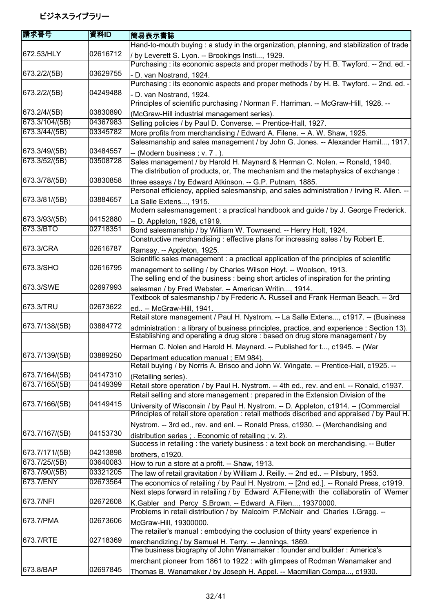| 請求番号           | 資料ID     | 簡易表示書誌                                                                                                                                                                            |
|----------------|----------|-----------------------------------------------------------------------------------------------------------------------------------------------------------------------------------|
|                |          | Hand-to-mouth buying : a study in the organization, planning, and stabilization of trade                                                                                          |
| 672.53/HLY     | 02616712 | / by Leverett S. Lyon. -- Brookings Insti, 1929.                                                                                                                                  |
|                |          | Purchasing : its economic aspects and proper methods / by H. B. Twyford. -- 2nd. ed. -                                                                                            |
| 673.2/2/(5B)   | 03629755 | - D. van Nostrand, 1924.                                                                                                                                                          |
|                |          | Purchasing : its economic aspects and proper methods / by H. B. Twyford. -- 2nd. ed. -                                                                                            |
| 673.2/2/(5B)   | 04249488 | - D. van Nostrand, 1924.                                                                                                                                                          |
|                |          | Principles of scientific purchasing / Norman F. Harriman. -- McGraw-Hill, 1928. --                                                                                                |
| 673.2/4/(5B)   | 03830890 | (McGraw-Hill industrial management series).                                                                                                                                       |
| 673.3/104/(5B) | 04367983 | Selling policies / by Paul D. Converse. -- Prentice-Hall, 1927.                                                                                                                   |
| 673.3/44/(5B)  | 03345782 | More profits from merchandising / Edward A. Filene. -- A. W. Shaw, 1925.                                                                                                          |
|                |          | Salesmanship and sales management / by John G. Jones. -- Alexander Hamil, 1917.                                                                                                   |
| 673.3/49/(5B)  | 03484557 | -- (Modern business; v. 7.).                                                                                                                                                      |
| 673.3/52/(5B)  | 03508728 | Sales management / by Harold H. Maynard & Herman C. Nolen. -- Ronald, 1940.                                                                                                       |
|                |          | The distribution of products, or, The mechanism and the metaphysics of exchange :                                                                                                 |
| 673.3/78/(5B)  | 03830858 | three essays / by Edward Atkinson. -- G.P. Putnam, 1885.                                                                                                                          |
|                | 03884657 | Personal efficiency, applied salesmanship, and sales administration / Irving R. Allen. --                                                                                         |
| 673.3/81/(5B)  |          | La Salle Extens, 1915.<br>Modern salesmanagement : a practical handbook and guide / by J. George Frederick.                                                                       |
| 673.3/93/(5B)  | 04152880 |                                                                                                                                                                                   |
| 673.3/BTO      | 02718351 | -- D. Appleton, 1926, c1919.<br>Bond salesmanship / by William W. Townsend. -- Henry Holt, 1924.                                                                                  |
|                |          | Constructive merchandising: effective plans for increasing sales / by Robert E.                                                                                                   |
| 673.3/CRA      | 02616787 | Ramsay. -- Appleton, 1925.                                                                                                                                                        |
|                |          | Scientific sales management : a practical application of the principles of scientific                                                                                             |
| 673.3/SHO      | 02616795 | management to selling / by Charles Wilson Hoyt. -- Woolson, 1913.                                                                                                                 |
|                |          | The selling end of the business : being short articles of inspiration for the printing                                                                                            |
| 673.3/SWE      | 02697993 | selesman / by Fred Webster. -- American Writin, 1914.                                                                                                                             |
|                |          | Textbook of salesmanship / by Frederic A. Russell and Frank Herman Beach. -- 3rd                                                                                                  |
| 673.3/TRU      | 02673622 | ed -- McGraw-Hill, 1941.                                                                                                                                                          |
|                |          | Retail store management / Paul H. Nystrom. -- La Salle Extens, c1917. -- (Business                                                                                                |
| 673.7/138/(5B) | 03884772 | administration : a library of business principles, practice, and experience ; Section 13).<br>Establishing and operating a drug store : based on drug store management / by       |
|                |          | Herman C. Nolen and Harold H. Maynard. -- Published for t, c1945. -- (War                                                                                                         |
| 673.7/139/(5B) | 03889250 | Department education manual; EM 984).                                                                                                                                             |
|                |          | Retail buying / by Norris A. Brisco and John W. Wingate. -- Prentice-Hall, c1925. --                                                                                              |
| 673.7/164/(5B) | 04147310 | (Retailing series).                                                                                                                                                               |
| 673.7/165/(5B) | 04149399 | Retail store operation / by Paul H. Nystrom. -- 4th ed., rev. and enl. -- Ronald, c1937.                                                                                          |
|                |          | Retail selling and store management : prepared in the Extension Division of the                                                                                                   |
| 673.7/166/(5B) | 04149415 | University of Wisconsin / by Paul H. Nystrom. -- D. Appleton, c1914. -- (Commercial<br>Principles of retail store operation : retail methods discribed and appraised / by Paul H. |
|                |          | Nystrom. -- 3rd ed., rev. and enl. -- Ronald Press, c1930. -- (Merchandising and                                                                                                  |
| 673.7/167/(5B) | 04153730 | distribution series; Economic of retailing; v. 2).<br>Success in retailing : the variety business : a text book on merchandising. -- Butler                                       |
| 673.7/171/(5B) | 04213898 | brothers, c1920.                                                                                                                                                                  |
| 673.7/25/(5B)  | 03640083 | How to run a store at a profit. -- Shaw, 1913.                                                                                                                                    |
| 673.7/90/(5B)  | 03321205 | The law of retail gravitation / by William J. Reilly. -- 2nd ed -- Pilsbury, 1953.                                                                                                |
| 673.7/ENY      | 02673564 | The economics of retailing / by Paul H. Nystrom. -- [2nd ed.]. -- Ronald Press, c1919.                                                                                            |
|                |          | Next steps forward in retailing / by Edward A.Filene; with the collaboratin of Werner                                                                                             |
| 673.7/NFI      | 02672608 | K.Gabler and Percy S.Brown. -- Edward A.Filen, 19370000.<br>Problems in retail distribution / by Malcolm P.McNair and Charles I.Gragg. --                                         |
| 673.7/PMA      | 02673606 | McGraw-Hill, 19300000.                                                                                                                                                            |
|                |          | The retailer's manual: embodying the coclusion of thirty years' experience in                                                                                                     |
| 673.7/RTE      | 02718369 | merchandizing / by Samuel H. Terry. -- Jennings, 1869.                                                                                                                            |
|                |          | The business biography of John Wanamaker: founder and builder: America's                                                                                                          |
|                |          | merchant pioneer from 1861 to 1922 : with glimpses of Rodman Wanamaker and                                                                                                        |
| 673.8/BAP      | 02697845 | Thomas B. Wanamaker / by Joseph H. Appel. -- Macmillan Compa, c1930.                                                                                                              |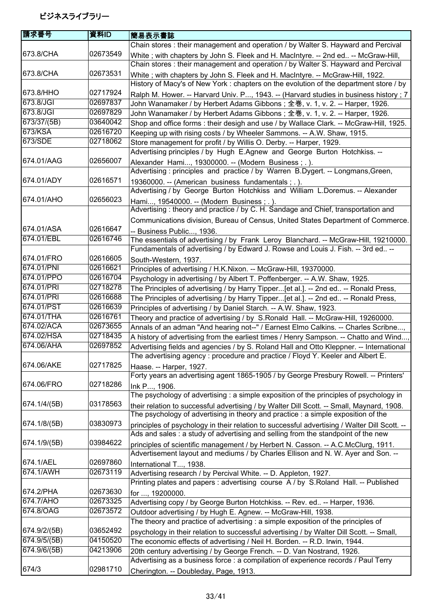| 請求番号         | 資料ID     | 簡易表示書誌                                                                                                                                                   |
|--------------|----------|----------------------------------------------------------------------------------------------------------------------------------------------------------|
|              |          | Chain stores: their management and operation / by Walter S. Hayward and Percival                                                                         |
| 673.8/CHA    | 02673549 | White; with chapters by John S. Fleek and H. MacIntyre. -- 2nd ed -- McGraw-Hill,                                                                        |
|              |          | Chain stores : their management and operation / by Walter S. Hayward and Percival                                                                        |
| 673.8/CHA    | 02673531 | White; with chapters by John S. Fleek and H. MacIntyre. -- McGraw-Hill, 1922.                                                                            |
|              |          | History of Macy's of New York : chapters on the evolution of the department store / by                                                                   |
| 673.8/HHO    | 02717924 | Ralph M. Hower. -- Harvard Univ. P, 1943. -- (Harvard studies in business history; 7                                                                     |
| 673.8/JGI    | 02697837 | John Wanamaker / by Herbert Adams Gibbons; 全巻, v. 1, v. 2. -- Harper, 1926.                                                                              |
| 673.8/JGI    | 02697829 | John Wanamaker / by Herbert Adams Gibbons; 全巻, v. 1, v. 2. -- Harper, 1926.                                                                              |
| 673/37/(5B)  | 03640042 | Shop and office forms: their desigh and use / by Wallace Clark. -- McGraw-Hill, 1925.                                                                    |
| 673/KSA      | 02616720 | Keeping up with rising costs / by Wheeler Sammons. -- A.W. Shaw, 1915.                                                                                   |
| 673/SDE      | 02718062 | Store management for profit / by Willis O. Derby. -- Harper, 1929.                                                                                       |
|              |          | Advertising principles / by Hugh E.Agnew and George Burton Hotchkiss. --                                                                                 |
| 674.01/AAG   | 02656007 | Alexander Hami, 19300000. -- (Modern Business; .).                                                                                                       |
|              |          | Advertising: principles and practice / by Warren B.Dygert. -- Longmans, Green,                                                                           |
| 674.01/ADY   | 02616571 | 19360000. -- (American business fundamentals; .).                                                                                                        |
|              |          | Advertising / by George Burton Hotchkiss and William L.Doremus. -- Alexander                                                                             |
| 674.01/AHO   | 02656023 | Hami, 19540000. -- (Modern Business; .).                                                                                                                 |
|              |          | Advertising: theory and practice / by C. H. Sandage and Chief, transportation and                                                                        |
| 674.01/ASA   | 02616647 | Communications division, Bureau of Census, United States Department of Commerce.                                                                         |
| 674.01/EBL   | 02616746 | -- Business Public, 1936.                                                                                                                                |
|              |          | The essentials of advertising / by Frank Leroy Blanchard. -- McGraw-Hill, 19210000.                                                                      |
| 674.01/FRO   | 02616605 | Fundamentals of advertising / by Edward J. Rowse and Louis J. Fish. -- 3rd ed --                                                                         |
| 674.01/PNI   | 02616621 | South-Western, 1937.                                                                                                                                     |
| 674.01/PPO   | 02616704 | Principles of advertising / H.K.Nixon. -- McGraw-Hill, 19370000.                                                                                         |
| 674.01/PRI   | 02718278 | Psychology in advertising / by Albert T. Poffenberger. -- A.W. Shaw, 1925.                                                                               |
| 674.01/PRI   | 02616688 | The Principles of advertising / by Harry Tipper[et al.]. -- 2nd ed -- Ronald Press,                                                                      |
| 674.01/PST   | 02616639 | The Principles of advertising / by Harry Tipper[et al.]. -- 2nd ed -- Ronald Press,<br>Principles of advertising / by Daniel Starch. -- A.W. Shaw, 1923. |
| 674.01/THA   | 02616761 | Theory and practice of advertising / by S.Ronald Hall. -- McGraw-Hill, 19260000.                                                                         |
| 674.02/ACA   | 02673655 | Annals of an adman "And hearing not--" / Earnest Elmo Calkins. -- Charles Scribne,                                                                       |
| 674.02/HSA   | 02718435 | A history of advertising from the earliest times / Henry Sampson. -- Chatto and Wind                                                                     |
| 674.06/AHA   | 02697852 | Advertising fields and agencies / by S. Roland Hall and Otto Kleppner. -- International                                                                  |
|              |          | The advertising agency : procedure and practice / Floyd Y. Keeler and Albert E.                                                                          |
| 674.06/AKE   | 02717825 | Haase. -- Harper, 1927.                                                                                                                                  |
|              |          | Forty years an advertising agent 1865-1905 / by George Presbury Rowell. -- Printers'                                                                     |
| 674.06/FRO   | 02718286 | Ink P, 1906.                                                                                                                                             |
|              |          | The psychology of advertising: a simple exposition of the principles of psychology in                                                                    |
| 674.1/4/(5B) | 03178563 | their relation to successful advertising / by Walter Dill Scott. -- Small, Maynard, 1908.                                                                |
|              |          | The psychology of advertising in theory and practice : a simple exposition of the                                                                        |
| 674.1/8/(5B) | 03830973 | principles of psychology in their relation to successful advertising / Walter Dill Scott. --                                                             |
|              |          | Ads and sales: a study of advertising and selling from the standpoint of the new                                                                         |
| 674.1/9/(5B) | 03984622 | principles of scientific management / by Herbert N. Casson. -- A.C.McClurg, 1911.                                                                        |
|              |          | Advertisement layout and mediums / by Charles Ellison and N. W. Ayer and Son. --                                                                         |
| 674.1/AEL    | 02697860 | International T, 1938.                                                                                                                                   |
| 674.1/AWH    | 02673119 | Advertising research / by Percival White. -- D. Appleton, 1927.                                                                                          |
|              |          | Printing plates and papers : advertising course A / by S.Roland Hall. -- Published                                                                       |
| 674.2/PHA    | 02673630 | for , 19200000.                                                                                                                                          |
| 674.7/AHO    | 02673325 | Advertising copy / by George Burton Hotchkiss. -- Rev. ed -- Harper, 1936.                                                                               |
| 674.8/OAG    | 02673572 | Outdoor advertising / by Hugh E. Agnew. -- McGraw-Hill, 1938.                                                                                            |
|              |          | The theory and practice of advertising : a simple exposition of the principles of                                                                        |
| 674.9/2/(5B) | 03652492 | psychology in their relation to successful advertising / by Walter Dill Scott. -- Small,                                                                 |
| 674.9/5/(5B) | 04150520 | The economic effects of advertising / Neil H. Borden. -- R.D. Irwin, 1944.                                                                               |
| 674.9/6/(5B) | 04213906 | 20th century advertising / by George French. -- D. Van Nostrand, 1926.                                                                                   |
|              |          | Advertising as a business force : a compilation of experience records / Paul Terry                                                                       |
| 674/3        | 02981710 | Cherington. -- Doubleday, Page, 1913.                                                                                                                    |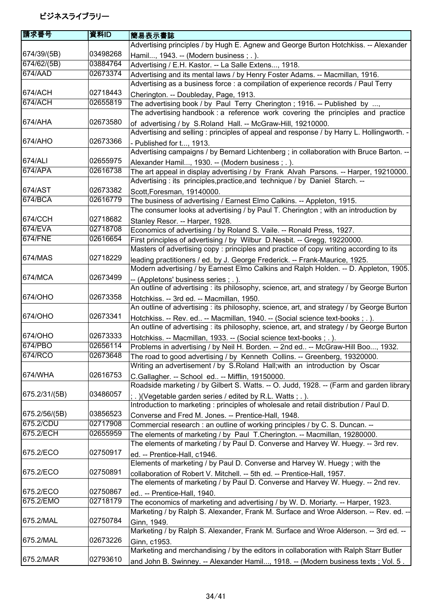| 請求番号           | 資料ID     | 簡易表示書誌                                                                                                                                                               |
|----------------|----------|----------------------------------------------------------------------------------------------------------------------------------------------------------------------|
|                |          | Advertising principles / by Hugh E. Agnew and George Burton Hotchkiss. -- Alexander                                                                                  |
| 674/39/(5B)    | 03498268 | Hamil, 1943. -- (Modern business; .).                                                                                                                                |
| 674/62/(5B)    | 03884764 | Advertising / E.H. Kastor. -- La Salle Extens, 1918.                                                                                                                 |
| 674/AAD        | 02673374 | Advertising and its mental laws / by Henry Foster Adams. -- Macmillan, 1916.                                                                                         |
|                |          | Advertising as a business force : a compilation of experience records / Paul Terry                                                                                   |
| 674/ACH        | 02718443 | Cherington. -- Doubleday, Page, 1913.                                                                                                                                |
| 674/ACH        | 02655819 | The advertising book / by Paul Terry Cherington; 1916. -- Published by ,                                                                                             |
|                |          | The advertising handbook: a reference work covering the principles and practice                                                                                      |
| 674/AHA        | 02673580 | of advertising / by S.Roland Hall. -- McGraw-Hill, 19210000.                                                                                                         |
|                |          | Advertising and selling : principles of appeal and response / by Harry L. Hollingworth. -                                                                            |
| 674/AHO        | 02673366 |                                                                                                                                                                      |
|                |          | Published for t, 1913.<br>Advertising campaigns / by Bernard Lichtenberg ; in collaboration with Bruce Barton. --                                                    |
| 674/ALI        | 02655975 |                                                                                                                                                                      |
| 674/APA        | 02616738 | Alexander Hamil, 1930. -- (Modern business; .).                                                                                                                      |
|                |          | The art appeal in display advertising / by Frank Alvah Parsons. -- Harper, 19210000.<br>Advertising : its principles, practice, and technique / by Daniel Starch. -- |
| 674/AST        | 02673382 |                                                                                                                                                                      |
| 674/BCA        | 02616779 | Scott, Foresman, 19140000.                                                                                                                                           |
|                |          | The business of advertising / Earnest Elmo Calkins. -- Appleton, 1915.                                                                                               |
|                |          | The consumer looks at advertising / by Paul T. Cherington; with an introduction by                                                                                   |
| 674/CCH        | 02718682 | Stanley Resor. -- Harper, 1928.                                                                                                                                      |
| 674/EVA        | 02718708 | Economics of advertising / by Roland S. Vaile. -- Ronald Press, 1927.                                                                                                |
| <b>674/FNE</b> | 02616654 | First principles of advertising / by Wilbur D.Nesbit. -- Gregg, 19220000.                                                                                            |
|                |          | Masters of advertising copy : principles and practice of copy writing according to its                                                                               |
| 674/MAS        | 02718229 | leading practitioners / ed. by J. George Frederick. -- Frank-Maurice, 1925.                                                                                          |
|                |          | Modern advertising / by Earnest Elmo Calkins and Ralph Holden. -- D. Appleton, 1905.                                                                                 |
| 674/MCA        | 02673499 | -- (Appletons' business series; .).                                                                                                                                  |
|                |          | An outline of advertising : its philosophy, science, art, and strategy / by George Burton                                                                            |
| 674/OHO        | 02673358 | Hotchkiss. -- 3rd ed. -- Macmillan, 1950.                                                                                                                            |
|                |          | An outline of advertising : its philosophy, science, art, and strategy / by George Burton                                                                            |
| 674/OHO        | 02673341 | Hotchkiss. -- Rev. ed -- Macmillan, 1940. -- (Social science text-books; .).                                                                                         |
|                |          | An outline of advertising : its philosophy, science, art, and strategy / by George Burton                                                                            |
| 674/OHO        | 02673333 | Hotchkiss. -- Macmillan, 1933. -- (Social science text-books ; . ).                                                                                                  |
| 674/PBO        | 02656114 | Problems in advertising / by Neil H. Borden. -- 2nd ed -- McGraw-Hill Boo, 1932.                                                                                     |
| 674/RCO        | 02673648 | The road to good advertising / by Kenneth Collins. -- Greenberg, 19320000.                                                                                           |
|                |          | Writing an advertisement / by S.Roland Hall; with an introduction by Oscar                                                                                           |
| 674/WHA        | 02616753 | C.Gallagher. -- School ed -- Mifflin, 19150000.                                                                                                                      |
|                |          | Roadside marketing / by Gilbert S. Watts. -- O. Judd, 1928. -- (Farm and garden library                                                                              |
| 675.2/31/(5B)  | 03486057 | ; .) (Vegetable garden series / edited by R.L. Watts ; .).                                                                                                           |
|                |          | Introduction to marketing : principles of wholesale and retail distribution / Paul D.                                                                                |
| 675.2/56/(5B)  | 03856523 | Converse and Fred M. Jones. -- Prentice-Hall, 1948.                                                                                                                  |
| 675.2/CDU      | 02717908 | Commercial research : an outline of working principles / by C. S. Duncan. --                                                                                         |
| 675.2/ECH      | 02655959 | The elements of marketing / by Paul T.Cherington. -- Macmillan, 19280000.                                                                                            |
|                |          | The elements of marketing / by Paul D. Converse and Harvey W. Huegy. -- 3rd rev.                                                                                     |
| 675.2/ECO      | 02750917 | ed. -- Prentice-Hall, c1946.                                                                                                                                         |
|                |          | Elements of marketing / by Paul D. Converse and Harvey W. Huegy; with the                                                                                            |
| 675.2/ECO      | 02750891 | collaboration of Robert V. Mitchell. -- 5th ed. -- Prentice-Hall, 1957.                                                                                              |
|                |          | The elements of marketing / by Paul D. Converse and Harvey W. Huegy. -- 2nd rev.                                                                                     |
| 675.2/ECO      | 02750867 | ed -- Prentice-Hall, 1940.                                                                                                                                           |
| 675.2/EMO      | 02718179 | The economics of marketing and advertising / by W. D. Moriarty. -- Harper, 1923.                                                                                     |
|                |          | Marketing / by Ralph S. Alexander, Frank M. Surface and Wroe Alderson. -- Rev. ed. --                                                                                |
| 675.2/MAL      | 02750784 | Ginn, 1949.                                                                                                                                                          |
|                |          | Marketing / by Ralph S. Alexander, Frank M. Surface and Wroe Alderson. -- 3rd ed. --                                                                                 |
| 675.2/MAL      | 02673226 | Ginn, c1953.                                                                                                                                                         |
|                |          | Marketing and merchandising / by the editors in collaboration with Ralph Starr Butler                                                                                |
| 675.2/MAR      | 02793610 | and John B. Swinney. -- Alexander Hamil, 1918. -- (Modern business texts; Vol. 5.                                                                                    |
|                |          |                                                                                                                                                                      |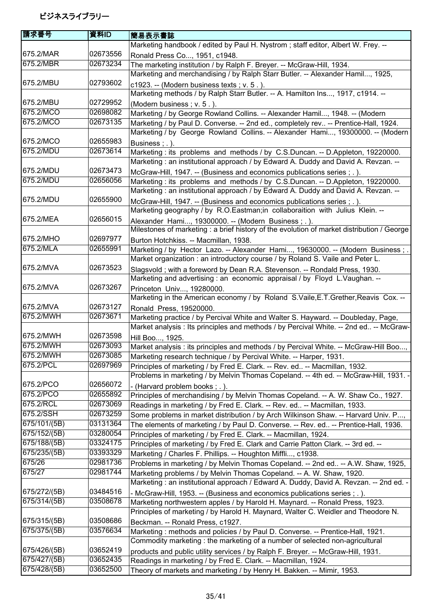| 請求番号         | 資料ID     | 簡易表示書誌                                                                                                                                                      |
|--------------|----------|-------------------------------------------------------------------------------------------------------------------------------------------------------------|
|              |          | Marketing handbook / edited by Paul H. Nystrom; staff editor, Albert W. Frey. --                                                                            |
| 675.2/MAR    | 02673556 | Ronald Press Co, 1951, c1948.                                                                                                                               |
| 675.2/MBR    | 02673234 | The marketing institution / by Ralph F. Breyer. -- McGraw-Hill, 1934.                                                                                       |
|              |          | Marketing and merchandising / by Ralph Starr Butler. -- Alexander Hamil, 1925,                                                                              |
| 675.2/MBU    | 02793602 | c1923. -- (Modern business texts; $v. 5.$ ).                                                                                                                |
|              |          | Marketing methods / by Ralph Starr Butler. -- A. Hamilton Ins, 1917, c1914. --                                                                              |
| 675.2/MBU    | 02729952 | (Modern business; v. 5.).                                                                                                                                   |
| 675.2/MCO    | 02698082 | Marketing / by George Rowland Collins. -- Alexander Hamil, 1948. -- (Modern                                                                                 |
| 675.2/MCO    | 02673135 | Marketing / by Paul D. Converse. -- 2nd ed., completely rev -- Prentice-Hall, 1924.                                                                         |
|              |          | Marketing / by George Rowland Collins. -- Alexander Hami, 19300000. -- (Modern                                                                              |
| 675.2/MCO    | 02655983 | Business; .).                                                                                                                                               |
| 675.2/MDU    | 02673614 | Marketing : its problems and methods / by C.S.Duncan. -- D.Appleton, 19220000.                                                                              |
|              |          | Marketing: an institutional approach / by Edward A. Duddy and David A. Revzan. --                                                                           |
| 675.2/MDU    | 02673473 | McGraw-Hill, 1947. -- (Business and economics publications series ; . ).                                                                                    |
| 675.2/MDU    | 02656056 | Marketing : its problems and methods / by C.S.Duncan. -- D.Appleton, 19220000.                                                                              |
|              |          | Marketing: an institutional approach / by Edward A. Duddy and David A. Revzan. --                                                                           |
| 675.2/MDU    | 02655900 | McGraw-Hill, 1947. -- (Business and economics publications series ; . ).                                                                                    |
|              |          | Marketing geography / by R.O.Eastman;in collaboraition with Julius Klein. --                                                                                |
| 675.2/MEA    | 02656015 | Alexander Hami, 19300000. -- (Modern Business;.).                                                                                                           |
|              |          | Milestones of marketing : a brief history of the evolution of market distribution / George                                                                  |
| 675.2/MHO    | 02697977 | Burton Hotchkiss. -- Macmillan, 1938.                                                                                                                       |
| 675.2/MLA    | 02655991 | Marketing / by Hector Lazo. -- Alexander Hami, 19630000. -- (Modern Business;                                                                               |
|              |          | Market organization: an introductory course / by Roland S. Vaile and Peter L.                                                                               |
| 675.2/MVA    | 02673523 | Slagsvold; with a foreword by Dean R.A. Stevenson. -- Rondald Press, 1930.                                                                                  |
|              |          | Marketing and advertising : an economic appraisal / by Floyd L. Vaughan. --                                                                                 |
| 675.2/MVA    | 02673267 | Princeton Univ, 19280000.                                                                                                                                   |
|              |          | Marketing in the American economy / by Roland S.Vaile, E.T. Grether, Reavis Cox. --                                                                         |
| 675.2/MVA    | 02673127 | Ronald Press, 19520000.                                                                                                                                     |
| 675.2/MWH    | 02673671 | Marketing practice / by Percival White and Walter S. Hayward. -- Doubleday, Page,                                                                           |
| 675.2/MWH    | 02673598 | Market analysis : Its principles and methods / by Percival White. -- 2nd ed -- McGraw-                                                                      |
| 675.2/MWH    | 02673093 | Hill Boo, 1925.                                                                                                                                             |
| 675.2/MWH    | 02673085 | Market analysis : its principles and methods / by Percival White. -- McGraw-Hill Boo,<br>Marketing research technique / by Percival White. -- Harper, 1931. |
| 675.2/PCL    | 02697969 | Principles of marketing / by Fred E. Clark. -- Rev. ed -- Macmillan, 1932.                                                                                  |
|              |          | Problems in marketing / by Melvin Thomas Copeland. -- 4th ed. -- McGraw-Hill, 1931. -                                                                       |
| 675.2/PCO    | 02656072 |                                                                                                                                                             |
| 675.2/PCO    | 02655892 | - (Harvard problem books; .).<br>Principles of merchandising / by Melvin Thomas Copeland. -- A. W. Shaw Co., 1927.                                          |
| 675.2/RCL    | 02673069 | Readings in marketing / by Fred E. Clark. -- Rev. ed -- Macmillan, 1933.                                                                                    |
| 675.2/SSH    | 02673259 | Some problems in market distribution / by Arch Wilkinson Shaw. -- Harvard Univ. P,                                                                          |
| 675/101/(5B) | 03131364 | The elements of marketing / by Paul D. Converse. -- Rev. ed -- Prentice-Hall, 1936.                                                                         |
| 675/152/(5B) | 03280054 | Principles of marketing / by Fred E. Clark. -- Macmillan, 1924.                                                                                             |
| 675/188/(5B) | 03324175 | Principles of marketing / by Fred E. Clark and Carrie Patton Clark. -- 3rd ed. --                                                                           |
| 675/235/(5B) | 03393329 | Marketing / Charles F. Phillips. -- Houghton Miffli, c1938.                                                                                                 |
| 675/26       | 02981736 | Problems in marketing / by Melvin Thomas Copeland. -- 2nd ed -- A.W. Shaw, 1925,                                                                            |
| 675/27       | 02981744 | Marketing problems / by Melvin Thomas Copeland. -- A. W. Shaw, 1920.                                                                                        |
|              |          | Marketing: an institutional approach / Edward A. Duddy, David A. Revzan. -- 2nd ed. -                                                                       |
| 675/272/(5B) | 03484516 | - McGraw-Hill, 1953. -- (Business and economics publications series ; . ).                                                                                  |
| 675/314/(5B) | 03508678 | Marketing northwestern apples / by Harold H. Maynard. -- Ronald Press, 1923.                                                                                |
|              |          | Principles of marketing / by Harold H. Maynard, Walter C. Weidler and Theodore N.                                                                           |
| 675/315/(5B) | 03508686 | Beckman. -- Ronald Press, c1927.                                                                                                                            |
| 675/375/(5B) | 03576634 | Marketing: methods and policies / by Paul D. Converse. -- Prentice-Hall, 1921.                                                                              |
|              |          | Commodity marketing: the marketing of a number of selected non-agricultural                                                                                 |
| 675/426/(5B) | 03652419 | products and public utility services / by Ralph F. Breyer. -- McGraw-Hill, 1931.                                                                            |
| 675/427/(5B) | 03652435 | Readings in marketing / by Fred E. Clark. -- Macmillan, 1924.                                                                                               |
| 675/428/(5B) | 03652500 | Theory of markets and marketing / by Henry H. Bakken. -- Mimir, 1953.                                                                                       |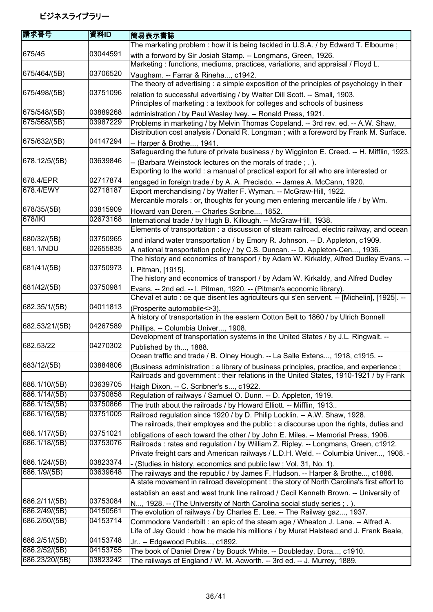| 請求番号                           | 資料ID                 | 簡易表示書誌                                                                                                                   |
|--------------------------------|----------------------|--------------------------------------------------------------------------------------------------------------------------|
|                                |                      | The marketing problem : how it is being tackled in U.S.A. / by Edward T. Elbourne;                                       |
| 675/45                         | 03044591             | with a forword by Sir Josiah Stamp. -- Longmans, Green, 1926.                                                            |
|                                |                      | Marketing: functions, mediums, practices, variations, and appraisal / Floyd L.                                           |
| 675/464/(5B)                   | 03706520             | Vaugham. -- Farrar & Rineha, c1942.                                                                                      |
|                                |                      | The theory of advertising: a simple exposition of the principles of psychology in their                                  |
| 675/498/(5B)                   | 03751096             | relation to successful advertising / by Walter Dill Scott. -- Small, 1903.                                               |
|                                |                      | Principles of marketing : a textbook for colleges and schools of business                                                |
| 675/548/(5B)                   | 03889268             | administration / by Paul Wesley Ivey. -- Ronald Press, 1921.                                                             |
| 675/568/(5B)                   | 03987229             | Problems in marketing / by Melvin Thomas Copeland. -- 3rd rev. ed. -- A.W. Shaw,                                         |
|                                |                      | Distribution cost analysis / Donald R. Longman; with a foreword by Frank M. Surface.                                     |
| 675/632/(5B)                   | 04147294             | -- Harper & Brothe, 1941.                                                                                                |
|                                |                      | Safeguarding the future of private business / by Wigginton E. Creed. -- H. Mifflin, 1923.                                |
| 678.12/5/(5B)                  | 03639846             | -- (Barbara Weinstock lectures on the morals of trade; .).                                                               |
|                                |                      | Exporting to the world : a manual of practical export for all who are interested or                                      |
| 678.4/EPR                      | 02717874             | engaged in foreign trade / by A. A. Preciado. -- James A. McCann, 1920.                                                  |
| 678.4/EWY                      | 02718187             | Export merchandising / by Walter F. Wyman. -- McGraw-Hill, 1922.                                                         |
|                                |                      | Mercantile morals : or, thoughts for young men entering mercantile life / by Wm.                                         |
| 678/35/(5B)                    | 03815909             | Howard van Doren. -- Charles Scribne, 1852.                                                                              |
| 678/IKI                        | 02673168             | International trade / by Hugh B. Killough. -- McGraw-Hill, 1938.                                                         |
|                                |                      | Elements of transportation : a discussion of steam railroad, electric railway, and ocean                                 |
| 680/32/(5B)                    | 03750965             | and inland water transportation / by Emory R. Johnson. -- D. Appleton, c1909.                                            |
| 681.1/NDU                      | 02655835             | A national transportation policy / by C.S. Duncan. -- D. Appleton-Cen, 1936.                                             |
|                                |                      | The history and economics of transport / by Adam W. Kirkaldy, Alfred Dudley Evans. -                                     |
| 681/41/(5B)                    | 03750973             | I. Pitman, [1915].                                                                                                       |
|                                |                      | The history and economics of transport / by Adam W. Kirkaldy, and Alfred Dudley                                          |
| 681/42/(5B)                    | 03750981             | Evans. -- 2nd ed. -- I. Pitman, 1920. -- (Pitman's economic library).                                                    |
|                                | 04011813             | Cheval et auto : ce que disent les agriculteurs qui s'en servent. -- [Michelin], [1925]. --                              |
| 682.35/1/(5B)                  |                      | (Prosperite automobile <> 3).                                                                                            |
| 682.53/21/(5B)                 | 04267589             | A history of transportation in the eastern Cotton Belt to 1860 / by Ulrich Bonnell                                       |
|                                |                      | Phillips. -- Columbia Univer, 1908.<br>Development of transportation systems in the United States / by J.L. Ringwalt. -- |
| 682.53/22                      | 04270302             |                                                                                                                          |
|                                |                      | Published by th, 1888.<br>Ocean traffic and trade / B. Olney Hough. -- La Salle Extens, 1918, c1915. --                  |
| 683/12/(5B)                    | 03884806             | (Business administration : a library of business principles, practice, and experience;                                   |
|                                |                      | Railroads and government : their relations in the United States, 1910-1921 / by Frank                                    |
| 686.1/10/(5B)                  | 03639705             | Haigh Dixon. -- C. Scribner's s, c1922.                                                                                  |
| 686.1/14/(5B)                  | 03750858             | Regulation of railways / Samuel O. Dunn. -- D. Appleton, 1919.                                                           |
| 686.1/15/(5B)                  | 03750866             | The truth about the railroads / by Howard Elliott. -- Mifflin, 1913                                                      |
| 686.1/16/(5B)                  | 03751005             | Railroad regulation since 1920 / by D. Philip Locklin. -- A.W. Shaw, 1928.                                               |
|                                |                      | The railroads, their employes and the public : a discourse upon the rights, duties and                                   |
| 686.1/17/(5B)                  | 03751021             | obligations of each toward the other / by John E. Miles. -- Memorial Press, 1906.                                        |
| 686.1/18/(5B)                  | 03753076             | Railroads: rates and regulation / by William Z. Ripley. -- Longmans, Green, c1912.                                       |
|                                |                      | Private freight cars and American railways / L.D.H. Weld. -- Columbia Univer, 1908. -                                    |
| 686.1/24/(5B)                  | 03823374             | - (Studies in history, economics and public law; Vol. 31, No. 1).                                                        |
| 686.1/9/(5B)                   | 03639648             | The railways and the republic / by James F. Hudson. -- Harper & Brothe, c1886.                                           |
|                                |                      | A state movement in railroad development : the story of North Carolina's first effort to                                 |
|                                |                      | establish an east and west trunk line railroad / Cecil Kenneth Brown. -- University of                                   |
| 686.2/11/(5B)                  | 03753084<br>04150561 | N, 1928. -- (The University of North Carolina social study series; .).                                                   |
| 686.2/49/(5B)<br>686.2/50/(5B) | 04153714             | The evolution of railways / by Charles E. Lee. -- The Railway gaz, 1937.                                                 |
|                                |                      | Commodore Vanderbilt : an epic of the steam age / Wheaton J. Lane. -- Alfred A.                                          |
| 686.2/51/(5B)                  | 04153748             | Life of Jay Gould : how he made his millions / by Murat Halstead and J. Frank Beale,                                     |
| 686.2/52/(5B)                  | 04153755             | Jr -- Edgewood Publis, c1892.<br>The book of Daniel Drew / by Bouck White. -- Doubleday, Dora, c1910.                    |
| 686.23/20/(5B)                 | 03823242             | The railways of England / W. M. Acworth. -- 3rd ed. -- J. Murrey, 1889.                                                  |
|                                |                      |                                                                                                                          |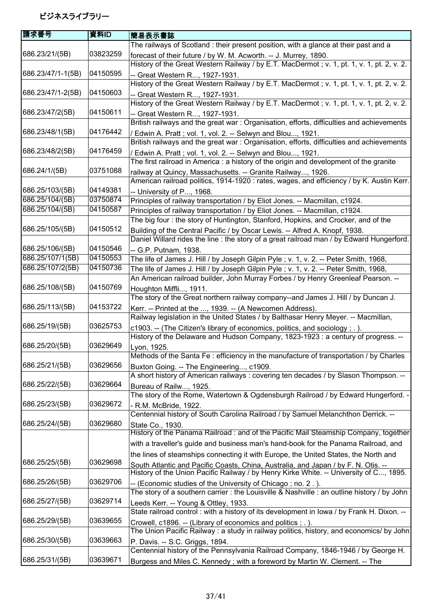| 請求番号              | 資料ID     | 簡易表示書誌                                                                                                                                                  |
|-------------------|----------|---------------------------------------------------------------------------------------------------------------------------------------------------------|
|                   |          | The railways of Scotland : their present position, with a glance at their past and a                                                                    |
| 686.23/21/(5B)    | 03823259 | forecast of their future / by W. M. Acworth. -- J. Murrey, 1890.                                                                                        |
|                   |          | History of the Great Western Railway / by E.T. MacDermot; v. 1, pt. 1, v. 1, pt. 2, v. 2.                                                               |
| 686.23/47/1-1(5B) | 04150595 | -- Great Western R, 1927-1931.                                                                                                                          |
|                   |          | History of the Great Western Railway / by E.T. MacDermot; v. 1, pt. 1, v. 1, pt. 2, v. 2.                                                               |
| 686.23/47/1-2(5B) | 04150603 | -- Great Western R, 1927-1931.                                                                                                                          |
|                   |          | History of the Great Western Railway / by E.T. MacDermot; v. 1, pt. 1, v. 1, pt. 2, v. 2.                                                               |
| 686.23/47/2(5B)   | 04150611 | -- Great Western R, 1927-1931.                                                                                                                          |
|                   |          | British railways and the great war: Organisation, efforts, difficulties and achievements                                                                |
| 686.23/48/1(5B)   | 04176442 |                                                                                                                                                         |
|                   |          | / Edwin A. Pratt; vol. 1, vol. 2. -- Selwyn and Blou, 1921.<br>British railways and the great war: Organisation, efforts, difficulties and achievements |
| 686.23/48/2(5B)   | 04176459 |                                                                                                                                                         |
|                   |          | / Edwin A. Pratt; vol. 1, vol. 2. -- Selwyn and Blou, 1921.                                                                                             |
|                   | 03751088 | The first railroad in America : a history of the origin and development of the granite                                                                  |
| 686.24/1/(5B)     |          | railway at Quincy, Massachusetts. -- Granite Railway, 1926.                                                                                             |
|                   |          | American railroad politics, 1914-1920 : rates, wages, and efficiency / by K. Austin Kerr.                                                               |
| 686.25/103/(5B)   | 04149381 | -- University of P, 1968.                                                                                                                               |
| 686.25/104/(5B)   | 03750874 | Principles of railway transportation / by Eliot Jones. -- Macmillan, c1924.                                                                             |
| 686.25/104/(5B)   | 04150587 | Principles of railway transportation / by Eliot Jones. -- Macmillan, c1924.                                                                             |
|                   |          | The big four: the story of Huntington, Stanford, Hopkins, and Crocker, and of the                                                                       |
| 686.25/105/(5B)   | 04150512 | Building of the Central Pacific / by Oscar Lewis. -- Alfred A. Knopf, 1938.                                                                             |
|                   |          | Daniel Willard rides the line : the story of a great railroad man / by Edward Hungerford.                                                               |
| 686.25/106/(5B)   | 04150546 | -- G.P. Putnam, 1938.                                                                                                                                   |
| 686.25/107/1(5B)  | 04150553 | The life of James J. Hill / by Joseph Gilpin Pyle ; v. 1, v. 2. -- Peter Smith, 1968,                                                                   |
| 686.25/107/2(5B)  | 04150736 | The life of James J. Hill / by Joseph Gilpin Pyle ; v. 1, v. 2. -- Peter Smith, 1968,                                                                   |
|                   |          | An American railroad builder, John Murray Forbes / by Henry Greenleaf Pearson. --                                                                       |
| 686.25/108/(5B)   | 04150769 | Houghton Miffli, 1911.                                                                                                                                  |
|                   |          | The story of the Great northern railway company--and James J. Hill / by Duncan J.                                                                       |
| 686.25/113/(5B)   | 04153722 | Kerr. -- Printed at the , 1939. -- (A Newcomen Address).                                                                                                |
|                   |          | Railway legislation in the United States / by Balthasar Henry Meyer. -- Macmillan,                                                                      |
| 686.25/19/(5B)    | 03625753 | c1903. -- (The Citizen's library of economics, politics, and sociology ; . ).                                                                           |
|                   |          | History of the Delaware and Hudson Company, 1823-1923 : a century of progress. --                                                                       |
| 686.25/20/(5B)    | 03629649 | Lyon, 1925.                                                                                                                                             |
|                   |          | Methods of the Santa Fe : efficiency in the manufacture of transportation / by Charles                                                                  |
| 686.25/21/(5B)    | 03629656 | Buxton Going. -- The Engineering, c1909.                                                                                                                |
|                   |          | A short history of American railways: covering ten decades / by Slason Thompson. --                                                                     |
| 686.25/22/(5B)    | 03629664 | Bureau of Railw, 1925.                                                                                                                                  |
|                   |          | The story of the Rome, Watertown & Ogdensburgh Railroad / by Edward Hungerford. -                                                                       |
| 686.25/23/(5B)    | 03629672 |                                                                                                                                                         |
|                   |          | - R.M. McBride, 1922.<br>Centennial history of South Carolina Railroad / by Samuel Melanchthon Derrick. --                                              |
| 686.25/24/(5B)    | 03629680 |                                                                                                                                                         |
|                   |          | State Co., 1930.<br>History of the Panama Railroad: and of the Pacific Mail Steamship Company, together                                                 |
|                   |          |                                                                                                                                                         |
|                   |          | with a traveller's guide and business man's hand-book for the Panama Railroad, and                                                                      |
|                   |          | the lines of steamships connecting it with Europe, the United States, the North and                                                                     |
| 686.25/25/(5B)    | 03629698 | South Atlantic and Pacific Coasts, China, Australia, and Japan / by F. N. Otis. --                                                                      |
|                   |          | History of the Union Pacific Railway / by Henry Kirke White. -- University of C, 1895.                                                                  |
| 686.25/26/(5B)    | 03629706 | -- (Economic studies of the University of Chicago; no. 2.).                                                                                             |
|                   |          | The story of a southern carrier : the Louisville & Nashville : an outline history / by John                                                             |
| 686.25/27/(5B)    | 03629714 | Leeds Kerr. -- Young & Ottley, 1933.                                                                                                                    |
|                   |          | State railroad control: with a history of its development in lowa / by Frank H. Dixon. --                                                               |
| 686.25/29/(5B)    | 03639655 | Crowell, c1896. -- (Library of economics and politics; .).                                                                                              |
|                   |          | The Union Pacific Railway: a study in railway politics, history, and economics/ by John                                                                 |
| 686.25/30/(5B)    | 03639663 | P. Davis. -- S.C. Griggs, 1894.                                                                                                                         |
|                   |          | Centennial history of the Pennsylvania Railroad Company, 1846-1946 / by George H.                                                                       |
| 686.25/31/(5B)    | 03639671 | Burgess and Miles C. Kennedy; with a foreword by Martin W. Clement. -- The                                                                              |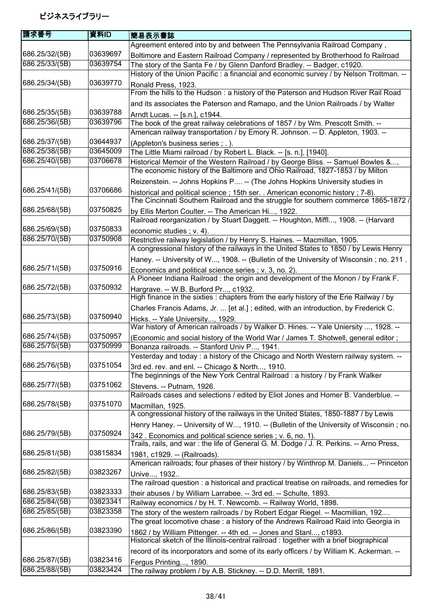| 請求番号           | 資料ID     | 簡易表示書誌                                                                                                                                                                |
|----------------|----------|-----------------------------------------------------------------------------------------------------------------------------------------------------------------------|
|                |          | Agreement entered into by and between The Pennsylvania Railroad Company,                                                                                              |
| 686.25/32/(5B) | 03639697 | Boltimore and Eastern Railroad Company / represented by Brotherhood fo Railroad                                                                                       |
| 686.25/33/(5B) | 03639754 | The story of the Santa Fe / by Glenn Danford Bradley. -- Badger, c1920.                                                                                               |
|                |          | History of the Union Pacific: a financial and economic survey / by Nelson Trottman. --                                                                                |
| 686.25/34/(5B) | 03639770 | Ronald Press, 1923.                                                                                                                                                   |
|                |          | From the hills to the Hudson: a history of the Paterson and Hudson River Rail Road                                                                                    |
|                |          | and its associates the Paterson and Ramapo, and the Union Railroads / by Walter                                                                                       |
| 686.25/35/(5B) | 03639788 | Arndt Lucas. -- [s.n.], c1944.                                                                                                                                        |
| 686.25/36/(5B) | 03639796 | The book of the great railway celebrations of 1857 / by Wm. Prescott Smith. --                                                                                        |
|                |          | American railway transportation / by Emory R. Johnson. -- D. Appleton, 1903. --                                                                                       |
| 686.25/37/(5B) | 03644937 | (Appleton's business series ; . ).                                                                                                                                    |
| 686.25/38/(5B) | 03645009 | The Little Miami railroad / by Robert L. Black. -- [s. n.], [1940].                                                                                                   |
| 686.25/40/(5B) | 03706678 | Historical Memoir of the Western Railroad / by George Bliss. -- Samuel Bowles &,                                                                                      |
|                |          | The economic history of the Baltimore and Ohio Railroad, 1827-1853 / by Milton                                                                                        |
|                |          | Reizenstein. -- Johns Hopkins P -- (The Johns Hopkins University studies in                                                                                           |
| 686.25/41/(5B) | 03706686 | historical and political science; 15th ser. . American economic history; 7-8).<br>The Cincinnati Southern Railroad and the struggle for southern commerce 1865-1872 / |
| 686.25/68/(5B) | 03750825 | by Ellis Merton Coulter. -- The American Hi, 1922.                                                                                                                    |
|                |          | Railroad reorganization / by Stuart Daggett. -- Houghton, Miffl, 1908. -- (Harvard                                                                                    |
| 686.25/69/(5B) | 03750833 | economic studies; v. 4).                                                                                                                                              |
| 686.25/70/(5B) | 03750908 | Restrictive railway legislation / by Henry S. Haines. -- Macmillan, 1905.                                                                                             |
|                |          | A congressional history of the railways in the United States to 1850 / by Lewis Henry                                                                                 |
|                |          | Haney. -- University of W, 1908. -- (Bulletin of the University of Wisconsin; no. 211.                                                                                |
| 686.25/71/(5B) | 03750916 | Economics and political science series; v. 3, no. 2).                                                                                                                 |
|                |          | A Pioneer Indiana Railroad : the origin and development of the Monon / by Frank F.                                                                                    |
| 686.25/72/(5B) | 03750932 | Hargrave. -- W.B. Burford Pr, c1932.                                                                                                                                  |
|                |          | High finance in the sixties : chapters from the early history of the Erie Railway / by                                                                                |
|                |          | Charles Francis Adams, Jr.  [et al.]; edited, with an introduction, by Frederick C.                                                                                   |
| 686.25/73/(5B) | 03750940 | Hicks. -- Yale University, 1929.                                                                                                                                      |
| 686.25/74/(5B) | 03750957 | War history of American railroads / by Walker D. Hines. -- Yale Uniersity , 1928. --                                                                                  |
| 686.25/75/(5B) | 03750999 | (Economic and social history of the World War / James T. Shotwell, general editor;                                                                                    |
|                |          | Bonanza railroads. -- Stanford Univ P, 1941.<br>Yesterday and today : a history of the Chicago and North Western railway system. --                                   |
| 686.25/76/(5B) | 03751054 |                                                                                                                                                                       |
|                |          | 3rd ed. rev. and enl. -- Chicago & North, 1910.<br>The beginnings of the New York Central Railroad: a history / by Frank Walker                                       |
| 686.25/77/(5B) | 03751062 | Stevens. -- Putnam, 1926.                                                                                                                                             |
|                |          | Railroads cases and selections / edited by Eliot Jones and Homer B. Vanderblue. --                                                                                    |
| 686.25/78/(5B) | 03751070 | Macmillan, 1925.                                                                                                                                                      |
|                |          | A congressional history of the railways in the United States, 1850-1887 / by Lewis                                                                                    |
|                |          | Henry Haney. -- University of W, 1910. -- (Bulletin of the University of Wisconsin; no.                                                                               |
| 686.25/79/(5B) | 03750924 | 342. Economics and political science series; v. 6, no. 1).                                                                                                            |
|                |          | Trails, rails, and war: the life of General G. M. Dodge / J. R. Perkins. -- Arno Press,                                                                               |
| 686.25/81/(5B) | 03815834 | 1981, c1929. -- (Railroads).                                                                                                                                          |
|                |          | American railroads; four phases of their history / by Winthrop M. Daniels -- Princeton                                                                                |
| 686.25/82/(5B) | 03823267 | Unive, 1932                                                                                                                                                           |
|                |          | The railroad question : a historical and practical treatise on railroads, and remedies for                                                                            |
| 686.25/83/(5B) | 03823333 | their abuses / by William Larrabee. -- 3rd ed. -- Schulte, 1893.                                                                                                      |
| 686.25/84/(5B) | 03823341 | Railway economics / by H. T. Newcomb. -- Railway World, 1898.                                                                                                         |
| 686.25/85/(5B) | 03823358 | The story of the western railroads / by Robert Edgar Riegel. -- Macmillian, 192                                                                                       |
|                |          | The great locomotive chase : a history of the Andrews Railroad Raid into Georgia in                                                                                   |
| 686.25/86/(5B) | 03823390 | 1862 / by William Pittenger. -- 4th ed. -- Jones and Stanl, c1893.                                                                                                    |
|                |          | Historical sketch of the Illinois-central railroad : together with a brief biographical                                                                               |
|                |          | record of its incorporators and some of its early officers / by William K. Ackerman. --                                                                               |
| 686.25/87/(5B) | 03823416 | Fergus Printing, 1890.                                                                                                                                                |
| 686.25/88/(5B) | 03823424 | The railway problem / by A.B. Stickney. -- D.D. Merrill, 1891.                                                                                                        |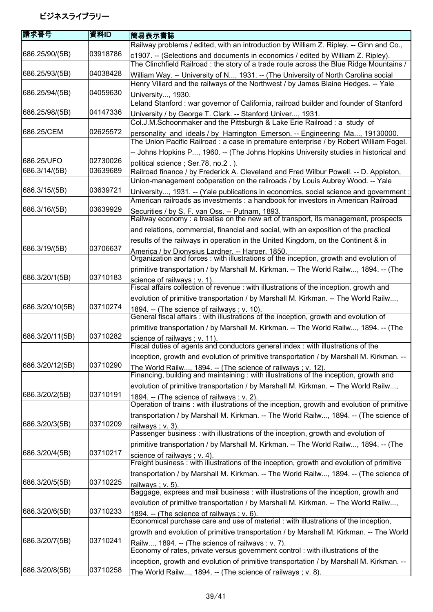| 請求番号            | 資料ID     | 簡易表示書誌                                                                                                                               |
|-----------------|----------|--------------------------------------------------------------------------------------------------------------------------------------|
|                 |          | Railway problems / edited, with an introduction by William Z. Ripley. -- Ginn and Co.,                                               |
| 686.25/90/(5B)  | 03918786 | c1907. -- (Selections and documents in economics / edited by William Z. Ripley).                                                     |
|                 |          | The Clinchfield Railroad: the story of a trade route across the Blue Ridge Mountains /                                               |
| 686.25/93/(5B)  | 04038428 | William Way. -- University of N, 1931. -- (The University of North Carolina social                                                   |
|                 |          | Henry Villard and the railways of the Northwest / by James Blaine Hedges. -- Yale                                                    |
| 686.25/94/(5B)  | 04059630 | University, 1930.                                                                                                                    |
|                 |          | Leland Stanford: war governor of California, railroad builder and founder of Stanford                                                |
| 686.25/98/(5B)  | 04147336 | University / by George T. Clark. -- Stanford Univer, 1931.                                                                           |
|                 |          | Col.J.M.Schoonmaker and the Pittsburgh & Lake Erie Railroad : a study of                                                             |
| 686.25/CEM      | 02625572 | personality and ideals / by Harrington Emerson. -- Engineering Ma, 19130000.                                                         |
|                 |          | The Union Pacific Railroad : a case in premature enterprise / by Robert William Fogel.                                               |
|                 |          | -- Johns Hopkins P, 1960. -- (The Johns Hopkins University studies in historical and                                                 |
| 686.25/UFO      | 02730026 | political science; Ser.78, no.2.).                                                                                                   |
| 686.3/14/(5B)   | 03639689 | Railroad finance / by Frederick A. Cleveland and Fred Wilbur Powell. -- D. Appleton,                                                 |
|                 |          | Union-management coöperation on the railroads / by Louis Aubrey Wood. -- Yale                                                        |
| 686.3/15/(5B)   | 03639721 | University, 1931. -- (Yale publications in economics, social science and government;                                                 |
|                 |          | American railroads as investments : a handbook for investors in American Railroad                                                    |
| 686.3/16/(5B)   | 03639929 | Securities / by S. F. van Oss. -- Putnam, 1893.                                                                                      |
|                 |          | Railway economy: a treatise on the new art of transport, its management, prospects                                                   |
|                 |          | and relations, commercial, financial and social, with an exposition of the practical                                                 |
|                 |          | results of the railways in operation in the United Kingdom, on the Continent & in                                                    |
| 686.3/19/(5B)   | 03706637 | America / by Dionysius Lardner. -- Harper, 1850.                                                                                     |
|                 |          | Organization and forces: with illustrations of the inception, growth and evolution of                                                |
|                 |          | primitive transportation / by Marshall M. Kirkman. -- The World Railw, 1894. -- (The                                                 |
| 686.3/20/1(5B)  | 03710183 | science of railways ; v. 1).                                                                                                         |
|                 |          | Fiscal affairs collection of revenue : with illustrations of the inception, growth and                                               |
|                 |          | evolution of primitive transportation / by Marshall M. Kirkman. -- The World Railw,                                                  |
| 686.3/20/10(5B) | 03710274 | 1894. -- (The science of railways ; v. 10).                                                                                          |
|                 |          | General fiscal affairs : with illustrations of the inception, growth and evolution of                                                |
|                 |          | primitive transportation / by Marshall M. Kirkman. -- The World Railw, 1894. -- (The                                                 |
| 686.3/20/11(5B) | 03710282 | science of railways; v. 11).                                                                                                         |
|                 |          | Fiscal duties of agents and conductors general index : with illustrations of the                                                     |
|                 |          | inception, growth and evolution of primitive transportation / by Marshall M. Kirkman. --                                             |
| 686.3/20/12(5B) | 03710290 | The World Railw, 1894. -- (The science of railways; v. 12).                                                                          |
|                 |          | Financing, building and maintaining : with illustrations of the inception, growth and                                                |
|                 | 03710191 | evolution of primitive transportation / by Marshall M. Kirkman. -- The World Railw,                                                  |
| 686.3/20/2(5B)  |          | 1894. -- (The science of railways; v. 2).                                                                                            |
|                 |          | Operation of trains: with illustrations of the inception, growth and evolution of primitive                                          |
| 686.3/20/3(5B)  | 03710209 | transportation / by Marshall M. Kirkman. -- The World Railw, 1894. -- (The science of                                                |
|                 |          | railways; v. 3).<br>Passenger business: with illustrations of the inception, growth and evolution of                                 |
|                 |          |                                                                                                                                      |
| 686.3/20/4(5B)  | 03710217 | primitive transportation / by Marshall M. Kirkman. -- The World Railw, 1894. -- (The                                                 |
|                 |          | science of railways; v. 4).<br>Freight business: with illustrations of the inception, growth and evolution of primitive              |
|                 |          | transportation / by Marshall M. Kirkman. -- The World Railw, 1894. -- (The science of                                                |
| 686.3/20/5(5B)  | 03710225 |                                                                                                                                      |
|                 |          | railways; v. 5).<br>Baggage, express and mail business : with illustrations of the inception, growth and                             |
|                 |          | evolution of primitive transportation / by Marshall M. Kirkman. -- The World Railw,                                                  |
| 686.3/20/6(5B)  | 03710233 | 1894. -- (The science of railways; v. 6).                                                                                            |
|                 |          | Economical purchase care and use of material : with illustrations of the inception,                                                  |
|                 |          | growth and evolution of primitive transportation / by Marshall M. Kirkman. -- The World                                              |
| 686.3/20/7(5B)  | 03710241 |                                                                                                                                      |
|                 |          | Railw, 1894. -- (The science of railways ; v. 7).<br>Economy of rates, private versus government control : with illustrations of the |
|                 |          | inception, growth and evolution of primitive transportation / by Marshall M. Kirkman. --                                             |
| 686.3/20/8(5B)  | 03710258 | The World Railw, 1894. -- (The science of railways ; v. 8).                                                                          |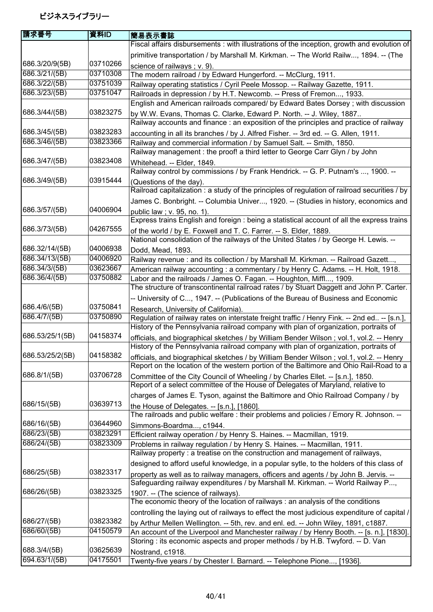|          | 簡易表示書誌                                                                                                                                                                                   |
|----------|------------------------------------------------------------------------------------------------------------------------------------------------------------------------------------------|
|          | Fiscal affairs disbursements : with illustrations of the inception, growth and evolution of                                                                                              |
|          | primitive transportation / by Marshall M. Kirkman. -- The World Railw, 1894. -- (The                                                                                                     |
| 03710266 | science of railways; v. 9).                                                                                                                                                              |
| 03710308 | The modern railroad / by Edward Hungerford. -- McClurg, 1911.                                                                                                                            |
| 03751039 | Railway operating statistics / Cyril Peele Mossop. -- Railway Gazette, 1911.                                                                                                             |
| 03751047 | Railroads in depression / by H.T. Newcomb. -- Press of Fremon, 1933.                                                                                                                     |
|          | English and American railroads compared/ by Edward Bates Dorsey; with discussion                                                                                                         |
| 03823275 | by W.W. Evans, Thomas C. Clarke, Edward P. North. -- J. Wiley, 1887                                                                                                                      |
|          | Railway accounts and finance : an exposition of the principles and practice of railway                                                                                                   |
| 03823283 | accounting in all its branches / by J. Alfred Fisher. -- 3rd ed. -- G. Allen, 1911.                                                                                                      |
| 03823366 | Railway and commercial information / by Samuel Salt. -- Smith, 1850.                                                                                                                     |
|          | Railway management : the proof! a third letter to George Carr Glyn / by John                                                                                                             |
| 03823408 | Whitehead. -- Elder, 1849.                                                                                                                                                               |
|          | Railway control by commissions / by Frank Hendrick. -- G. P. Putnam's , 1900. --                                                                                                         |
| 03915444 | (Questions of the day).                                                                                                                                                                  |
|          | Railroad capitalization : a study of the principles of regulation of railroad securities / by                                                                                            |
|          | James C. Bonbright. -- Columbia Univer, 1920. -- (Studies in history, economics and                                                                                                      |
| 04006904 | public law; v. 95, no. 1).                                                                                                                                                               |
|          | Express trains English and foreign : being a statistical account of all the express trains                                                                                               |
| 04267555 | of the world / by E. Foxwell and T. C. Farrer. -- S. Elder, 1889.                                                                                                                        |
|          | National consolidation of the railways of the United States / by George H. Lewis. --                                                                                                     |
| 04006938 | Dodd, Mead, 1893.                                                                                                                                                                        |
| 04006920 | Railway revenue : and its collection / by Marshall M. Kirkman. -- Railroad Gazett,                                                                                                       |
| 03623667 | American railway accounting : a commentary / by Henry C. Adams. -- H. Holt, 1918.                                                                                                        |
|          | Labor and the railroads / James O. Fagan. -- Houghton, Miffl, 1909.                                                                                                                      |
|          | The structure of transcontinental railroad rates / by Stuart Daggett and John P. Carter.                                                                                                 |
|          | -- University of C, 1947. -- (Publications of the Bureau of Business and Economic                                                                                                        |
| 03750841 | Research, University of California).                                                                                                                                                     |
|          | Regulation of railway rates on interstate freight traffic / Henry Fink. -- 2nd ed -- [s.n.],                                                                                             |
|          | History of the Pennsylvania railroad company with plan of organization, portraits of                                                                                                     |
|          | officials, and biographical sketches / by William Bender Wilson; vol.1, vol.2. -- Henry                                                                                                  |
|          | History of the Pennsylvania railroad company with plan of organization, portraits of                                                                                                     |
|          | officials, and biographical sketches / by William Bender Wilson; vol.1, vol.2. -- Henry                                                                                                  |
|          | Report on the location of the western portion of the Baltimore and Ohio Rail-Road to a                                                                                                   |
|          | Committee of the City Council of Wheeling / by Charles Ellet. -- [s.n.], 1850.                                                                                                           |
|          | Report of a select committee of the House of Delegates of Maryland, relative to                                                                                                          |
|          | charges of James E. Tyson, against the Baltimore and Ohio Railroad Company / by                                                                                                          |
|          | the House of Delegates. -- [s.n.], [1860].                                                                                                                                               |
|          | The railroads and public welfare: their problems and policies / Emory R. Johnson. --                                                                                                     |
|          | Simmons-Boardma, c1944.                                                                                                                                                                  |
|          | Efficient railway operation / by Henry S. Haines. -- Macmillan, 1919.                                                                                                                    |
|          | Problems in railway regulation / by Henry S. Haines. -- Macmillan, 1911.<br>Railway property : a treatise on the construction and management of railways,                                |
|          |                                                                                                                                                                                          |
|          | designed to afford useful knowledge, in a popular sytle, to the holders of this class of                                                                                                 |
|          | property as well as to railway managers, officers and agents / by John B. Jervis. --<br>Safeguarding railway expenditures / by Marshall M. Kirkman. -- World Railway P,                  |
|          |                                                                                                                                                                                          |
|          | 1907. -- (The science of railways).<br>The economic theory of the location of railways : an analysis of the conditions                                                                   |
|          |                                                                                                                                                                                          |
|          | controlling the laying out of railways to effect the most judicious expenditure of capital /                                                                                             |
|          | by Arthur Mellen Wellington. -- 5th, rev. and enl. ed. -- John Wiley, 1891, c1887.<br>An account of the Liverpool and Manchester railway / by Henry Booth. -- [s. n.], [1830].           |
|          | Storing: its economic aspects and proper methods / by H.B. Twyford. -- D. Van                                                                                                            |
|          | Nostrand, c1918.                                                                                                                                                                         |
|          | Twenty-five years / by Chester I. Barnard. -- Telephone Pione, [1936].                                                                                                                   |
|          | 資料ID<br>03750882<br>03750890<br>04158374<br>04158382<br>03706728<br>03639713<br>03644960<br>03823291<br>03823309<br>03823317<br>03823325<br>03823382<br>04150579<br>03625639<br>04175501 |